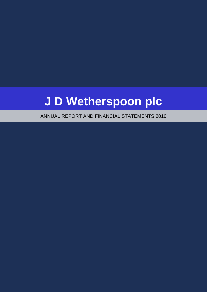# **J D Wetherspoon plc**

<span id="page-0-0"></span>ANNUAL REPORT AND FINANCIAL STATEMENTS 2016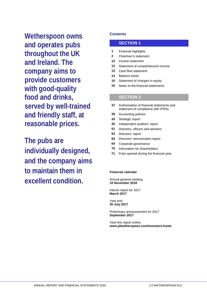**Wetherspoon owns and operates pubs throughout the UK and Ireland. The company aims to provide customers with good-quality food and drinks, served by well-trained and friendly staff, at reasonable prices.**

**The pubs are individually designed, and the company aims to maintain them in excellent condition.**

#### **Contents**

#### **SECTION 1**

- **1** Financial highlights
- **2** Chairman's statement
- **12** Income statement
- **12** Statement of comprehensive income
- **13** Cash flow statement
- **14** Balance sheet
- **15** Statement of changes in equity
- **16** Notes to the financial statements

#### **SECTION 2**

- **37** Authorisation of financial statements and statement of compliance with IFRSs
- **38** Accounting policies
- **43** Strategic report
- **45** Independent auditors' report
- **51** Directors, officers and advisers
- **52** Directors' report
- **55** Directors' remuneration report
- **64** Corporate governance
- **70** Information for shareholders
- **71** Pubs opened during the financial year

#### **Financial calendar**

Annual general meeting **10 November 2016**

Interim report for 2017 **March 2017**

Year end **30 July 2017**

Preliminary announcement for 2017 **September 2017**

View this report online: **www.jdwetherspoon.com/investors-home**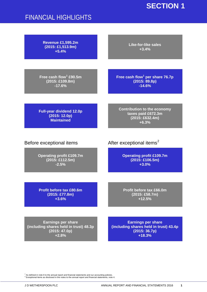### **SECTION 1**

## FINANCIAL HIGHLIGHTS

**Revenue £1,595.2m (2015: £1,513.9m) +5.4%**

**Like-for-like sales +3.4%**

**Free cash flow[1](#page-0-0) £90.5m (2015: £109.8m) -17.6%**

**Free cash flow<sup>1</sup> per share 76.7p (2015: 89.8p) -14.6%**

**Full-year dividend 12.0p (2015: 12.0p) Maintained**

**Contribution to the economy taxes paid £672.3m (2015: £632.4m) +6.3%**

### Before exceptional items After exceptional items<sup>[2](#page-2-0)</sup>

**Operating profit £109.7m (2015: £112.5m) -2.5%**

**Operating profit £109.7m (2015: £106.5m) +3.0%**

**Profit before tax £80.6m (2015: £77.8m) +3.6%**

**Profit before tax £66.0m (2015: £58.7m) +12.5%**

**Earnings per share (including shares held in trust) 48.3p (2015: 47.0p) +2.8%**

**Earnings per share (including shares held in trust) 43.4p (2015: 36.7p) +18.3%**

<span id="page-2-0"></span> $^1$  As defined in note 8 to the annual report and financial statements and our accounting policies.<br><sup>2</sup> Exceptional items as disclosed in the notes to the annual report and financial statements, note 4.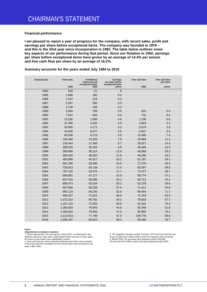#### **Financial performance**

**I am pleased to report a year of progress for the company, with record sales, profit and earnings per share before exceptional items. The company was founded in 1979 – and this is the 33rd year since incorporation in 1983. The table below outlines some key aspects of our performance during that period. Since our flotation in 1992, earnings per share before exceptional items have grown by an average of 14.4% per annum and free cash flow per share by an average of 16.2%.**

| <b>Financial year</b> | <b>Total sales</b> | Profit/(loss)<br>before tax and | <b>Earnings</b><br>per share before | Free cash flow | Free cash flow<br>per share |
|-----------------------|--------------------|---------------------------------|-------------------------------------|----------------|-----------------------------|
|                       | £000               | exceptional items<br>£000       | exceptional items<br>pence          | £000           | pence                       |
| 1984                  | 818                | (7)                             | $\mathbf{0}$                        |                |                             |
| 1985                  | 1,890              | 185                             | 0.2                                 |                |                             |
| 1986                  | 2,197              | 219                             | 0.2                                 |                |                             |
| 1987                  | 3,357              | 382                             | 0.3                                 |                |                             |
| 1988                  | 3,709              | 248                             | 0.3                                 |                |                             |
| 1989                  | 5,584              | 789                             | 0.6                                 | 915            | 0.4                         |
| 1990                  | 7,047              | 603                             | 0.4                                 | 732            | 0.4                         |
| 1991                  | 13,192             | 1,098                           | 0.8                                 | 1,236          | 0.6                         |
| 1992                  | 21,380             | 2,020                           | 1.9                                 | 3,563          | 2.1                         |
| 1993                  | 30,800             | 4,171                           | 3.3                                 | 5,079          | 3.9                         |
| 1994                  | 46,600             | 6,477                           | 3.6                                 | 5,837          | 3.6                         |
| 1995                  | 68,536             | 9,713                           | 4.9                                 | 13,495         | 7.4                         |
| 1996                  | 100,480            | 15,200                          | 7.8                                 | 20,968         | 11.2                        |
| 1997                  | 139,444            | 17,566                          | 8.7                                 | 28,027         | 14.4                        |
| 1998                  | 188,515            | 20,165                          | 9.9                                 | 28,448         | 14.5                        |
| 1999                  | 269,699            | 26,214                          | 12.9                                | 40,088         | 20.3                        |
| 2000                  | 369,628            | 36,052                          | 11.8                                | 49,296         | 24.2                        |
| 2001                  | 483,968            | 44,317                          | 14.2                                | 61,197         | 29.1                        |
| 2002                  | 601,295            | 53,568                          | 16.6                                | 71,370         | 33.5                        |
| 2003                  | 730,913            | 56,139                          | 17.0                                | 83,097         | 38.8                        |
| 2004                  | 787,126            | 54,074                          | 17.7                                | 73,477         | 36.7                        |
| 2005                  | 809,861            | 47,177                          | 16.9                                | 68,774         | 37.1                        |
| 2006                  | 847,516            | 58,388                          | 24.1                                | 69,712         | 42.1                        |
| 2007                  | 888,473            | 62,024                          | 28.1                                | 52,379         | 35.6                        |
| 2008                  | 907,500            | 58,228                          | 27.6                                | 71,411         | 50.6                        |
| 2009                  | 955,119            | 66,155                          | 32.6                                | 99,494         | 71.7                        |
| 2010                  | 996,327            | 71,015                          | 36.0                                | 71,344         | 52.9                        |
| 2011                  | 1,072,014          | 66,781                          | 34.1                                | 78,818         | 57.7                        |
| 2012                  | 1,197,129          | 72,363                          | 39.8                                | 91,542         | 70.4                        |
| 2013                  | 1,280,929          | 76,943                          | 44.8                                | 65,349         | 51.8                        |
| 2014                  | 1,409,333          | 79,362                          | 47.0                                | 92,850         | 74.1                        |
| 2015                  | 1,513,923          | 77,798                          | 47.0                                | 109,778        | 89.8                        |
| 2016                  | 1,595,197          | 80,610                          | 48.3                                | 90,485         | 76.7                        |

#### **Summary accounts for the years ended July 1984 to 2016**

#### **Notes**

**Adjustments to statutory numbers**<br>1. Where appropriate, the earnings per share (EPS), as disclosed in the<br>statutory accounts, have been recalculated to take account of share splits,

the issue of new shares and capitalisation issues. 2. Free cash flow per share excludes dividends paid which were included in the free cash flow calculations in the annual report and accounts for the years 1995–2000.

3. The weighted average number of shares, EPS and free cash flow per share include those shares held in trust for employee share schemes. 4. Before 2005, the accounts were prepared under UKGAAP. All accounts from 2005 to date have been prepared under IFRS.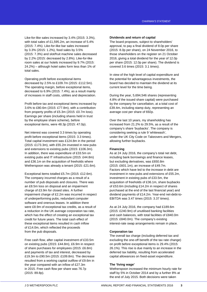Like-for-like sales increased by 3.4% (2015: 3.3%), with total sales of £1,595.2m, an increase of 5.4% (2015: 7.4%). Like-for-like bar sales increased by 3.3% (2015: 1.2%), food sales by 3.5% (2015: 7.3%) and slot/fruit machine sales decreased by 2.2% (2015: decreased by 2.8%). Like-for-like room sales at our hotels increased by 9.7% (2015: 24.2%) – although hotel sales form less than 1% of total sales.

Operating profit before exceptional items decreased by 2.5% to £109.7m (2015: £112.5m). The operating margin, before exceptional items, decreased to 6.9% (2015: 7.4%), as a result mainly of increases in staff costs, utilities and depreciation.

Profit before tax and exceptional items increased by 3.6% to £80.6m (2015: £77.8m), with a contribution from property profits of £5.3m (2015: £0.7m loss). Earnings per share (including shares held in trust by the employee share scheme), before exceptional items, were 48.3p (2015: 47.0p).

Net interest was covered 3.3 times by operating profit before exceptional items (2015: 3.3 times). Total capital investment was £124.8m in the period (2015: £173.3m), with £55.2m invested in new pubs and extensions to existing pubs (2015: £106.3m). In addition, there was expenditure of £33.5m on existing pubs and IT infrastructure (2015: £44.8m) and £36.1m on the acquisition of freeholds where Wetherspoon was already a tenant (2015: £21.6m).

Exceptional items totalled £5.7m (2015: £12.6m). The company incurred charges as a result of a number of pub disposals and closures. There was an £8.5m loss on disposal and an impairment charge of £3.9m for closed sites. A further impairment charge of £2.2m was incurred in respect of underperforming pubs, redundant computer software and onerous leases. In addition there were £8.9m of exceptional tax credits, as a result of a reduction in the UK average corporation tax rate, which has the effect of creating an exceptional tax credit for future years. The total cash effect of these exceptional items resulted in cash inflow of £14.0m, which reflected the proceeds from the pub disposals.

Free cash flow, after capital investment of £33.5m on existing pubs (2015: £44.8m), £6.9m in respect of share purchases for employees (2015: £6.8m) and payments of tax and interest, decreased by £19.3m to £90.5m (2015: £109.8m). The decrease resulted from a working capital outflow of £9.6m in the year compared with an inflow of £27.3m in 2015. Free cash flow per share was 76.7p (2015: 89.8p).

#### **Dividends and return of capital**

The board proposes, subject to shareholders' approval, to pay a final dividend of 8.0p per share (2015: 8.0p per share), on 24 November 2016, to those shareholders on the register on 21 October 2016, giving a total dividend for the year of 12.0p per share (2015: 12.0p per share). The dividend is covered 3.6 times (2015: 3.1 times).

In view of the high level of capital expenditure and the potential for advantageous investments, the board has decided to maintain the dividend at its current level for the time being.

During the year, 5,694,546 shares (representing 4.8% of the issued share capital) were purchased by the company for cancellation, at a total cost of £39.4m, including stamp duty, representing an average cost per share of 692p.

Over the last 10 years, my shareholding has increased from 21.2% to 29.5%, as a result of the company's share 'buybacks'. The company is considering seeking a rule 9 'whitewash', under the UK City Code on Takeovers and Mergers, allowing further buybacks.

#### **Financing**

As at 24 July 2016, the company's total net debt, including bank borrowings and finance leases, but excluding derivatives, was £650.8m (2015: £601.1m), an increase of £49.7m. Factors which have led to the increase in debt are investment in new pubs and extensions of £55.2m, investment in existing pubs of £33.5m, the acquisition of freeholds of £36.1m, share buybacks of £53.6m (including £14.2m in respect of shares purchased at the end of the last financial year) and dividend payments of £14.2m. Year-end net-debt-to-EBITDA was 3.47 times (2015: 3.37 times).

As at 24 July 2016, the company had £189.6m (2015: £240.9m) of unutilised banking facilities and cash balances, with total facilities of £840.0m (2015: £840.0m). The company's existing interest-rate swap arrangements remain in place.

#### **Corporation tax**

The overall tax charge (including deferred tax and excluding the one-off benefit of the tax rate change) on profit before exceptional items is 29.4% (2015: 26.1%). This rise is due mainly to an increase in the deferred tax liability, resulting from accelerated capital allowances on fixed-asset expenditure.

#### **The 'living wage'**

Wetherspoon increased the minimum hourly rate for staff by 5% in October 2014 and by a further 8% at the end of July 2015. Both decisions were taken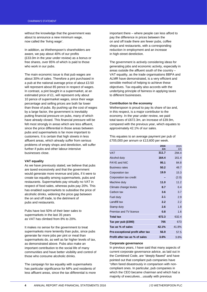without the knowledge that the government was about to announce a new minimum wage, now called the 'living wage'.

In addition, as Wetherspoon's shareholders are aware, we pay about 40% of our profits (£33.0m in the year under review) as a bonus or free shares, over 85% of which is paid to those who work in our pubs.

The main economic issue is that pub wages are about 30% of sales. Therefore a pint purchased in a pub at the national average price of about £3.50 will represent about 85 pence in respect of wages. In contrast, a pint bought in a supermarket, at an estimated price of £1, will represent only about 10 pence of supermarket wages, since their wage percentage and selling prices are both far lower than those of pubs. By pushing up the cost of wages by a large factor, the government is inevitably putting financial pressure on pubs, many of which have already closed. This financial pressure will be felt most strongly in areas which are less affluent, since the price differential in those areas between pubs and supermarkets is far more important to customers. It is certain that high streets in less affluent areas, which already suffer from serious problems of empty shops and dereliction, will suffer further if pubs and other labour-intensive businesses close.

#### **VAT equality**

As we have previously stated, we believe that pubs are taxed excessively and that the government would generate more revenue and jobs, if it were to create tax equality among supermarkets, pubs and restaurants. Supermarkets pay virtually no VAT in respect of food sales, whereas pubs pay 20%. This has enabled supermarkets to subsidise the price of alcoholic drinks, widening the price gap between the on and off trade, to the detriment of pubs and restaurants.

Pubs have lost 50% of their beer sales to supermarkets in the last 35 years as VAT has climbed from 8% to 20%.

It makes no sense for the government to treat supermarkets more leniently than pubs, since pubs generate far more jobs per pint or meal than supermarkets do, as well as far higher levels of tax, as demonstrated above. Pubs also make an important contribution to the social life of many communities and have better visibility and control of those who consume alcoholic drinks.

The campaign for tax equality with supermarkets has particular significance for MPs and residents of less affluent areas, since the tax differential is more

important there – where people can less afford to pay the difference in prices between the on and off trade there are fewer pubs, coffee shops and restaurants, with a corresponding reduction in employment and an increase in high-street dereliction.

The government is actively considering ideas for generating jobs and economic activity, especially in areas outside the affluent south of the country – VAT equality, as the trade organisations BBPA and ALMR have demonstrated, is a very efficient and sensible method of helping to achieve these objectives. Tax equality also accords with the underlying principle of fairness in applying taxes to different businesses.

#### **Contribution to the economy**

Wetherspoon is proud to pay its share of tax and, in this respect, is a major contributor to the economy. In the year under review, we paid total taxes of £672.3m, an increase of £39.9m, compared with the previous year, which equates to approximately 42.1% of our sales.

This equates to an average payment per pub of £705,000 per annum or £13,600 per week.

|                                  | 2016<br>£m | 2015<br>£m |
|----------------------------------|------------|------------|
| VAT                              | 311.7      | 294.4      |
| Alcohol duty                     | 164.4      | 161.4      |
| PAYE and NIC                     | 95.1       | 84.8       |
| <b>Business rates</b>            | 50.2       | 48.7       |
| Corporation tax                  | 19.9       | 15.3       |
| Corporation tax credit           |            | (2.0)      |
| Machine duty                     | 11.0       | 11.2       |
| Climate change levies            | 8.7        | 6.4        |
| Carbon tax                       | 3.6        | 3.7        |
| Fuel duty                        | 2.1        | 2.9        |
| Landfill tax                     | 2.2        | 2.2        |
| Stamp duty                       | 2.6        | 1.8        |
| Premise and TV licence           | 0.8        | 1.6        |
| <b>Total tax</b>                 | 672.3      | 632.4      |
| Tax per pub (£000)               | 705        | 673        |
| Tax as % of sales                | 42.1%      | 41.8%      |
| Pre-exceptional profit after tax | 56.9       | 57.5       |
| Profit after tax as % of sales   | 3.6%       | 3.8%       |

#### **Corporate governance**

In previous years, I have said that many aspects of current corporate governance advice, as laid out in the Combined Code, are "deeply flawed" and have pointed out that compliant pub companies have "often fared disastrously in comparison with noncompliant ones. In particular, pub companies in which the CEO became chairman and which had a majority of executives…usually with previous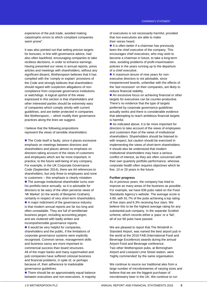experience of the pub trade, avoided making catastrophic errors to which compliant companies seem prone".

It was also pointed out that setting precise targets for bonuses, in line with governance advice, had also often backfired, encouraging companies to take reckless decisions, in order to enhance earnings. Having presented our views in annual reports, press articles and meetings with shareholders, without any significant dissent, Wetherspoon believes that it has complied with the 'comply or explain' provisions of the Code and strongly believes that shareholders should regard with scepticism allegations of noncompliance from corporate governance institutions or watchdogs. A logical upshot of the views expressed in this section is that shareholders and other interested parties should be extremely wary of companies which comply strictly with current guidelines, and are better protected in companies like Wetherspoon, – which modify their governance practices along the lines we suggest.

I believe that the following propositions represent the views of sensible shareholders:

■ The Code itself is faulty, since it places excessive emphasis on meetings between directors and shareholders and places almost no emphasis on directors taking account of the views of customers and employees which are far more important, in practice, to the future well-being of any company. For example, in the UK Corporate Governance Code (September 2014), there are 64 references to shareholders, but only three to employees and none to customers – this emphasis is clearly mistaken.  $\blacksquare$  The average institutional shareholder turns over his portfolio twice annually, so it is advisable for directors to be wary of the often perverse views of 'Mr Market' (in the words of Benjamin Graham), certainly in respect of very short-term shareholders. A major indictment of the governance industry is that modern annual reports are far too long and often unreadable. They are full of semiliterate business jargon, including accounting jargon, and are cluttered with badly written and incomprehensible governance reports.

 $\blacksquare$  It would be very helpful for companies, shareholders and the public, if the limitations of corporate governance systems were explicitly recognised. Common sense, management skills and business savvy are more important to commercial success than board structures. All of the major banks and many supermarket and pub companies have suffered colossal business and financial problems, in spite of, or perhaps because of, their adherence to inadvisable governance guidelines.

 $\blacksquare$  There should be an approximately equal balance between executives and non-executives. A majority

of executives is not necessarily harmful, provided that non-executives are able to make their voices heard.

 $\blacksquare$  It is often better if a chairman has previously been the chief executive of the company. This encourages chief executives, who may wish to become a chairman in future, to take a long-term view, avoiding problems of profit-maximisation policies in the years running up to the departure of a chief executive.

A maximum tenure of nine years for nonexecutive directors is not advisable, since inexperienced boards, unfamiliar with the effects of the 'last recession' on their companies, are likely to reduce financial stability.

An excessive focus on achieving financial or other targets for executives can be counter-productive. There's no evidence that the type of targets preferred by corporate governance guidelines actually works and there is considerable evidence that attempting to reach ambitious financial targets is harmful.

As indicated above, it is far more important for directors to take account of the views of employees and customers than of the views of institutional shareholders. Shareholders should be listened to with respect, but caution should be exercised in implementing the views of short-term shareholders. It should also be understood that modern institutional shareholders may have a serious conflict of interest, as they are often concerned with their own quarterly portfolio performance, whereas corporate health often requires objectives which lie five, 10 or 20 years in the future.

#### **Further progress**

As in previous years, the company has tried to improve as many areas of the business as possible. For example, we have 836 pubs rated on the Food Standards Agency's website. The average score is 4.89, with 91.7% of the pubs achieving a top rating of five stars and 6.3% receiving four stars. We believe this to be the highest average rating for any substantial pub company. In the separate Scottish scheme, which records either a 'pass' or a 'fail', all of our 66 pubs have passed.

We are pleased to report that The Windmill in Stansted Airport, was named the best airport pub in the world at the 2016 FAB (International Food and Beverage Excellence) awards during the annual Airport Food and Beverage conference. Two other Wetherspoon pubs, at Birmingham Airport and Liverpool Lime Street station, were 'highly commended' by the same organisation.

We continue to source our traditional ales from a large number of microbreweries of varying sizes and believe that we are the biggest purchaser of microbrewery beer in the UK. We continue to run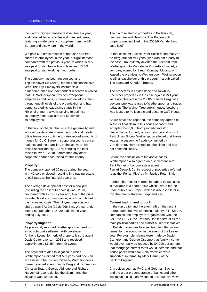the world's biggest real-ale festival, twice a year, and have added a cider festival in recent times, featuring a wide variety of suppliers from the UK, Europe and elsewhere in the world.

We paid £33.0m in respect of bonuses and free shares to employees in the year, a slight increase compared with the previous year, of which 97.9% was paid to staff below board level and 85.6% was paid to staff working in our pubs.

The company has been recognised as a Top Employer UK (2016), for the 13th consecutive year. The Top Employers institute said "Our comprehensive independent research revealed that J D Wetherspoon provides exceptional employee conditions, nurtures and develops talent throughout all levels of the organisation and has demonstrated its leadership status in the HR environment, always striving to optimise its employment practices and to develop its employees."

In the field of charity, thanks to the generosity and work of our dedicated customers, pub and headoffice teams, we continue to raise record amounts of money for CLIC Sargent, supporting young cancer patients and their families. In the last year, we raised approximately £1.6m, bringing the total raised to over £12.6m – more than any other corporate partner has raised for this charity.

#### **Property**

The company opened 16 pubs during the year, with 41 sold or closed, resulting in a trading estate of 926 pubs at the financial year end.

The average development cost for a new pub (excluding the cost of freeholds) was £2.5m, compared with £2.1m a year ago; two of the pubs included hotel accommodation, which contributed to the increased costs. The full-year depreciation charge was £72.2m (2015: £66.7m). We currently intend to open about 15–20 pubs in the year ending July 2017.

#### **Property litigation**

As previously reported, Wetherspoon agreed on an out-of-court settlement with developer Anthony Lyons, formerly of property leisure agent Davis Coffer Lyons, in 2013 and received approximately £1.25m from Mr Lyons.

The payment relates to litigation in which Wetherspoon claimed that Mr Lyons had been an accessory to frauds committed by Wetherspoon's former retained agent Van de Berg and its directors Christian Braun, George Aldridge and Richard Harvey. Mr Lyons denied the claim – and the litigation was contested.

The claim related to properties in Portsmouth, Leytonstone and Newbury. The Portsmouth property was involved in the 2008/9 Van de Berg case itself.

In that case, Mr Justice Peter Smith found that Van de Berg, but not Mr Lyons (who was not a party to the case), fraudulently diverted the freehold from Wetherspoon to Moorstown Properties Limited, a company owned by Simon Conway. Moorstown leased the premises to Wetherspoon. Wetherspoon is still a leaseholder of this property – a pub called The Isambard Kingdom Brunel.

The properties in Leytonstone and Newbury (the other properties in the case against Mr Lyons) were not pleaded in the 2008/9 Van de Berg case. Leytonstone was leased to Wetherspoon and trades today as The Walnut Tree public house. Newbury was leased to Pelican plc and became Café Rouge.

As we have also reported, the company agreed to settle its final claim in this series of cases and accepted £400,000 from property investor Jason Harris, formerly of First London and now of First Urban Group. Wetherspoon alleged that Harris was an accessory to frauds committed by Van de Berg. Harris contested the claim and has not admitted liability.

Before the conclusion of the above cases, Wetherspoon also agreed on a settlement with Paul Ferrari of London estate agent Ferrari Dewe & Co, in respect of properties referred to as the 'Ferrari Five' by Mr Justice Peter Smith.

Further shareholder information about these cases is available in a short article which I wrote for the trade publication Propel, which is disclosed later in my chairman's statement (appendix 2).

#### **Current trading and outlook**

In the run up to, and the aftermath of, the recent referendum, the overwhelming majority of FTSE 100 companies, the employers' organisation CBI, the IMF, the OECD, the Treasury, the leaders of all the main political parties and almost all representatives of British universities forecast trouble, often in lurid terms, for the economy, in the event of the Leave vote. For example, claims were made by David Cameron and George Osborne that family income would eventually be reduced by £4,000 per annum, that mortgage interest rates would increase and that house prices would fall – claims which were supported, in terms, by Mark Carney of the Bank of England.

City voices such as PwC and Goldman Sachs, and the great preponderance of banks and other institutions, also leant weight to this negative view.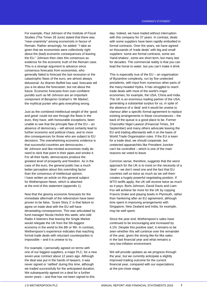For example, Paul Johnson of the Institute of Fiscal Studies (The Times 28 June) stated that there was "near-unanimity" among economists in favour of Remain. Rather amazingly, he added: "I take as given that we economists were collectively right about the (bad) economic consequences of leaving the EU." Johnson then cites this consensus as evidence for the economic truth of the Remain case. This is a strange argument to advance since consensus forecasts from economists, who generally failed to forecast the last recession or the catastrophic flaws of the euro, are almost always delusional. As Warren Buffett has said, forecasts tell you a lot about the forecaster, but not about the future. Economic forecasts from over-confident pundits such as Mr Johnson are an important component of Benjamin Graham's 'Mr Market', the mythical punter who gets everything wrong.

Just as the combined intellectual weight of the 'good and great' could not see through the flaws in the euro, they have, with honourable exceptions, been unable to see that the principle flaw of the  $EU - an$ absence of democracy – will almost certainly lead to further economic and political chaos, and to more dire consequences for those who are subject to EU decisions. The overwhelming economic evidence is that successful countries are democracies – Mr Johnson and like-minded economists really do need to stick that point in their pipes and smoke it. For all their faults, democracies produce the greatest level of prosperity and freedom. As in the case of the euro, the general public has a much better perception about this overriding factor than the consensus of intellectual opinion. I have written an article on this general subject for Wetherspoon News, which is attached at the end of this statement (appendix 1).

Now that the gloomy economic forecasts for the immediate aftermath of the referendum have been proven to be false, 'Scare Story 2' is that failure to agree on trade deal with the EU will have devastating consequences. This was articulated by fund manager Nicola Horlick this week, who told Radio 4 listeners that leaving the Single Market would relegate the UK from the 5th-biggest economy in the world to the 8th or 9th. In contrast, Wetherspoon's experience indicates that reaching formal trade deals with reluctant counterparties is impossible – and it is unwise to try.

For example, I personally agreed on terms with one of our biggest suppliers, a major PLC, for a new seven-year contract about 12 years ago. Although the deal was put in the hands of lawyers, it was never signed or 'ratified' during this time, although we traded successfully for the anticipated duration. We subsequently agreed on a deal for a further seven years – and that has not been signed to this

day. Indeed, we have traded without interruption with this company for 37 years. In contrast, deals with some suppliers have been rapidly embodied in formal contracts. Over the years, we have agreed on thousands of 'trade deals' with big and small suppliers: some are formal contracts, some are 'hand-shakes', some are short term, but many last for decades. The commercial reality is that you can lead the horse to water, but you can't make it drink.

This is especially true of the  $EU$  – an organisation of Byzantine complexity, run by five unelected presidents, with input from numerous other parts of the many-headed Hydra. It has struggled to reach trade deals with most of the world's major economies, for example, the USA, China and India. The UK is an enormous trading partner of the USA, generating a substantial surplus for us, in spite of the absence of a 'deal' and it would be unwise to clamour after a specific formal agreement to replace existing arrangements in these circumstances – the back of the queue is a good place to be. Former Chancellor Nigel Lawson (Financial Times, 3/4 September) and many others advocate leaving the EU and trading afterwards with it on the basis of World Trade Organisation rules. If the EU is keen for a trade deal, we should cooperate, but unelected apparatchiks like President Juncker can't be controlled – which is one of the main reasons we voted to leave.

Common sense, therefore, suggests that the worst approach for the UK is to insist on the necessity of a 'deal' – we don't need one and the fact that EU countries sell us twice as much as we sell them creates a hugely powerful negotiating position. If WTO tariffs apply, the UK will receive twice as much as it pays. Boris Johnson, David Davis and Liam Fox will achieve far more for the UK by copying Francis Drake and playing bowls in Plymouth, rather than hankering after an EU agreement, although time spent in improving arrangements with Singapore, New Zealand and India, for example, may be well spent.

Since the year end, Wetherspoon's sales have continued to be encouraging and increased by 4.1%. Despite this positive start, it remains to be seen whether this will continue over the remainder of the year, given the strong like-for-like sales in the last financial year and what remains a very low-inflation environment.

We will provide updates as we progress through the year, but we currently anticipate a slightly improved trading outcome for the current financial year, compared with our expectations at the pre-close stage.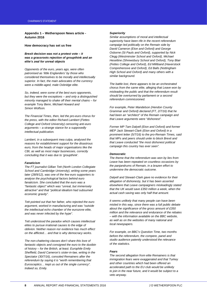**Appendix 1 – Wetherspoon News article - Autumn 2016**

#### **How democracy has set us free**

*Brexit decision was not a protest vote – it was a grassroots rejection of groupthink and an elite's zeal for unreal objects*

*Opponents of the euro, years ago, were often patronised as 'little Englanders' by those who considered themselves to be morally and intellectually superior. In fact, the main advocates of the currency were a middle-aged, male Oxbridge elite.* 

*So, indeed, were some of the best euro opponents, but they were the exceptions – and only a distinguished minority managed to shake off their mental chains – for example Tony Benn, Michael Howard and Simon Wolfson.*

*The Financial Times, then, led the pro-euro chorus for the press, with the editor Richard Lambert (Fettes College and Oxford University) censoring anti-euro arguments – a strange stance for a supposedly intellectual publication.* 

*Lambert, in a subsequent mea culpa, analysed the reasons for establishment support for the disastrous euro, from the heads of major organisations like the CBI, as well as most major businesses, correctly concluding that it was due to 'groupthink'.* 

#### *Fanaticism*

*The FT journalist Gillian Tett (North London Collegiate School and Cambridge University), writing some years later (28/9/12), was one of the few euro supporters to analyse the psychological factors behind euro fanaticism. She concluded that the euro was a "fantastic object" which was "unreal, but immensely attractive" and that "political idealism had subsumed economic gravity".* 

*Tett pointed out that her father, who rejected the euro argument, worked in manufacturing and was "outside the intellectual echo chamber of the eurozone elite, and was never infected by the hype".* 

*Tett understood the paradox which causes intellectual elites to pursue irrational causes to the edge of oblivion. Neither reason nor evidence has much effect on the afflicted… and that is why democracy works.* 

*The non-chattering classes don't share this love of fantastic objects and consigned the euro to the dustbin of history – for the British, at least. Europhile Emily Sheffield, David Cameron's sister-in-law, writing in the Spectator (30/7/16), consoled Remainers after the referendum by saying it is "worth remembering that Eurosceptics… kept us out of the single currency". Indeed so, Emily.*

#### *Superiority*

*Similar assumptions of moral and intellectual superiority have been rife in the recent referendum campaign led politically on the Remain side by David Cameron (Eton and Oxford) and George Osborne (St Pauls and Oxford), supported by Nick Clegg (Westminster School and Oxford), Michael Heseltine (Shrewsbury School and Oxford), Tony Blair (Fettes College and Oxford), Ed Milliband (Haverstock Comprehensive and Oxford), Ed Balls (Nottingham High School and Oxford) and many others with a similar background.*

*The battle lost, there appears to be an orchestrated chorus from the same elite, alleging that Leave won by misleading the public and that the referendum result should be overturned by parliament or a second referendum commissioned.* 

*For example, Peter Mandelson (Hendon County Grammar and Oxford) declared (FT, 2/7/16) that he had been an "architect" of the Remain campaign and that Leave arguments were "dishonest".* 

*Former MP Tam Dalyell (Eton and Oxford) and former MEP Jack Stewart-Clark (Eton and Oxford) in a prominent letter (5/7/16) to the pro-Remain Times, said that MPs and peers should unite to block Brexit and that Leave conducted "the most dishonest political campaign this country has ever seen".*

#### *Democratic*

*The theme that the referendum was won by lies from Leave has been repeated on countless occasions by the panjandrums of Remain, in a brazen effort to undermine the democratic outcome.*

*Dalyell and Stewart-Clark gave no evidence for their allegation of dishonesty, but it has been asserted elsewhere that Leave campaigners misleadingly stated that the UK would save £350 million a week, when the actual cash saving was only half that amount.* 

*It seems unlikely that many people can have been misled in this way, since there was a full public debate about the significance of the gross amount of £350 million and the relevance and endurance of the rebates – with the information available on the BBC website, as well as on the websites of many national and local newspapers.* 

*For example, on BBC's Question Time, two months before the referendum, the compere, panel and studio audience patently understood the relevance of the statistics.*

#### *Fears*

*The second allegation from elite Remainers is that immigration fears were exaggerated and that Turkey and other countries which had been offered an accelerated path to the EU club would be unlikely to join in the near future, and it would be subject to a veto anyway.*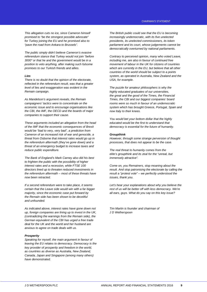*This allegation cuts no ice, since Cameron himself promised to "be the strongest possible advocate" for Turkey joining the EU and he promised also to "pave the road from Ankara to Brussels".* 

*The public simply didn't believe Cameron's evasive referendum stance that Turkey would not join "before 3000" or that he and the government would be in a position to veto anything, after making such fulsome promises to our Turkish friends and allies.*

#### *Lies*

*There is no doubt that the opinion of the electorate, reflected in the referendum result, was that a greater level of lies and exaggeration was evident in the Remain campaign.* 

*As Mandelson's argument reveals, the Remain campaigners' tactics were to concentrate on the economic issue and to encourage organisations like the CBI, the IMF, the OECD and the boards of major companies to support their cause.*

*These arguments included an allegation from the head of the IMF that the economic consequences of Brexit would be "bad to very, very bad", a prediction from Cameron of an increased risk of war and genocide, a threat from Osborne that interest rates would go up in the referendum aftermath (they've gone down) and a threat of an emergency budget to increase taxes and reduce public expenditure.* 

*The Bank of England's Mark Carney also did his best to frighten the public with the possibility of higher interest rates and a recession, while FTSE 100 directors lined up to threaten reduced investments in the referendum aftermath – most of these threats have now been retracted.*

*If a second referendum were to take place, it seems certain that the Leave side would win with a far bigger majority, since the economic case put forward by the Remain side has been shown to be deceitful and unfounded.* 

*As indicated above, interest rates have gone down not up, foreign companies are lining up to invest in the UK, (contradicting the warnings from the Remain side), the German equivalent of the CBI has urged a free trade deal for the UK and the world and her husband are anxious to agree on trade deals with us.* 

#### *Prosperity*

*Speaking for myself, the main argument in favour of leaving the EU relates to democracy. Democracy is the key provider of prosperity and freedom in the world, as countries as diverse as Australia, New Zealand, Canada, Japan and Singapore (among many others) have demonstrated.* 

*The British public could see that the EU is becoming increasingly undemocratic, with its five unelected presidents, its unelected commissioners, its token parliament and its court, whose judgements cannot be democratically overturned by national parliaments.* 

*Contrary to perceived opinion, many who voted Leave, including me, are also in favour of continued free movement of labour in the UK for citizens of countries which are currently in the EU, but believe that all other countries of the world should be subject to a points system, as operated in Australia, New Zealand and the USA, for example.* 

*The puzzle for amateur philosophers is why the highly educated graduates of our universities, the great and the good of the Times, the Financial Times, the CBI and our biggest companies' board rooms were so much in favour of an undemocratic system which has brought Greece, Portugal, Spain and now Italy to their knees.* 

*You would bet your bottom dollar that the highly educated would be the first to understand that democracy is essential for the future of humanity.* 

#### *Groupthink*

*However, through some strange perversion of thought processes, that does not appear to be the case.* 

*The real threat to humanity comes from the elite's groupthink and its zeal for the "unreal, but immensely attractive".*

*Come on, you Remainers, stop moaning about the result. And stop patronising the electorate by calling the result a "protest vote" – we perfectly understood the issues, thank you.* 

*Let's hear your explanations about why you believe the*  rest of us will be better off with less democracy. We're *all ears, guys. What do you say on this key issue?*

*Tim Martin is founder and chairman of J D Wetherspoon*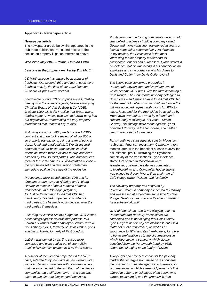#### **Appendix 2 - Newspaper article**

#### **Newspaper article**

The newspaper article below first appeared in the pub trade publication Propel and relates to the section on property litigation referred to above:

#### *Wed 22nd May 2013 – Propel Opinion Extra*

#### *Lessons in the property market by Tim Martin*

*J D Wetherspoon has always been a buyer of freeholds. Our second, third and fourth pubs were freehold and, by the time of our 1992 flotation, 20 of our 44 pubs were freehold.*

*I negotiated our first 20 or so pubs myself, dealing directly with the owners' agents, before employing Christian Braun, of Van de Berg & Co (VDB), in about 1990. Little did I realise that Braun was a double agent or 'mole', who was to burrow deep into our organisation, undermining the very property foundations that underpin any retailer.*

*Following a tip-off in 2005, we terminated VDB's contract and undertook a review of all our 600 or so property transactions, using a team of up to a dozen legal and paralegal staff. We discovered about 50 "back-to-back" transactions in which freeholds, which were available to buy, had been diverted by VDB to third parties, who had acquired them at the same time as JDW had taken a lease – the rent being set at a level which created an immediate uplift in the value of the reversion.*

*Proceedings were issued against VDB and its directors, Braun, George Aldridge and Richard Harvey, in respect of about a dozen of these transactions. In a 136-page judgment, Mr Justice Peter Smith found that VDB had fraudulently diverted properties to number of third parties, but he made no findings against the third parties themselves.*

*Following Mr Justice Smith's judgment, JDW issued proceedings against several third parties: Paul Ferrari of Braun's former employer Ferrari Dewe & Co; Anthony Lyons, formerly of Davis Coffer Lyons and Jason Harris, formerly of First London.*

*Liability was denied by all. The cases were contested and were settled out of court. JDW received substantial payments in all three cases.*

*A number of the pleaded properties in the VDB case, referred to by the judge as the 'Ferrari Five', involved Jersey companies with nominee owners that were connected to Ferrari. Each of the Jersey companies had a different name – and care was taken to use different lawyers and nominees.*

*Profits from the purchasing companies were usually channelled to a Jersey holding company called Gecko and money was then transferred as loans or fees to companies controlled by VDB directors. In my opinion, the Lyons case is the most interesting for the property market and for prospective tenants and purchasers. Lyons stated in his defence that he was acting in his capacity as an employee and in accordance with his duties to Davis and Coffer (now Davis Coffer Lyons).*

*The Lyons case concerned properties in Portsmouth, Leytonstone and Newbury, two of which became JDW pubs, with the third becoming a Café Rouge. The Portsmouth property belonged to British Gas – and Justice Smith found that VDB bid for the freehold, unbeknown to JDW, and, once the bid was accepted, agreed with Lyons for JDW to take a lease and for the freehold to be acquired by Moorstown Properties, owned by a friend, and subsequently a colleague, of Lyons – Simon Conway. No findings were made against Lyons, or indeed Conway, in the VDB case, and neither person was a party to the case.*

*Portsmouth was subsequently sold by Moorstown to Scottish American Investment Company, a few* months later, with the benefit of a lease to JDW for a substantial profit. Illustrating the Byzantine complexity of the transactions, Lyons' defence stated that shares in Moorstown were 'transferred', before the sale was completed, to *Northcreek which, Companies House shows, was owned by Roger Myers, then chairman of Café Rouge owner Pelican, and his family.*

*The Newbury property was acquired by Riverside Stores, a company connected to Conway, and was leased at around the same time to Café Rouge. Newbury was sold shortly after completion for a substantial profit.*

*JDW did not allege, and is not alleging, that the Portsmouth and Newbury transactions are connected and is not alleging that Davis Coffer Lyons, Myers or Conway are dishonest, but it is a matter of public importance, as well as of importance to JDW and its shareholders, for there to be an explanation as to the circumstances in which Moorstown, a company which clearly benefited from the Portsmouth fraud by VDB, ended up belonging to the family of Myers.*

*A key legal and ethical question for the property market that emerges from these cases concerns the obligations of estate agents and investors, in circumstances in which a freehold property is first offered to a friend or colleague of an agent, who agrees to acquire it, and the property is then*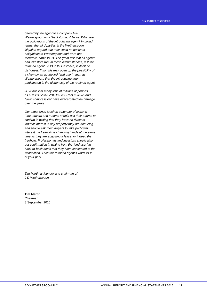*offered by the agent to a company like Wetherspoon on a "back-to-back" basis. What are the obligations of the introducing agent? In broad terms, the third parties in the Wetherspoon litigation argued that they owed no duties or obligations to Wetherspoon and were not, therefore, liable to us. The great risk that all agents and investors run, in these circumstances, is if the retained agent, VDB in this instance, is itself be dishonest. If so, this may open up the possibility of a claim by an aggrieved "end user", such as Wetherspoon, that the introducing agent participated in the dishonesty of the retained agent.*

*JDW has lost many tens of millions of pounds as a result of the VDB frauds. Rent reviews and "yield compression" have exacerbated the damage over the years.*

*Our experience teaches a number of lessons. First, buyers and tenants should ask their agents to confirm in writing that they have no direct or indirect interest in any property they are acquiring and should ask their lawyers to take particular interest if a freehold is changing hands at the same time as they are acquiring a lease, or indeed the freehold. Professionals and investors should also get confirmation in writing from the "end user" in back-to-back deals that they have consented to the transaction. Take the retained agent's word for it at your peril.*

*Tim Martin is founder and chairman of J D Wetherspoon*

**Tim Martin** Chairman 8 September 2016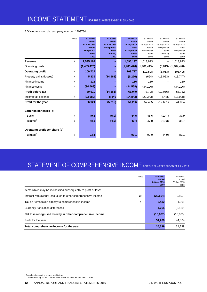#### J D Wetherspoon plc, company number: 1709784

|                                | <b>Notes</b>   | 52 weeks      | 52 weeks           | 52 weeks     | 52 weeks     | 52 weeks     | 52 weeks                |
|--------------------------------|----------------|---------------|--------------------|--------------|--------------|--------------|-------------------------|
|                                |                | ended         | ended              | ended        | ended        | ended        | ended                   |
|                                |                | 24 July 2016  | 24 July 2016       | 24 July 2016 | 26 July 2015 | 26 July 2015 | 26 July 2015            |
|                                |                | <b>Before</b> | <b>Exceptional</b> | After        | Before       | Exceptional  | After                   |
|                                |                | exceptional   | items              | exceptional  | exceptional  | items        | exceptional             |
|                                |                | items         | (note 4)           | items        | items        | (note 4)     | items                   |
|                                |                | £000          | £000               | £000         | £000         | £000         | £000                    |
| Revenue                        | $\mathbf{1}$   | 1,595,197     |                    | 1,595,197    | 1,513,923    |              | 1,513,923               |
| Operating costs                |                | (1,485,470)   |                    | (1,485,470)  | (1,401,415)  |              | $(6,013)$ $(1,407,428)$ |
| <b>Operating profit</b>        | $\overline{2}$ | 109,727       |                    | 109,727      | 112,508      | (6,013)      | 106,495                 |
| Property gains/(losses)        | 3              | 5,335         | (14, 561)          | (9, 226)     | (694)        | (13,053)     | (13, 747)               |
| Finance income                 | 6              | 116           |                    | 116          | 180          |              | 180                     |
| Finance costs                  | 6              | (34, 568)     |                    | (34, 568)    | (34, 196)    |              | (34, 196)               |
| <b>Profit before tax</b>       |                | 80,610        | (14, 561)          | 66,049       | 77,798       | (19,066)     | 58,732                  |
| Income tax expense             | 7              | (23, 689)     | 8,846              | (14, 843)    | (20, 343)    | 6,435        | (13,908)                |
| Profit for the year            |                | 56,921        | (5,715)            | 51,206       | 57,455       | (12, 631)    | 44,824                  |
|                                |                |               |                    |              |              |              |                         |
| Earnings per share (p)         |                |               |                    |              |              |              |                         |
| $-$ Basic <sup>1</sup>         | 8              | 49.5          | (5.0)              | 44.5         | 48.6         | (10.7)       | 37.9                    |
| $-$ Diluted <sup>2</sup>       | 8              | 48.3          | (4.9)              | 43.4         | 47.0         | (10.3)       | 36.7                    |
|                                |                |               |                    |              |              |              |                         |
| Operating profit per share (p) |                |               |                    |              |              |              |                         |
| $-$ Diluted <sup>2</sup>       | 8              | 93.1          |                    | 93.1         | 92.0         | (4.9)        | 87.1                    |

### STATEMENT OF COMPREHENSIVE INCOME FOR THE 52 WEEKS ENDED 24 JULY 2016

|                                                                 | <b>Notes</b>   | 52 weeks<br>ended<br>24 July 2016<br>£000 | 52 weeks<br>ended<br>26 July 2015<br>£000 |
|-----------------------------------------------------------------|----------------|-------------------------------------------|-------------------------------------------|
| Items which may be reclassified subsequently to profit or loss: |                |                                           |                                           |
| Interest-rate swaps: loss taken to other comprehensive income   | 23             | (23, 504)                                 | (9,807)                                   |
| Tax on items taken directly to comprehensive income             | $\overline{7}$ | 3,432                                     | 1,961                                     |
| Currency translation differences                                |                | 4,265                                     | (2, 189)                                  |
| Net loss recognised directly in other comprehensive income      |                | (15, 807)                                 | (10, 035)                                 |
| Profit for the year                                             |                | 51,206                                    | 44.824                                    |
| Total comprehensive income for the year                         |                | 35,399                                    | 34.789                                    |

 $^1$  Calculated excluding shares held in trust.<br> $^2$  Calculated using issued share capital which includes shares held in trust.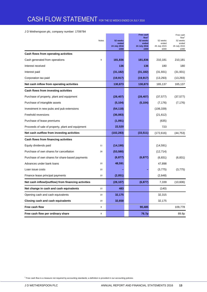#### fdfdfds CASH FLOW STATEMENT FOR THE 52 WEEKS ENDED 24 JULY 2016

J D Wetherspoon plc, company number: 1709784

| Notes<br>Cash flows from operating activities       | 52 weeks<br>ended<br>24 July 2016<br>£000 | Free cash<br>flow <sup>1</sup><br>52 weeks<br>ended<br>24 July 2016<br>£000 | 52 weeks<br>ended<br>26 July 2015<br>£000 | Free cash<br>flow <sup>1</sup><br>52 weeks<br>ended<br>26 July 2015<br>£000 |
|-----------------------------------------------------|-------------------------------------------|-----------------------------------------------------------------------------|-------------------------------------------|-----------------------------------------------------------------------------|
| $\boldsymbol{9}$<br>Cash generated from operations  | 181,836                                   | 181,836                                                                     | 210,181                                   | 210,181                                                                     |
| Interest received                                   | 136                                       | 136                                                                         | 180                                       | 180                                                                         |
| Interest paid                                       | (31, 182)                                 | (31, 182)                                                                   | (31, 931)                                 | (31, 931)                                                                   |
| Corporation tax paid                                | (19, 917)                                 | (19, 917)                                                                   | (13, 293)                                 | (13, 293)                                                                   |
| Net cash inflow from operating activities           | 130,873                                   | 130,873                                                                     | 165,137                                   | 165,137                                                                     |
| Cash flows from investing activities                |                                           |                                                                             |                                           |                                                                             |
| Purchase of property, plant and equipment           | (28, 407)                                 | (28, 407)                                                                   | (37, 577)                                 | (37, 577)                                                                   |
| Purchase of intangible assets                       | (5, 104)                                  | (5, 104)                                                                    | (7, 176)                                  | (7, 176)                                                                    |
| Investment in new pubs and pub extensions           | (54, 118)                                 |                                                                             | (106, 339)                                |                                                                             |
| Freehold reversions                                 | (36,083)                                  |                                                                             | (21, 612)                                 |                                                                             |
| Purchase of lease premiums                          | (1,091)                                   |                                                                             | (635)                                     |                                                                             |
| Proceeds of sale of property, plant and equipment   | 22,520                                    |                                                                             | 723                                       |                                                                             |
| Net cash outflow from investing activities          | (102, 283)                                | (33, 511)                                                                   | (172, 616)                                | (44, 753)                                                                   |
| Cash flows from financing activities                |                                           |                                                                             |                                           |                                                                             |
| Equity dividends paid<br>11                         | (14, 190)                                 |                                                                             | (14, 591)                                 |                                                                             |
| Purchase of own shares for cancellation<br>28       | (53, 580)                                 |                                                                             | (12, 714)                                 |                                                                             |
| Purchase of own shares for share-based payments     | (6, 877)                                  | (6, 877)                                                                    | (6, 831)                                  | (6,831)                                                                     |
| Advances under bank loans<br>10                     | 48,591                                    |                                                                             | 47,898                                    |                                                                             |
| Loan issue costs<br>10                              |                                           |                                                                             | (3,775)                                   | (3,775)                                                                     |
| Finance lease principal payments<br>10              | (2,051)                                   |                                                                             | (2,648)                                   |                                                                             |
| Net cash inflow/(outflow) from financing activities | (28, 107)                                 | (6, 877)                                                                    | 7,339                                     | (10,606)                                                                    |
| Net change in cash and cash equivalents<br>10       | 483                                       |                                                                             | (140)                                     |                                                                             |
| Opening cash and cash equivalents<br>19             | 32,175                                    |                                                                             | 32,315                                    |                                                                             |
| Closing cash and cash equivalents<br>19             | 32,658                                    |                                                                             | 32,175                                    |                                                                             |
| Free cash flow<br>8                                 |                                           | 90,485                                                                      |                                           | 109,778                                                                     |
| Free cash flow per ordinary share<br>8              |                                           | 76.7p                                                                       |                                           | 89.8p                                                                       |

 $1$  Free cash flow is a measure not required by accounting standards; a definition is provided in our accounting policies.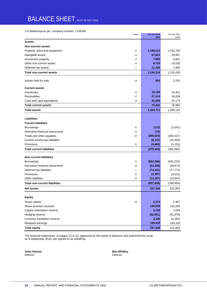### BALANCE SHEET AS AT 24 JULY 2016

J D Wetherspoon plc, company number: 1709784

| Notes                                  | 24 July 2016<br>£000 | 26 July 2015<br>£000 |
|----------------------------------------|----------------------|----------------------|
| Assets                                 |                      |                      |
| <b>Non-current assets</b>              |                      |                      |
| Property, plant and equipment<br>12    | 1,188,512            | 1,153,756            |
| Intangible assets<br>13                | 27,051               | 29,997               |
| Investment property<br>14              | 7,605                | 8,651                |
| Other non-current assets<br>15         | 9,725                | 10,028               |
| Deferred tax assets<br>$\overline{7}$  | 11,426               | 7,994                |
| Total non-current assets               | 1,244,319            | 1,210,426            |
| Assets held for sale<br>18             | 950                  | 1,220                |
| <b>Current assets</b>                  |                      |                      |
| Inventories<br>16                      | 19,168               | 19,451               |
| Receivables<br>17                      | 27,616               | 26,838               |
| Cash and cash equivalents<br>19        | 32,658               | 32,175               |
| <b>Total current assets</b>            | 79,442               | 78,464               |
| Total assets                           | 1,324,711            | 1,290,110            |
|                                        |                      |                      |
| Liabilities                            |                      |                      |
| <b>Current liabilities</b>             |                      |                      |
| <b>Borrowings</b><br>21                | (112)                | (2,051)              |
| Derivative financial instruments<br>23 | (79)                 |                      |
| Trade and other payables<br>20         | (266, 523)           | (283, 227)           |
| Current income tax liabilities         | (8, 247)             | (10,053)             |
| Provisions<br>22                       | (4, 463)             | (5,231)              |
| <b>Total current liabilities</b>       | (279, 424)           | (300, 562)           |
| <b>Non-current liabilities</b>         |                      |                      |
| Borrowings<br>21                       | (683, 306)           | (631, 232)           |
| Derivative financial instruments<br>23 | (63, 398)            | (39, 973)            |
| Deferred tax liabilities<br>7          | (74, 441)            | (77, 771)            |
| Provisions<br>22                       | (3, 387)             | (4,012)              |
| Other liabilities<br>24                | (13, 307)            | (13,667)             |
| Total non-current liabilities          | (837, 839)           | (766, 655)           |
| <b>Net assets</b>                      | 207,448              | 222,893              |
|                                        |                      |                      |
| <b>Equity</b>                          |                      |                      |
| Share capital<br>28                    | 2,273                | 2,387                |
| Share premium account                  | 143,294              | 143,294              |
| Capital redemption reserve             | 2,158                | 2,044                |
| Hedging reserve                        | (52,051)             | (31, 979)            |
| Currency translation reserve           | 2,340                | (2, 182)             |
| Retained earnings                      | 109,434              | 109,329              |
| <b>Total equity</b>                    | 207,448              | 222,893              |

The financial statements, on pages 12 to 42, approved by the board of directors and authorised for issue on 8 September 2016, are signed on its behalf by:

Director Director

**John Hutson Ben Whitley**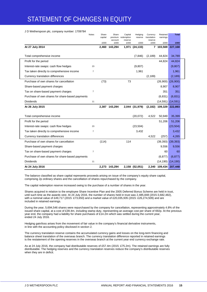#### fdfdfds STATEMENT OF CHANGES IN EQUITY

#### J D Wetherspoon plc, company number: 1709784

|                                                 | Notes          | Share<br>capital | Share<br>premium | Capital<br>redemption | Hedging<br>reserve | Currency<br>translation | Retained<br>earnings | <b>Total</b> |  |
|-------------------------------------------------|----------------|------------------|------------------|-----------------------|--------------------|-------------------------|----------------------|--------------|--|
|                                                 |                | £000             | account<br>£000  | reserve<br>£000       | £000               | reserve<br>£000         | £000                 | £000         |  |
| At 27 July 2014                                 |                |                  | 2,460 143,294    | 1,971                 | (24, 133)          |                         | 7 103,569            | 227,168      |  |
|                                                 |                |                  |                  |                       |                    |                         |                      |              |  |
| Total comprehensive income                      |                |                  |                  |                       | (7, 846)           | (2, 189)                | 44,824               | 34,789       |  |
| Profit for the period                           |                |                  |                  |                       |                    |                         | 44.824               | 44,824       |  |
| Interest-rate swaps: cash flow hedges           | 23             |                  |                  |                       | (9,807)            |                         |                      | (9,807)      |  |
| Tax taken directly to comprehensive income      | 7              |                  |                  |                       | 1,961              |                         |                      | 1,961        |  |
| Currency translation differences                |                |                  |                  |                       |                    | (2, 189)                |                      | (2, 189)     |  |
| Purchase of own shares for cancellation         |                | (73)             |                  | 73                    |                    |                         | (26,900)             | (26,900)     |  |
| Share-based payment charges                     |                |                  |                  |                       |                    |                         | 8,907                | 8,907        |  |
| Tax on share-based payment charges              | 7              |                  |                  |                       |                    |                         | 351                  | 351          |  |
| Purchase of own shares for share-based payments |                |                  |                  |                       |                    |                         | (6,831)              | (6, 831)     |  |
| <b>Dividends</b>                                | 11             |                  |                  |                       |                    |                         | (14, 591)            | (14, 591)    |  |
| At 26 July 2015                                 |                |                  | 2,387 143,294    |                       | 2,044 (31,979)     | (2, 182)                | 109,329              | 222,893      |  |
|                                                 |                |                  |                  |                       |                    |                         |                      |              |  |
| Total comprehensive income                      |                |                  |                  |                       | (20,072)           | 4,522                   | 50,949               | 35,399       |  |
| Profit for the period                           |                |                  |                  |                       |                    |                         | 51,206               | 51,206       |  |
| Interest-rate swaps: cash flow hedges           | 23             |                  |                  |                       | (23, 504)          |                         |                      | (23, 504)    |  |
| Tax taken directly to comprehensive income      | $\overline{7}$ |                  |                  |                       | 3,432              |                         |                      | 3,432        |  |
| Currency translation differences                |                |                  |                  |                       |                    | 4,522                   | (257)                | 4,265        |  |
| Purchase of own shares for cancellation         |                | (114)            |                  | 114                   |                    |                         | (39, 393)            | (39, 393)    |  |
| Share-based payment charges                     |                |                  |                  |                       |                    |                         | 9,556                | 9,556        |  |
| Tax on share-based payment charges              | $\overline{7}$ |                  |                  |                       |                    |                         | 60                   | 60           |  |
| Purchase of own shares for share-based payments |                |                  |                  |                       |                    |                         | (6, 877)             | (6, 877)     |  |
| <b>Dividends</b>                                | 11             |                  |                  |                       |                    |                         | (14, 190)            | (14, 190)    |  |
| At 24 July 2016                                 |                |                  | 2,273 143,294    |                       | 2,158 (52,051)     |                         | 2,340 109,434        | 207,448      |  |

The balance classified as share capital represents proceeds arising on issue of the company's equity share capital, comprising 2p ordinary shares and the cancellation of shares repurchased by the company.

The capital redemption reserve increased owing to the purchase of a number of shares in the year.

Shares acquired in relation to the employee Share Incentive Plan and the 2005 Deferred Bonus Scheme are held in trust, until such time as the awards vest. At 24 July 2016, the number of shares held in trust was 2,485,848 (2015:3,682,482), with a nominal value of £49,717 (2015: £73,650) and a market value of £20,035,935 (2015: £26,274,509) and are included in retained earnings.

During the year, 5,694,546 shares were repurchased by the company for cancellation, representing approximately 4.8% of the issued share capital, at a cost of £39.4m, including stamp duty, representing an average cost per share of 692p. At the previous year end, the company had a liability for share purchases of £14.2m which was settled during the current year, ended 24 July 2016.

Hedging gain/loss arises from the movement of fair value in the company's financial derivative instruments, in line with the accounting policy disclosed in section 2.

The currency translation reserve contains the accumulated currency gains and losses on the long-term financing and balance sheet translation of the overseas branch. The currency translation difference reported in retained earnings is the restatement of the opening reserves in the overseas branch at the current year end currency exchange rate.

As at 24 July 2016, the company had distributable reserves of £57.4m (2015: £75.2m). The retained earnings are fully distributable. The hedging reserves and the currency translation reserves reduce the company's distributable reserves when they are in deficit.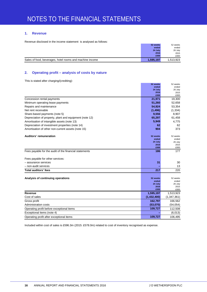#### **1. Revenue**

Revenue disclosed in the income statement is analysed as follows:

|                                                          | 52 weeks  | 52 weeks  |
|----------------------------------------------------------|-----------|-----------|
|                                                          | ended     | ended     |
|                                                          | 24 July   | 26 July   |
|                                                          | 2016      | 2015      |
|                                                          | £000      | £000      |
| Sales of food, beverages, hotel rooms and machine income | 1,595,197 | 1,513,923 |

#### **2. Operating profit – analysis of costs by nature**

This is stated after charging/(crediting):

|                                                         | 52 weeks          | 52 weeks             |
|---------------------------------------------------------|-------------------|----------------------|
|                                                         | ended<br>24 July  | ended<br>26 July     |
|                                                         | 2016              | 2015                 |
|                                                         | £000              | £000                 |
| Concession rental payments                              | 21,971            | 19,300               |
| Minimum operating lease payments                        | 51,260            | 52,658               |
| Repairs and maintenance                                 | 54,924            | 53,354               |
| Net rent receivable                                     | (1, 496)          | (1, 334)             |
| Share-based payments (note 5)                           | 9,556             | 8,907                |
| Depreciation of property, plant and equipment (note 12) | 65,297            | 61,458               |
| Amortisation of intangible assets (note 13)             | 5,949             | 4.775                |
| Depreciation of investment properties (note 14)         | 62                | 62                   |
| Amortisation of other non-current assets (note 15)      | 904               | 373                  |
| Auditors' remuneration                                  | 52 weeks          | 52 weeks             |
|                                                         | ended             | ended                |
|                                                         | 24 July<br>2016   | 26 July<br>2015      |
|                                                         | £000              | £000                 |
| Fees payable for the audit of the financial statements  | 186               | 177                  |
| Fees payable for other services:                        |                   |                      |
| – assurance services                                    | 31                | 30                   |
| - non-audit services                                    |                   | 13                   |
| <b>Total auditors' fees</b>                             | 217               | 220                  |
|                                                         |                   |                      |
| Analysis of continuing operations                       | 52 weeks<br>ended | 52 weeks<br>ended    |
|                                                         | 24 July           | 26 July              |
|                                                         | 2016<br>£000      | 2015                 |
| Revenue                                                 | 1,595,197         | £000<br>1,513,923    |
| Cost of sales                                           | (1,432,400)       | (1, 347, 361)        |
|                                                         | 162,797           | 166,562              |
| Gross profit<br>Administration costs                    | (53,070)          |                      |
|                                                         | 109,727           | (54, 054)<br>112,508 |
| Operating profit before exceptional items               |                   |                      |
| Exceptional items (note 4)                              |                   | (6,013)              |
| Operating profit after exceptional items                | 109,727           | 106,495              |

Included within cost of sales is £596.3m (2015: £578.0m) related to cost of inventory recognised as expense.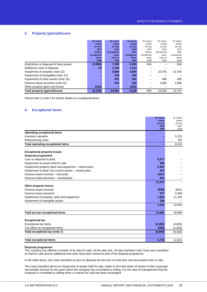#### **3. Property (gains)/losses**

|                                         | 52 weeks      | 52 weeks           | 52 weeks    | 52 weeks    | 52 weeks    | 52 weeks    |
|-----------------------------------------|---------------|--------------------|-------------|-------------|-------------|-------------|
|                                         | ended         | ended              | ended       | ended       | ended       | ended       |
|                                         | 24 July       | 24 July            | 24 July     | 26 July     | 26 July     | 26 July     |
|                                         | 2016          | 2016               | 2016        | 2015        | 2015        | 2015        |
|                                         | <b>Before</b> | <b>Exceptional</b> | After       | Before      | Exceptional | After       |
|                                         | exceptional   | <b>items</b>       | exceptional | exceptional | items       | exceptional |
|                                         | items         | (note 4)           | items       | items       | (note 4)    | items       |
|                                         | £000          | £000               | £000        | £000        | £000        | £000        |
| (Gain)/loss on disposal of fixed assets | (4,866)       | 7,328              | 2,462       | 694         |             | 694         |
| Additional costs of disposal            | 63            | 1,149              | 1,212       |             |             |             |
| Impairment of property (note 12)        |               | 4,809              | 4,809       |             | 10.705      | 10,705      |
| Impairment of intangibles (note 13)     |               | 239                | 239         |             |             |             |
| Impairment of other assets (note 15)    |               | 491                | 491         |             | 490         | 490         |
| Onerous lease provision (note 22)       |               | 545                | 545         |             | 1.858       | 1,858       |
| Other property gains and losses         | (532)         |                    | (532)       |             |             |             |
| Total property (gains)/losses           | (5, 335)      | 14,561             | 9,226       | 694         | 13.053      | 13,747      |

Please refer to note 4 for further details on exceptional items.

#### **4. Exceptional items**

|                                                       | 52 weeks        | 52 weeks        |
|-------------------------------------------------------|-----------------|-----------------|
|                                                       | ended           | ended           |
|                                                       | 24 July<br>2016 | 26 July<br>2015 |
|                                                       | £000            | £000            |
| <b>Operating exceptional items</b>                    |                 |                 |
| Inventory valuation                                   |                 | 5,231           |
| Restructuring costs                                   |                 | 782             |
| <b>Total operating exceptional items</b>              |                 | 6,013           |
| <b>Exceptional property losses</b>                    |                 |                 |
|                                                       |                 |                 |
| Disposal programme                                    |                 |                 |
| Loss on disposal of pubs                              | 8,477           |                 |
| Impairment of assets held for sale                    | 598             |                 |
| Impairment property plant and equipment - closed pubs | 2,287           |                 |
| Impairment of other non-current assets - closed pubs  | 491             |                 |
| Onerous lease reversal - sold pubs                    | (427)           |                 |
| Onerous lease provision - closed pubs                 | 944             |                 |
|                                                       | 12,370          |                 |
| Other property losses                                 |                 |                 |
| Onerous lease reversal                                | (949)           | (841)           |
| Onerous lease provision                               | 977             | 2.699           |
| Impairment of property, plant and equipment           | 1,924           | 11,195          |
| Impairment of intangible assets                       | 239             |                 |
|                                                       | 2,191           | 13,053          |
| Total pre-tax exceptional items                       | 14,561          | 19,066          |
|                                                       |                 |                 |
| <b>Exceptional tax</b>                                |                 |                 |
| Exceptional tax items                                 | (8, 363)        | (4,809)         |
| Tax effect on exceptional items                       | (483)           | (1,626)         |
| Total exceptional tax (note 7)                        | (8, 846)        | (6, 435)        |
|                                                       |                 |                 |
| <b>Total exceptional items</b>                        | 5,715           | 12,631          |

#### **Disposal programme**

The company has offered a number of its sites for sale. At the year end, 29 sites had been sold, three were classified as held for sale and an additional nine sites have been closed as part of the disposal programme.

In the table above, the costs classified as loss on disposal are the loss on sold sites and associated costs to sale.

The costs classified above as impairment of assets held for sale, relate to the write-down of assets to their assessed recoverable amount for any pubs which the company has committed to selling. It is the view of management that the company is committed to selling when a contract for sale has been exchanged.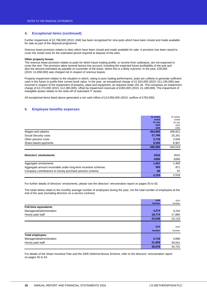#### **4. Exceptional items (continued)**

Further impairment of £2,788,000 (2015: £Nil) has been recognised for nine pubs which have been closed and made available for sale as part of the disposal programme.

Onerous lease provision relates to sites which have been closed and made available for sale. A provision has been raised to cover the rental costs for the estimated period required to dispose of the sites.

#### **Other property losses**

The onerous lease provision relates to pubs for which future trading profits, or income from subleases, are not expected to cover the rent. The provision takes several factors into account, including the expected future profitability of the pub and also the amount estimated as payable on surrender of the lease, where this is a likely outcome. In the year, £28,000 (2015: £1,858,000) was charged net in respect of onerous leases.

Property impairment relates to the situation in which, owing to poor trading performance, pubs are unlikely to generate sufficient cash in the future to justify their current book value. In the year, an exceptional charge of £1,924,000 (2015: £11,195,000) was incurred in respect of the impairment of property, plant and equipment, as required under IAS 36. This comprises an impairment charge of £2,274,000 (2015: £12,383,000), offset by impairment reversals of £350,000 (2015: £1,188,000). The impairment of intangible assets relates to the write-off of redundant IT assets.

All exceptional items listed above generated a net cash inflow of £13,959,000 (2015: outflow of £782,000).

#### **5. Employee benefits expenses**

|                                                               | 52 weeks | 52 weeks |
|---------------------------------------------------------------|----------|----------|
|                                                               | ended    | ended    |
|                                                               | 24 July  | 26 July  |
|                                                               | 2016     | 2015     |
|                                                               | £000     | £000     |
| Wages and salaries                                            | 454,955  | 406,821  |
| Social Security costs                                         | 27,766   | 25,291   |
| Other pension costs                                           | 3,718    | 3,500    |
| Share-based payments                                          | 9,556    | 8,907    |
|                                                               | 495,995  | 444,519  |
|                                                               |          |          |
| Directors' emoluments                                         | 2016     | 2015     |
|                                                               | £000     | £000     |
| Aggregate emoluments                                          | 1,651    | 1,450    |
| Aggregate amount receivable under long-term incentive schemes | 393      | 971      |
| Company contributions to money purchase pension scheme        | 80       | 97       |
|                                                               | 2,124    | 2,518    |

For further details of directors' emoluments, please see the directors' remuneration report on pages 55 to 63.

The totals below relate to the monthly average number of employees during the year, not the total number of employees at the end of the year (including directors on a service contract).

|                              | 2016<br><b>Number</b> | 2015<br>Number |
|------------------------------|-----------------------|----------------|
| <b>Full-time equivalents</b> |                       |                |
| Managerial/administration    | 4,274                 | 4,233          |
| Hourly paid staff            | 18,774                | 17,885         |
|                              | 23,048                | 22,118         |
|                              |                       |                |
|                              | 2016                  | 2015           |
|                              | <b>Number</b>         | Number         |
| <b>Total employees</b>       |                       |                |
| Managerial/administration    | 4,719                 | 4,690          |
| Hourly paid staff            | 31,959                | 30,041         |
|                              | 36,678                | 34,731         |

For details of the Share Incentive Plan and the 2005 Deferred Bonus Scheme, refer to the directors' remuneration report on pages 55 to 63.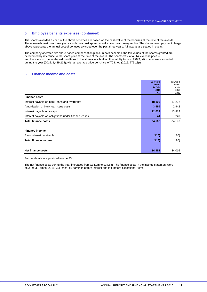#### **5. Employee benefits expenses (continued)**

The shares awarded as part of the above schemes are based on the cash value of the bonuses at the date of the awards. These awards vest over three years – with their cost spread equally over their three-year life. The share-based payment charge above represents the annual cost of bonuses awarded over the past three years. All awards are settled in equity.

The company operates two share-based compensation plans. In both schemes, the fair values of the shares granted are determined by reference to the share price at the date of the award. The shares vest at a £Nil exercise price – and there are no market-based conditions to the shares which affect their ability to vest. 2,099,842 shares were awarded during the year (2015: 1,439,218), with an average price per share of 708.40p (2015: 775.13p).

#### **6. Finance income and costs**

|                                                      | 52 weeks        | 52 weeks        |
|------------------------------------------------------|-----------------|-----------------|
|                                                      | ended           | ended           |
|                                                      | 24 July<br>2016 | 26 July<br>2015 |
|                                                      | £000            | £000            |
| <b>Finance costs</b>                                 |                 |                 |
| Interest payable on bank loans and overdrafts        | 18,893          | 17,202          |
| Amortisation of bank loan issue costs                | 3,595           | 2,942           |
| Interest payable on swaps                            | 12,039          | 13,812          |
| Interest payable on obligations under finance leases | 41              | 240             |
| <b>Total finance costs</b>                           | 34,568          | 34,196          |
|                                                      |                 |                 |
| <b>Finance income</b>                                |                 |                 |
| Bank interest receivable                             | (116)           | (180)           |
| <b>Total finance income</b>                          | (116)           | (180)           |
|                                                      |                 |                 |
| <b>Net finance costs</b>                             | 34,452          | 34,016          |

Further details are provided in note 23.

The net finance costs during the year increased from £34.0m to £34.5m. The finance costs in the income statement were covered 3.3 times (2015: 3.3 times) by earnings before interest and tax, before exceptional items.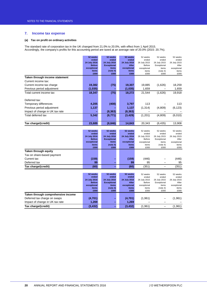#### **7. Income tax expense**

#### **(a) Tax on profit on ordinary activities**

The standard rate of corporation tax in the UK changed from 21.0% to 20.0%, with effect from 1 April 2015. Accordingly, the company's profits for this accounting period are taxed at an average rate of 20.0% (2015: 20.7%).

|                                 | 52 weeks      | 52 weeks           | 52 weeks     | 52 weeks     | 52 weeks     | 52 weeks     |
|---------------------------------|---------------|--------------------|--------------|--------------|--------------|--------------|
|                                 | ended         | ended              | ended        | ended        | ended        | ended        |
|                                 | 24 July 2016  | 24 July 2016       | 24 July 2016 | 26 July 2015 | 26 July 2015 | 26 July 2015 |
|                                 | <b>Before</b> | <b>Exceptional</b> | After        | Before       | Exceptional  | After        |
|                                 | exceptional   | items              | exceptional  | exceptional  | items        | exceptional  |
|                                 | items         | (note 4)           | <b>items</b> | items        | (note 4)     | items        |
|                                 | £000          | £000               | £000         | £000         | £000         | £000         |
| Taken through income statement  |               |                    |              |              |              |              |
| Current income tax:             |               |                    |              |              |              |              |
| Current income tax charge       | 19,382        | (75)               | 19,307       | 19,885       | (1,626)      | 18,259       |
| Previous period adjustment      | (1,035)       |                    | (1,035)      | 1,659        |              | 1,659        |
| Total current income tax        | 18,347        | (75)               | 18,272       | 21,544       | (1,626)      | 19,918       |
| Deferred tax:                   |               |                    |              |              |              |              |
| Temporary differences           | 4,205         | (408)              | 3,797        | 113          |              | 113          |
| Previous period adjustment      | 1,137         |                    | 1,137        | (1, 314)     | (4,809)      | (6, 123)     |
| Impact of change in UK tax rate |               | (8, 363)           | (8, 363)     |              |              |              |
| Total deferred tax              | 5,342         | (8,771)            | (3, 429)     | (1,201)      | (4,809)      | (6,010)      |
|                                 |               |                    |              |              |              |              |
| Tax charge/(credit)             | 23.689        | (8, 846)           | 14,843       | 20.343       | (6, 435)     | 13.908       |

|                            | 52 weeks      | 52 weeks           | 52 weeks     | 52 weeks     | 52 weeks     | 52 weeks     |
|----------------------------|---------------|--------------------|--------------|--------------|--------------|--------------|
|                            | ended         | ended              | ended        | ended        | ended        | ended        |
|                            | 24 July 2016  | 24 July 2016       | 24 July 2016 | 26 July 2015 | 26 July 2015 | 26 July 2015 |
|                            | <b>Before</b> | <b>Exceptional</b> | After        | Before       | Exceptional  | After        |
|                            | exceptional   | items              | exceptional  | exceptional  | items        | exceptional  |
|                            | items         | (note 4)           | items        | items        | (note 4)     | items        |
|                            | £000          | £000               | £000         | £000         | £000         | £000         |
| Taken through equity       |               |                    |              |              |              |              |
| Tax on share-based payment |               |                    |              |              |              |              |
| Current tax                | (159)         |                    | (159)        | (446)        |              | (446)        |
| Deferred tax               | 99            |                    | 99           | 95           |              | 95           |
| Tax charge/(credit)        | (60)          |                    | (60)         | (351)        |              | (351)        |

|                                    | 52 weeks      | 52 weeks           | 52 weeks     | 52 weeks     | 52 weeks     | 52 weeks     |
|------------------------------------|---------------|--------------------|--------------|--------------|--------------|--------------|
|                                    |               |                    |              |              |              |              |
|                                    | ended         | ended              | ended        | ended        | ended        | ended        |
|                                    | 24 July 2016  | 24 July 2016       | 24 July 2016 | 26 July 2015 | 26 July 2015 | 26 July 2015 |
|                                    | <b>Before</b> | <b>Exceptional</b> | After        | Before       | Exceptional  | After        |
|                                    | exceptional   | <b>items</b>       | exceptional  | exceptional  | items        | exceptional  |
|                                    | items         | (note 4)           | items        | items        | (note 4)     | items        |
|                                    | £000          | £000               | £000         | £000         | £000         | £000         |
| Taken through comprehensive income |               |                    |              |              |              |              |
| Deferred tax charge on swaps       | (4,701)       |                    | (4,701)      | (1,961)      | -            | (1,961)      |
| Impact of change in UK tax rate    | 1,269         |                    | 1,269        |              |              |              |
| Tax charge/(credit)                | (3, 432)      |                    | (3, 432)     | (1,961)      | —            | (1,961)      |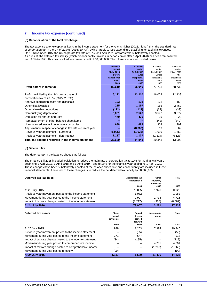#### **7. Income tax expense (continued)**

#### **(b) Reconciliation of the total tax charge**

The tax expense after exceptional items in the income statement for the year is higher (2015: higher) than the standard rate of corporation tax in the UK of 20.0% (2015: 20.7%), owing largely to less expenditure qualifying for capital allowances. On 18 November 2015, the UK corporate tax rate of 18% for 1 April 2020 onwards was substantively enacted. As a result, the deferred tax liability (which predominantly unwinds in periods on or after 1 April 2020) has been remeasured from 20% to 18%. This has resulted in a one-off credit of £8,363,000. The differences are reconciled below:

|                                                            | 52 weeks      | 52 weeks    | 52 weeks    | 52 weeks    |
|------------------------------------------------------------|---------------|-------------|-------------|-------------|
|                                                            | ended         | ended       | ended       | ended       |
|                                                            | 24 Jul 2016   | 24 Jul 2016 | 26 Jul 2015 | 26 Jul 2015 |
|                                                            | <b>Before</b> | After       | Before      | After       |
|                                                            | exceptional   | exceptional | exceptional | exceptional |
|                                                            | items         | items       | items       | items       |
|                                                            | £000          | £000        | £000        | £000        |
| Profit before income tax                                   | 80,610        | 66,049      | 77,798      | 58,732      |
|                                                            |               |             |             |             |
| Profit multiplied by the UK standard rate of               | 16,122        | 13,210      | 16,078      | 12,138      |
| corporation tax of 20.0% (2015: 20.7%)                     |               |             |             |             |
| Abortive acquisition costs and disposals                   | 123           | 123         | 163         | 163         |
| Other disallowables                                        | 215           | 1,197       | 155         | 2,469       |
| Other allowable deductions                                 | (112)         | (112)       | (33)        | (33)        |
| Non-qualifying depreciation                                | 6,081         | 7,528       | 3,577       | 3,577       |
| Deduction for shares and SIPs                              | 470           | 470         | 29          | 29          |
| Remeasurement of other balance sheet items                 |               |             | (342)       | (342)       |
| Unrecognised losses in overseas companies                  | 688           | 688         | 302         | 302         |
| Adjustment in respect of change in tax rate – current year |               | (8, 363)    | 69          | 69          |
| Previous year adjustment – current tax                     | (1,035)       | (1,035)     | 1,659       | 1,659       |
| Previous year adjustment – deferred tax                    | 1,137         | 1,137       | (1, 314)    | (6, 123)    |
| Total tax expense reported in the income statement         | 23,689        | 14,843      | 20,343      | 13,908      |

#### **(c) Deferred tax**

The deferred tax in the balance sheet is as follows:

The Finance Bill 2015 included legislation to reduce the main rate of corporation tax to 19% for the financial years beginning 1 April 2017, 1 April 2018 and 1 April 2019 – and to 18% for the financial year beginning 1 April 2020. These changes have been substantively enacted at the balance sheet date and consequently are included in these financial statements. The effect of these changes is to reduce the net deferred tax liability by £8,363,000.

| temporary<br>differences<br>£000 | £000    |
|----------------------------------|---------|
|                                  |         |
|                                  |         |
|                                  |         |
| 1.928                            | 80,023  |
|                                  | 1.082   |
| 1.718                            | 4.715   |
| (365)                            | (8,582) |
| 3.281                            | 77.238  |
|                                  |         |

| Deferred tax assets                                      | Share    | Capital | Interest-rate | <b>Total</b> |
|----------------------------------------------------------|----------|---------|---------------|--------------|
|                                                          | based    | losses  | swaps         |              |
|                                                          | payments | carried |               |              |
|                                                          |          | forward |               |              |
|                                                          | £000     | £000    | £000          | £000         |
| At 26 July 2015                                          | 999      | 1.253   | 7,994         | 10,246       |
| Previous year movement posted to the income statement    |          | (55)    |               | (55)         |
| Movement during year posted to the income statement      | 271      | 647     |               | 918          |
| Impact of tax rate change posted to the income statement | (34)     | (185)   |               | (219)        |
| Movement during year posted to comprehensive income      |          |         | 4.701         | 4.701        |
| Impact of tax rate change posted to comprehensive income |          |         | (1,269)       | (1,269)      |
| Movement during year posted to equity                    | (99)     |         |               | (99)         |
| At 24 July 2016                                          | 1,137    | 1.660   | 11,426        | 14.223       |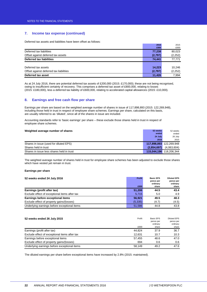#### **7. Income tax expense (continued)**

Deferred tax assets and liabilities have been offset as follows:

|                                         | 2016    | 2015     |
|-----------------------------------------|---------|----------|
|                                         | £000    | £000     |
| Deferred tax liabilities                | 77,238  | 80,023   |
| Offset against deferred tax assets      | (2,797) | (2, 252) |
| <b>Deferred tax liabilities</b>         | 74.441  | 77,771   |
|                                         |         |          |
| Deferred tax assets                     | 14.223  | 10.246   |
| Offset against deferred tax liabilities | (2,797) | (2, 252) |
| Deferred tax asset                      | 11.426  | 7.994    |

As at 24 July 2016, there are potential deferred tax assets of £200,000 (2015: £170,000); these are not being recognised, owing to insufficient certainty of recovery. This comprises a deferred tax asset of £800,000, relating to losses (2015: £180,000), less a deferred tax liability of £600,000, relating to accelerated capital allowances (2015: £10,000).

#### **8. Earnings and free cash flow per share**

Earnings per share are based on the weighted average number of shares in issue of 117,898,893 (2015: 122,269,948), including those held in trust in respect of employee share schemes. Earnings per share, calculated on this basis, are usually referred to as 'diluted', since all of the shares in issue are included.

Accounting standards refer to 'basic earnings' per share – these exclude those shares held in trust in respect of employee share schemes.

| Weighted average number of shares         |             | 52 weeks                |
|-------------------------------------------|-------------|-------------------------|
|                                           | ended       | ended                   |
|                                           | 24 July     | 26 July                 |
|                                           | 2016        | 2015                    |
| Shares in issue (used for diluted EPS)    |             | 117,898,893 122,269,948 |
| Shares held in trust                      | (2,854,697) | (4,063,604)             |
| Shares in issue less shares held in trust |             | 115,044,196 118,206,344 |

The weighted average number of shares held in trust for employee share schemes has been adjusted to exclude those shares which have vested yet remain in trust.

#### **Earnings per share**

| 52 weeks ended 24 July 2016                   | Profit<br>£000 | <b>Basic EPS</b><br>pence per<br>ordinary<br>share | <b>Diluted EPS</b><br>pence per<br>ordinary<br>share |
|-----------------------------------------------|----------------|----------------------------------------------------|------------------------------------------------------|
| Earnings (profit after tax)                   | 51,206         | 44.5                                               | 43.4                                                 |
| Exclude effect of exceptional items after tax | 5.715          | 5.0                                                | 4.9                                                  |
| Earnings before exceptional items             | 56.921         | 49.5                                               | 48.3                                                 |
| Exclude effect of property gains/(losses)     | (5,335)        | (4.7)                                              | (4.5)                                                |
| Underlying earnings before exceptional items  | 51,586         | 44.8                                               | 43.8                                                 |

| 52 weeks ended 26 July 2015                   | Profit | Basic EPS<br>pence per<br>ordinary | <b>Diluted EPS</b><br>pence per<br>ordinary |
|-----------------------------------------------|--------|------------------------------------|---------------------------------------------|
|                                               | £000   | share                              | share                                       |
| Earnings (profit after tax)                   | 44.824 | 37.9                               | 36.7                                        |
| Exclude effect of exceptional items after tax | 12.631 | 10.7                               | 10.3                                        |
| Earnings before exceptional items             | 57.455 | 48.6                               | 47.0                                        |
| Exclude effect of property gains/(losses)     | 694    | 0.6                                | 0.6                                         |
| Underlying earnings before exceptional items  | 58.149 | 49.2                               | 47.6                                        |

The diluted earnings per share before exceptional items have increased by 2.8% (2015: maintained).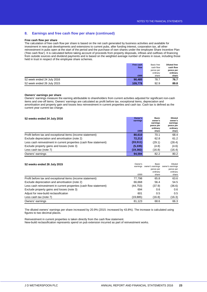#### **8. Earnings and free cash flow per share (continued)**

#### **Free cash flow per share**

The calculation of free cash flow per share is based on the net cash generated by business activities and available for investment in new pub developments and extensions to current pubs, after funding interest, corporation tax, all other reinvestment in pubs open at the start of the period and the purchase of own shares under the employee Share Incentive Plan ('free cash flow'). It is calculated before taking account of proceeds from property disposals, inflows and outflows of financing from outside sources and dividend payments and is based on the weighted average number of shares in issue, including those held in trust in respect of the employee share schemes.

|                            | Free cash | Basic free | <b>Diluted free</b> |
|----------------------------|-----------|------------|---------------------|
|                            | flow      | cash flow  | cash flow           |
|                            |           | pence per  | pence per           |
|                            |           | ordinary   | ordinary            |
|                            | £000      | share      | share               |
| 52 week ended 24 July 2016 | 90.485    | 78.7       | 76.7                |
| 52 week ended 26 July 2015 | 109.778   | 92.9       | 89.8                |

#### **Owners' earnings per share**

Owners' earnings measure the earning attributable to shareholders from current activities adjusted for significant non-cash items and one-off items. Owners' earnings are calculated as profit before tax, exceptional items, depreciation and amortisation and property gain and losses less reinvestment in current properties and cash tax. Cash tax is defined as the current year current tax charge.

| 52 weeks ended 24 July 2016                                        | Owner's<br>earnings | <b>Basic</b><br>owner's<br>earnings<br>pence per<br>ordinary | Diluted<br>owner's<br>earnings<br>pence per<br>ordinary |
|--------------------------------------------------------------------|---------------------|--------------------------------------------------------------|---------------------------------------------------------|
|                                                                    | £000                | share                                                        | share                                                   |
| Profit before tax and exceptional items (income statement)         | 80,610              | 70.1                                                         | 68.4                                                    |
| Exclude depreciation and amortisation (note 2)                     | 72.212              | 62.8                                                         | 61.2                                                    |
| Less cash reinvestment in current properties (cash flow statement) | (33, 511)           | (29.1)                                                       | (28.4)                                                  |
| Exclude property gains and losses (note 3)                         | (5, 335)            | (4.8)                                                        | (4.6)                                                   |
| Less cash tax (note 7)                                             | (19,382)            | (16.8)                                                       | (16.4)                                                  |
| Owners' earnings                                                   | 94.594              | 82.2                                                         | 80.2                                                    |

| 52 weeks ended 26 July 2015                                        | Owner's<br>earnings<br>£000 | Basic<br>owner's earnings<br>pence per<br>ordinary<br>share | Diluted<br>owner's earnings<br>pence per<br>ordinary<br>share |
|--------------------------------------------------------------------|-----------------------------|-------------------------------------------------------------|---------------------------------------------------------------|
| Profit before tax and exceptional items (income statement)         | 77,798                      | 65.8                                                        | 63.6                                                          |
| Exclude depreciation and amortisation (note 2)                     | 66.668                      | 56.4                                                        | 54.5                                                          |
| Less cash reinvestment in current properties (cash flow statement) | (44, 753)                   | (37.9)                                                      | (36.6)                                                        |
| Exclude property gains and losses (note 3)                         | 694                         | 0.6                                                         | 0.6                                                           |
| Adjust for new-build reclassification                              | 601                         | 0.5                                                         | 0.5                                                           |
| Less cash tax (note 7)                                             | (19, 885)                   | (16.8)                                                      | (16.3)                                                        |
| Owners' earnings                                                   | 81.123                      | 68.6                                                        | 66.3                                                          |

The diluted owners' earnings per share increased by 20.9% (2015: increased by 43.8%). The increase is calculated using figures to two decimal places.

Reinvestment in current properties is taken directly from the cash flow statement. New-build reclassification represents spend on pub extension incurred as part of reinvestment works.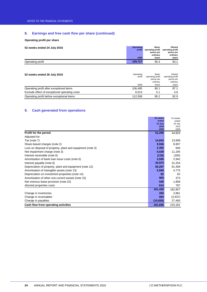#### **8. Earnings and free cash flow per share (continued)**

#### **Operating profit per share**

| 52 weeks ended 24 July 2016 | <b>Operating</b><br>profit | Basic<br>operating profit | <b>Diluted</b><br>operating profit |
|-----------------------------|----------------------------|---------------------------|------------------------------------|
|                             |                            | pence per                 | pence per                          |
|                             |                            | ordinary                  | ordinary                           |
|                             | £000                       | share                     | share                              |
| Operating profit            | 109.727                    | 95.4                      | 93.1                               |

| 52 weeks ended 26 July 2015                   | Operating<br>profit | Basic<br>operating profit<br>pence per<br>ordinary | Diluted<br>operating profit<br>pence per<br>ordinary |
|-----------------------------------------------|---------------------|----------------------------------------------------|------------------------------------------------------|
|                                               | £000                | share                                              | share                                                |
| Operating profit after exceptional items      | 106.495             | 90.1                                               | 87.1                                                 |
| Exclude effect of exceptional operating costs | 6.013               | 5.1                                                | 4.9                                                  |
| Operating profit before exceptional items     | 112.508             | 95.2                                               | 92.0                                                 |

#### **9. Cash generated from operations**

|                                                            | 52 weeks        | 52 weeks     |
|------------------------------------------------------------|-----------------|--------------|
|                                                            | ended           | ended        |
|                                                            | 24 July<br>2016 | 26 July      |
|                                                            | £000            | 2015<br>£000 |
| Profit for the period                                      | 51,206          | 44,824       |
| Adjusted for:                                              |                 |              |
| Tax (note 7)                                               | 14,843          | 13,908       |
| Share-based charges (note 2)                               | 9,556           | 8,907        |
| Loss on disposal of property, plant and equipment (note 3) | 2,462           | 694          |
| Net impairment charge (note 3)                             | 5,539           | 11,195       |
| Interest receivable (note 6)                               | (116)           | (180)        |
| Amortisation of bank loan issue costs (note 6)             | 3,595           | 2,942        |
| Interest payable (note 6)                                  | 30,973          | 31,254       |
| Depreciation of property, plant and equipment (note 12)    | 65,297          | 61,458       |
| Amortisation of intangible assets (note 13)                | 5,949           | 4.775        |
| Depreciation on investment properties (note 14)            | 62              | 62           |
| Amortisation of other non-current assets (note 15)         | 904             | 373          |
| Net onerous lease provision (note 22)                      | 545             | 1,858        |
| Aborted properties costs                                   | 614             | 787          |
|                                                            | 191,429         | 182,857      |
| Change in inventories                                      | 283             | 2,861        |
| Change in receivables                                      | 954             | (2,937)      |
| Change in payables                                         | (10, 830)       | 27,400       |
| Cash flow from operating activities                        | 181,836         | 210,181      |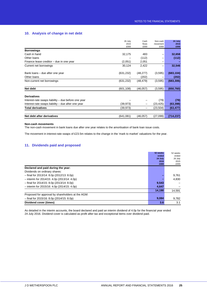#### **10. Analysis of change in net debt**

|                                                     | 26 July      | Cash          | Non-cash         | 24 July      |
|-----------------------------------------------------|--------------|---------------|------------------|--------------|
|                                                     | 2015<br>£000 | flows<br>£000 | movement<br>£000 | 2016<br>£000 |
| <b>Borrowings</b>                                   |              |               |                  |              |
| Cash in hand                                        | 32,175       | 483           |                  | 32,658       |
| Other loans                                         |              | (112)         |                  | (112)        |
| Finance lease creditor – due in one year            | (2,051)      | 2,051         |                  |              |
| Current net borrowings                              | 30,124       | 2,422         |                  | 32,546       |
| Bank loans – due after one year                     | (631, 232)   | (48, 277)     | (3,595)          | (683, 104)   |
| Other loans                                         |              | (202)         |                  | (202)        |
| Non-current net borrowings                          | (631, 232)   | (48, 479)     | (3,595)          | (683, 306)   |
| Net debt                                            | (601,108)    | (46,057)      | (3,595)          | (650, 760)   |
| <b>Derivatives</b>                                  |              |               |                  |              |
| Interest-rate swaps liability – due before one year |              |               | (79)             | (79)         |
| Interest-rate swaps liability – due after one year  | (39, 973)    |               | (23, 425)        | (63, 398)    |
| <b>Total derivatives</b>                            | (39, 973)    |               | (23, 504)        | (63, 477)    |
|                                                     |              |               |                  |              |
| Net debt after derivatives                          | (641,081)    | (46,057)      | (27,099)         | (714, 237)   |

#### **Non-cash movements**

The non-cash movement in bank loans due after one year relates to the amortisation of bank loan issue costs.

The movement in interest-rate swaps of £23.5m relates to the change in the 'mark to market' valuations for the year.

#### **11. Dividends paid and proposed**

|                                                   | 52 weeks | 52 weeks |
|---------------------------------------------------|----------|----------|
|                                                   | ended    | ended    |
|                                                   | 24 July  | 26 July  |
|                                                   | 2016     | 2015     |
|                                                   | £000     | £000     |
| Declared and paid during the year:                |          |          |
| Dividends on ordinary shares:                     |          |          |
| $-$ final for 2013/14: 8.0p (2012/13: 8.0p)       |          | 9,761    |
| $-$ interim for 2014/15: 4.0p (2013/14: 4.0p)     |          | 4,830    |
| $-$ final for 2014/15: 8.0p (2013/14: 8.0p)       | 9,543    |          |
| $-$ interim for 2015/16: 4.0p (2014/15: 4.0p)     | 4,647    |          |
|                                                   | 14,190   | 14,591   |
| Proposed for approval by shareholders at the AGM: |          |          |
| $-$ final for 2015/16: 8.0p (2014/15: 8.0p)       | 9.084    | 9,782    |
| Dividend cover (times)                            | 3.6      | 3.1      |

As detailed in the interim accounts, the board declared and paid an interim dividend of 4.0p for the financial year ended 24 July 2016. Dividend cover is calculated as profit after tax and exceptional items over dividend paid.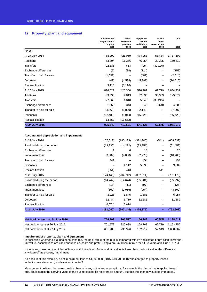#### **12. Property, plant and equipment**

|                                          | <b>Freehold and</b><br>long-leasehold<br>property<br>£000 | Short-<br>leasehold<br>property<br>£000 | Equipment,<br>fixtures<br>and fittings<br>£000 | Assets<br>under<br>construction<br>£000 | Total<br>£000 |
|------------------------------------------|-----------------------------------------------------------|-----------------------------------------|------------------------------------------------|-----------------------------------------|---------------|
| Cost:                                    |                                                           |                                         |                                                |                                         |               |
| At 27 July 2014                          | 788,299                                                   | 421,059                                 | 474,258                                        | 53,484                                  | 1,737,100     |
| Additions                                | 63,804                                                    | 11,366                                  | 46,054                                         | 39,395                                  | 160,619       |
| Transfers                                | 22,383                                                    | 663                                     | 7,054                                          | (30, 100)                               |               |
| Exchange differences                     | (6)                                                       | (38)                                    | (114)                                          |                                         | (158)         |
| Transfer to held for sale                | (1, 532)                                                  |                                         | (482)                                          |                                         | (2,014)       |
| Disposals                                | (43)                                                      | (4, 584)                                | (5,989)                                        |                                         | (10,616)      |
| Reclassification                         | 3,116                                                     | (3, 116)                                |                                                |                                         |               |
| At 26 July 2015                          | 876,021                                                   | 425,350                                 | 520,781                                        | 62,779                                  | 1,884,931     |
| Additions                                | 53,896                                                    | 9,613                                   | 32,030                                         | 30,333                                  | 125,872       |
| Transfers                                | 27,565                                                    | 1,810                                   | 5,840                                          | (35, 215)                               |               |
| Exchange differences                     | 1,065                                                     | 343                                     | 549                                            | 2,648                                   | 4,605         |
| Transfer to held for sale                | (3,869)                                                   | (1,889)                                 | (2, 149)                                       |                                         | (7,907)       |
| Disposals                                | (32, 488)                                                 | (8,014)                                 | (15,926)                                       |                                         | (56, 428)     |
| Reclassification                         | 13,552                                                    | (13, 552)                               |                                                |                                         |               |
| At 24 July 2016                          | 935,742                                                   | 413,661                                 | 541,125                                        | 60,545                                  | 1,951,073     |
| Accumulated depreciation and impairment: |                                                           |                                         |                                                |                                         |               |
| At 27 July 2014                          | (157, 013)                                                | (190, 133)                              | (321, 346)                                     | (541)                                   | (669, 033)    |
| Provided during the period               | (13, 335)                                                 | (14, 272)                               | (33, 851)                                      |                                         | (61, 458)     |
| Exchange differences                     | 1                                                         | 6                                       | 18                                             |                                         | 25            |
| Impairment loss                          | (3,589)                                                   | (4,838)                                 | (2, 278)                                       |                                         | (10, 705)     |
| Transfer to held for sale                | 441                                                       |                                         | 353                                            |                                         | 794           |
| <b>Disposals</b>                         |                                                           | 4,112                                   | 5,090                                          |                                         | 9,202         |
| Reclassification                         | (954)                                                     | 413                                     |                                                | 541                                     |               |
| At 26 July 2015                          | (174, 449)                                                | (204, 712)                              | (352, 014)                                     | -                                       | (731, 175)    |
| Provided during the period               | (14, 742)                                                 | (14, 674)                               | (35, 881)                                      |                                         | (65, 297)     |
| Exchange differences                     | (18)                                                      | (11)                                    | (97)                                           |                                         | (126)         |
| Impairment loss                          | (869)                                                     | (2,986)                                 | (954)                                          |                                         | (4,809)       |
| Transfer to held for sale                | 3,228                                                     | 1,846                                   | 1,883                                          |                                         | 6,957         |
| Disposals                                | 12,484                                                    | 6,719                                   | 12,686                                         |                                         | 31,889        |
| Reclassification                         | (6,674)                                                   | 6,674                                   |                                                |                                         |               |
| At 24 July 2016                          | (181, 040)                                                | (207, 144)                              | (374, 377)                                     | -                                       | (762, 561)    |
|                                          |                                                           |                                         |                                                |                                         |               |
| Net book amount at 24 July 2016          | 754,702                                                   | 206,517                                 | 166,748                                        | 60,545                                  | 1,188,512     |
| Net book amount at 26 July 2015          | 701,572                                                   | 220,638                                 | 168,767                                        | 62,779                                  | 1,153,756     |

#### **Impairment of property, plant and equipment**

In assessing whether a pub has been impaired, the book value of the pub is compared with its anticipated future cash flows and fair value. Assumptions are used about sales, costs and profit, using a pre-tax discount rate for future years of 8% (2015: 8%).

Net book amount at 27 July 2014 **631,286** 230,926 152,912 52,943 1,068,067

If the value, based on the higher of future anticipated cash flows and fair value, is lower than the book value, the difference is written off as property impairment.

As a result of this exercise, a net impairment loss of £4,809,000 (2015: £10,705,000) was charged to property losses in the income statement, as described in note 3.

Management believes that a reasonable change in any of the key assumptions, for example the discount rate applied to each pub, could cause the carrying value of the pub to exceed its recoverable amount, but that the change would be immaterial.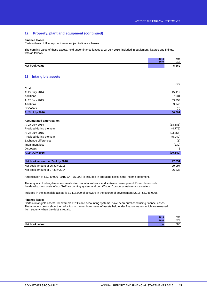#### **12. Property, plant and equipment (continued)**

#### **Finance leases**

Certain items of IT equipment were subject to finance leases.

The carrying value of these assets, held under finance leases at 24 July 2016, included in equipment, fixtures and fittings, was as follows:

|                | 2016 | 2015  |
|----------------|------|-------|
|                | £000 | £000  |
| Net book value |      | 5,862 |

#### **13. Intangible assets**

|                 | £000   |
|-----------------|--------|
| Cost            |        |
| At 27 July 2014 | 45,419 |
| Additions       | 7,934  |
| At 26 July 2015 | 53,353 |
| Additions       | 3,243  |
| Disposals       | (5)    |
| At 24 July 2016 | 56,591 |

#### **Accumulated amortisation:**

| At 27 July 2014          | (18, 581) |
|--------------------------|-----------|
| Provided during the year | (4, 775)  |
| At 26 July 2015          | (23, 356) |
| Provided during the year | (5,949)   |
| Exchange differences     | (1)       |
| Impairment loss          | (239)     |
| <b>Disposals</b>         | 5         |
| At 24 July 2016          | (29, 540) |

| Net book amount at 24 July 2016 | 27.051 |
|---------------------------------|--------|
| Net book amount at 26 July 2015 | 29.997 |
| Net book amount at 27 July 2014 | 26.838 |

Amortisation of £5,949,000 (2015: £4,775,000) is included in operating costs in the income statement.

The majority of intangible assets relates to computer software and software development. Examples include the development costs of our SAP accounting system and our 'Wisdom' property maintenance system.

Included in the intangible assets is £1,118,000 of software in the course of development (2015: £5,046,000).

#### **Finance leases**

Certain intangible assets, for example EPOS and accounting systems, have been purchased using finance leases. The amounts below show the reduction in the net book value of assets held under finance leases which are released from security when the debt is repaid.

|                | 2016 | 2015 |
|----------------|------|------|
|                | £000 | £000 |
| Net book value |      | 580  |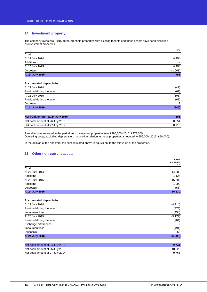#### **14. Investment property**

The company owns two (2015: three) freehold properties with existing tenants and these assets have been classified as investment properties.

|                 | £000                     |
|-----------------|--------------------------|
| Cost:           |                          |
| At 27 July 2014 | 8,754                    |
| Additions       | $\overline{\phantom{0}}$ |
| At 26 July 2015 | 8,754                    |
| Disposals       | (1,003)                  |
| At 24 July 2016 | 7,751                    |

#### **Accumulated depreciation:**

| At 27 July 2014          | (41)  |
|--------------------------|-------|
| Provided during the year | (62)  |
| At 26 July 2015          | (103) |
| Provided during the year | (62)  |
| Disposals                | 19    |
| At 24 July 2016          | (146) |

| Net book amount at 24 July 2016 | 7.605 |
|---------------------------------|-------|
| Net book amount at 26 July 2015 | 8.651 |
| Net book amount at 27 July 2014 | 8.713 |

Rental income received in the period from investment properties was £495,000 (2015: £378,000).

Operating costs, excluding depreciation, incurred in relation to these properties amounted to £56,000 (2015: £58,000).

In the opinion of the directors, the cost as stated above is equivalent to the fair value of the properties.

#### **15. Other non-current assets**

|                                  | Lease<br>premiums |
|----------------------------------|-------------------|
|                                  | £000              |
| Cost:                            |                   |
| At 27 July 2014                  | 14,080            |
| <b>Additions</b>                 | 1,125             |
| At 26 July 2015                  | 15,205            |
| <b>Additions</b>                 | 1,090             |
| <b>Disposals</b>                 | (65)              |
| At 24 July 2016                  | 16,230            |
| <b>Accumulated depreciation:</b> |                   |
| At 27 July 2014                  | (4, 314)          |
| Provided during the year         | (373)             |
| Impairment loss                  | (490)             |
| At 26 July 2015                  | (5, 177)          |
| Provided during the year         | (904)             |
| Exchange differences             | 2                 |
| Impairment loss                  | (491)             |
| <b>Disposals</b>                 | 65                |
| At 24 July 2016                  | (6, 505)          |
| Net book amount at 24 July 2016  | 9,725             |
| Net book amount at 26 July 2015  | 10,028            |

Net book amount at 27 July 2014 9,766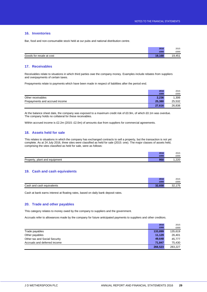#### **16. Inventories**

Bar, food and non-consumable stock held at our pubs and national distribution centre.

|                          | 2016   | 2015   |
|--------------------------|--------|--------|
|                          | £000   | £000   |
| Goods for resale at cost | 19.168 | 19,451 |

#### **17. Receivables**

Receivables relate to situations in which third parties owe the company money. Examples include rebates from suppliers and overpayments of certain taxes.

Prepayments relate to payments which have been made in respect of liabilities after the period end.

|                                | 2016   | 2015   |
|--------------------------------|--------|--------|
|                                | £000   | £000   |
| Other receivables              | 2,236  | 1,306  |
| Prepayments and accrued income | 25.380 | 25,532 |
|                                | 27,616 | 26,838 |

At the balance sheet date, the company was exposed to a maximum credit risk of £0.9m, of which £0.1m was overdue. The company holds no collateral for these receivables.

Within accrued income is £2.2m (2015: £2.0m) of amounts due from suppliers for commercial agreements.

#### **18. Assets held for sale**

This relates to situations in which the company has exchanged contracts to sell a property, but the transaction is not yet complete. As at 24 July 2016, three sites were classified as held for sale (2015: one). The major classes of assets held, comprising the sites classified as held for sale, were as follows:

|                                  | 2016 | 2015 |
|----------------------------------|------|------|
|                                  | £000 | £000 |
| Property,<br>plant and equipment |      | .220 |

#### **19. Cash and cash equivalents**

|                           | 2016        | 2015        |
|---------------------------|-------------|-------------|
|                           | <b>£000</b> | £000        |
| Cash and cash equivalents | 32.658      | 32.175<br>ົ |

Cash at bank earns interest at floating rates, based on daily bank deposit rates.

#### **20. Trade and other payables**

This category relates to money owed by the company to suppliers and the government.

Accruals refer to allowances made by the company for future anticipated payments to suppliers and other creditors.

|                               | 2016    | 2015    |
|-------------------------------|---------|---------|
|                               | £000    | £000    |
| Trade payables                | 133,899 | 135,619 |
| Other payables                | 11.129  | 26.401  |
| Other tax and Social Security | 49.648  | 45.777  |
| Accruals and deferred income  | 71.847  | 75.430  |
|                               | 266,523 | 283.227 |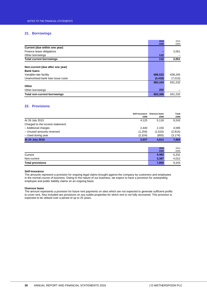#### **21. Borrowings**

|                                     | 2016     | 2015    |
|-------------------------------------|----------|---------|
|                                     | £000     | £000    |
| Current (due within one year)       |          |         |
| Finance lease obligations           |          | 2,051   |
| Other borrowings                    | 112      |         |
| <b>Total current borrowings</b>     | 112      | 2,051   |
| Non-current (due after one year)    |          |         |
| <b>Bank loans</b>                   |          |         |
| Variable-rate facility              | 686,522  | 638,245 |
| Unamortised bank loan issue costs   | (3, 418) | (7,013) |
|                                     | 683,104  | 631,232 |
| Other                               |          |         |
| Other borrowings                    | 202      |         |
| <b>Total non-current borrowings</b> | 683,306  | 631,232 |

#### **22. Provisions**

|                                  | <b>Self-insurance</b><br>£000 | Onerous lease<br>£000 | Total<br>£000 |
|----------------------------------|-------------------------------|-----------------------|---------------|
| At 26 July 2015                  | 4.125                         | 5,118                 | 9,243         |
| Charged to the income statement: |                               |                       |               |
| - Additional charges             | 2,440                         | 2,155                 | 4,595         |
| - Unused amounts reversed        | (1,204)                       | (1,610)               | (2,814)       |
| - Used during year               | (2, 324)                      | (850)                 | (3, 174)      |
| At 24 July 2016                  | 3,037                         | 4,813                 | 7,850         |
|                                  |                               |                       |               |
|                                  |                               | 2016                  | 2015          |

|                         | ------<br>£000 | ----<br>£000 |
|-------------------------|----------------|--------------|
| Current                 | 4,463          | 5,231        |
| Non-current             | 3,387          | 4,012        |
| <b>Total provisions</b> | 7,850          | 9,243        |

#### **Self-insurance**

The amounts represent a provision for ongoing legal claims brought against the company by customers and employees in the normal course of business. Owing to the nature of our business, we expect to have a provision for outstanding employee and public liability claims on an ongoing basis.

#### **Onerous lease**

The amount represents a provision for future rent payments on sites which are not expected to generate sufficient profits to cover rent. Also included are provisions on any sublet properties for which rent is not fully recovered. This provision is expected to be utilised over a period of up to 25 years.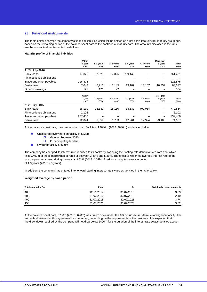#### **23. Financial instruments**

The table below analyses the company's financial liabilities which will be settled on a net basis into relevant maturity groupings, based on the remaining period at the balance sheet date to the contractual maturity date. The amounts disclosed in the table are the contractual undiscounted cash flows.

#### **Maturity profile of financial liabilities**

|                           | Within         |                     |                     |                     |                   | More than                |               |
|---------------------------|----------------|---------------------|---------------------|---------------------|-------------------|--------------------------|---------------|
|                           | 1 year<br>£000 | $1-2$ years<br>£000 | $2-3$ years<br>£000 | 3-4 years<br>£000   | 4-5 years<br>£000 | 5 years<br>£000          | Total<br>£000 |
| At 24 July 2016           |                |                     |                     |                     |                   |                          |               |
| Bank loans                | 17,325         | 17,325              | 17,325              | 709,446             |                   | $\overline{\phantom{0}}$ | 761,421       |
| Finance lease obligations |                |                     |                     |                     |                   |                          |               |
| Trade and other payables  | 216,875        |                     |                     |                     |                   | -                        | 216,875       |
| <b>Derivatives</b>        | 7,043          | 6,916               | 13,145              | 13,107              | 13,107            | 10,359                   | 63,677        |
| Other borrowings          | 121            | 121                 | 92                  |                     |                   |                          | 334           |
|                           | Within         |                     |                     |                     |                   | More than                |               |
|                           | 1 year<br>£000 | $1-2$ years<br>£000 | $2-3$ years<br>£000 | $3-4$ years<br>£000 | 4-5 years<br>£000 | 5 years<br>£000          | Total<br>£000 |
| At 26 July 2015           |                |                     |                     |                     |                   |                          |               |
| Bank loans                | 18,130         | 18,130              | 18,130              | 18,130              | 700,034           | $\overline{\phantom{0}}$ | 772,554       |
| Finance lease obligations | 2,102          |                     |                     |                     |                   |                          | 2,102         |
| Trade and other payables  | 237,450        |                     |                     |                     |                   | -                        | 237,450       |
| Derivatives               | 12,074         | 6,859               | 6,733               | 12,961              | 12,924            | 23,106                   | 74,657        |

At the balance sheet date, the company had loan facilities of £840m (2015: £840m) as detailed below:

- **Unsecured revolving-loan facility of £820m** 
	- Matures February 2020
	- $\Box$  11 participating lenders
- Overdraft facility of £20m

The company has hedged its interest-rate liabilities to its banks by swapping the floating-rate debt into fixed-rate debt which fixed £400m of these borrowings at rates of between 2.43% and 5.36%. The effective weighted average interest rate of the swap agreements used during the year is 3.53% (2015: 4.03%), fixed for a weighted average period of 1.3 years (2015: 2.3 years).

In addition, the company has entered into forward-starting interest-rate swaps as detailed in the table below.

#### **Weighted average by swap period:**

| Total swap value £m | From       | Т٥         | Weighted average interest % |
|---------------------|------------|------------|-----------------------------|
| 400                 | 12/11/2014 | 30/07/2016 | 3.53                        |
| 400                 | 31/07/2016 | 30/07/2018 | 2.19                        |
| 400                 | 31/07/2018 | 30/07/2021 | 3.74                        |
| 150                 | 31/07/2021 | 30/07/2023 | 3.82                        |

At the balance sheet date, £700m (2015: £690m) was drawn down under the £820m unsecured-term revolving-loan facility. The amounts drawn under this agreement can be varied, depending on the requirements of the business. It is expected that the draw-down required by the company will not drop below £400m for the duration of the interest-rate swaps detailed above.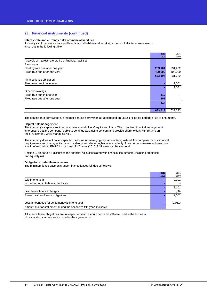#### **23. Financial instruments (continued)**

#### **Interest-rate and currency risks of financial liabilities**

An analysis of the interest-rate profile of financial liabilities, after taking account of all interest-rate swaps, is set out in the following table.

|                                                            | 2016    | 2015    |
|------------------------------------------------------------|---------|---------|
|                                                            | £000    | £000    |
| Analysis of interest-rate profile of financial liabilities |         |         |
| <b>Bank loans</b>                                          |         |         |
| Floating rate due after one year                           | 283,104 | 231,232 |
| Fixed rate due after one year                              | 400,000 | 400,000 |
|                                                            | 683,104 | 631,232 |
| Finance lease obligation                                   |         |         |
| Fixed rate due in one year                                 |         | 2,051   |
|                                                            |         | 2,051   |
| Other borrowings                                           |         |         |
| Fixed rate due in one year                                 | 112     |         |
| Fixed rate due after one year                              | 202     |         |
|                                                            | 314     |         |
|                                                            |         |         |
|                                                            | 683,418 | 633,283 |

The floating-rate borrowings are interest-bearing borrowings at rates based on LIBOR, fixed for periods of up to one month.

#### **Capital risk management**

The company's capital structure comprises shareholders' equity and loans. The objective of capital management is to ensure that the company is able to continue as a going concern and provide shareholders with returns on their investment, while managing risk.

The company does not have a specific measure for managing capital structure; instead, the company plans its capital requirements and manages its loans, dividends and share buybacks accordingly. The company measures loans using a ratio of net debt to EBITDA which was 3.47 times (2015: 3.37 times) at the year end.

Section 2, on page 44, discusses the financial risks associated with financial instruments, including credit risk and liquidity risk.

#### **Obligations under finance leases**

The minimum lease payments under finance leases fall due as follows:

|                                                                      | 2016 | 2015    |
|----------------------------------------------------------------------|------|---------|
|                                                                      | £000 | £000    |
| Within one year                                                      |      | 2,101   |
| In the second to fifth year, inclusive                               |      |         |
|                                                                      |      | 2,101   |
| Less future finance charges                                          |      | (50)    |
| Present value of lease obligations                                   |      | 2,051   |
|                                                                      |      |         |
| Less amount due for settlement within one year                       |      | (2,051) |
| Amount due for settlement during the second to fifth year, inclusive |      |         |

All finance lease obligations are in respect of various equipment and software used in the business. No escalation clauses are included in the agreements.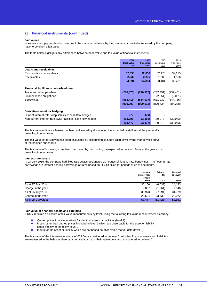#### **23. Financial instruments (continued)**

#### **Fair values**

In some cases, payments which are due to be made in the future by the company or due to be received by the company have to be given a fair value.

The table below highlights any differences between book value and fair value of financial instruments.

|                                                              | 2016              | 2016              | 2015       | 2015       |
|--------------------------------------------------------------|-------------------|-------------------|------------|------------|
|                                                              | <b>Book value</b> | <b>Fair value</b> | Book value | Fair value |
|                                                              | £000              | £000              | £000       | £000       |
| Loans and receivables                                        |                   |                   |            |            |
| Cash and cash equivalents                                    | 32,658            | 32,658            | 32,175     | 32,175     |
| <b>Receivables</b>                                           | 2,236             | 2,236             | 1,306      | 1,306      |
|                                                              | 34,894            | 34,894            | 33,481     | 33,481     |
|                                                              |                   |                   |            |            |
| Financial liabilities at amortised cost                      |                   |                   |            |            |
| Trade and other payables                                     | (216, 875)        | (216, 875)        | (237, 451) | (237, 451) |
| Finance lease obligations                                    |                   |                   | (2,051)    | (2,051)    |
| <b>Borrowings</b>                                            | (683, 418)        | (684, 037)        | (631,232)  | (644, 736) |
|                                                              | (900, 293)        | (900, 912)        | (870, 734) | (884, 238) |
| Derivatives used for hedging                                 |                   |                   |            |            |
| Current interest-rate swap liabilities: cash flow hedges     | (79)              | (79)              |            |            |
| Non-current interest-rate swap liabilities: cash flow hedges | (63, 398)         | (63, 398)         | (39, 973)  | (39, 973)  |
|                                                              | (63, 477)         | (63, 477)         | (39,973)   | (39, 973)  |

The fair value of finance leases has been calculated by discounting the expected cash flows at the year end's prevailing interest rates.

The fair value of derivatives has been calculated by discounting all future cash flows by the market yield curve at the balance sheet date.

The fair value of borrowings has been calculated by discounting the expected future cash flows at the year end's prevailing interest rates.

#### **Interest-rate swaps**

At 24 July 2016, the company had fixed-rate swaps designated as hedges of floating-rate borrowings. The floating-rate borrowings are interest-bearing borrowings at rates based on LIBOR, fixed for periods of up to one month.

|                    | Loss on<br>interest-rate<br>swaps | <b>Deferred</b><br>tax | Charged<br>to equity |
|--------------------|-----------------------------------|------------------------|----------------------|
|                    | £000                              | £000                   | £000                 |
| As at 27 July 2014 | 30,166                            | (6,033)                | 24,133               |
| Charge in the year | 9,807                             | (1,961)                | 7,846                |
| As at 26 July 2015 | 39,973                            | (7,994)                | 31,979               |
| Charge in the year | 23,504                            | (3, 432)               | 20,072               |
| As at 24 July 2016 | 63,477                            | (11, 426)              | 52,051               |

#### **Fair value of financial assets and liabilities**

IFRS 7 requires disclosure of fair value measurements by level, using the following fair value measurement hierarchy:

- Quoted prices in active markets for identical assets or liabilities (level 1)  $\blacksquare$  Inputs other than quoted prices included in level 1 which are observable
- Inputs other than quoted prices included in level 1 which are observable for the asset or liability,
- either directly or indirectly (level 2)
- Inputs for the asset or liability which are not based on observable market data (level 3)

The fair value of the interest-rate swaps of £63.5m is considered to be level 2. All other financial assets and liabilities are measured in the balance sheet at amortised cost, and their valuation is also considered to be level 2.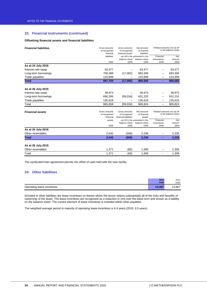#### **23. Financial instruments (continued)**

#### **Offsetting financial assets and financial liabilities**

| <b>Financial liabilities</b>            | Gross amounts<br>of recognised<br>financial | Gross amounts<br>of recognised<br>financial assets | Net amounts<br>of financial<br>liabilities |                     | Related amounts not set off<br>in the balance sheet |
|-----------------------------------------|---------------------------------------------|----------------------------------------------------|--------------------------------------------|---------------------|-----------------------------------------------------|
|                                         | liabilities                                 |                                                    | set off in the presented in the            | Financial           | Net                                                 |
|                                         | £000                                        | balance sheet<br>£000                              | balance sheet<br>£000                      | instruments<br>£000 | amount<br>£000                                      |
| As at 24 July 2016                      |                                             |                                                    |                                            |                     |                                                     |
| Interest-rate swap                      | 63,477                                      |                                                    | 63,477                                     |                     | 63,477                                              |
| Long-term borrowings                    | 700,388                                     | (17,082)                                           | 683,306                                    |                     | 683,306                                             |
| Trade payables                          | 133,899                                     |                                                    | 133,899                                    |                     | 133,899                                             |
| Total                                   | 897,764                                     | (17,082)                                           | 880,682                                    | ÷,                  | 880,682                                             |
|                                         |                                             |                                                    |                                            |                     |                                                     |
| As at 26 July 2015                      |                                             |                                                    |                                            |                     |                                                     |
| Interest-rate swap                      | 39,973                                      |                                                    | 39,973                                     |                     | 39,973                                              |
| Long-term borrowings                    | 690,266                                     | (59,034)                                           | 631,232                                    |                     | 631,232                                             |
| Trade payables                          | 135,619                                     |                                                    | 135,619                                    |                     | 135,619                                             |
| Total                                   | 865,858                                     | (59,034)                                           | 806,824                                    | -                   | 806,824                                             |
| <b>Financial assets</b>                 | Gross amounts<br>of recognised              | Gross amounts<br>of recognised                     | Net amounts<br>of financial                |                     | Related amounts not set off<br>in the balance sheet |
|                                         | financial<br>assets                         | financial liabilities                              | assets<br>set off in the presented in the  | Financial           | Net                                                 |
|                                         |                                             | balance sheet                                      | balance sheet                              | instruments         | amount                                              |
|                                         | £000                                        | £000                                               | £000                                       | £000                | £000                                                |
| As at 24 July 2016                      |                                             |                                                    |                                            |                     |                                                     |
| Other receivables                       | 2,542                                       | (306)                                              | 2,236                                      |                     | 2,236                                               |
| Total                                   | 2,542                                       | (306)                                              | 2,236                                      | -                   | 2,236                                               |
|                                         |                                             |                                                    |                                            |                     |                                                     |
| As at 26 July 2015<br>Other receivables |                                             |                                                    |                                            |                     |                                                     |
|                                         | 1,371                                       | (65)                                               | 1,306                                      |                     | 1,306                                               |
| Total                                   | 1,371                                       | (65)                                               | 1,306                                      |                     | 1,306                                               |

The syndicated loan agreement permits the offset of cash held with the loan facility.

#### **24. Other liabilities**

|                            | 2016 | 2015  |
|----------------------------|------|-------|
|                            | £000 | £000  |
| Operating lease incentives |      | 3.667 |

Included in other liabilities are lease incentives on leases where the lessor retains substantially all of the risks and benefits of ownership of the asset. The lease incentives are recognised as a reduction in rent over the lease term and shown as a liability on the balance sheet. The current element of lease incentives is included within other payables.

The weighted average period to maturity of operating lease incentives is 6.4 years (2015: 6.5 years).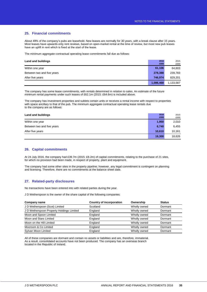# **25. Financial commitments**

About 49% of the company's pubs are leasehold. New leases are normally for 30 years, with a break clause after 15 years. Most leases have upwards-only rent reviews, based on open-market rental at the time of review, but most new pub leases have an uplift in rent which is fixed at the start of the lease.

The minimum aggregate contractual operating lease commitments fall due as follows:

| Land and buildings         | 2016      | 2015      |
|----------------------------|-----------|-----------|
|                            | £000      | £000      |
| Within one year            | 61,106    | 64,603    |
| Between two and five years | 278,388   | 239,783   |
| After five years           | 746.974   | 829,201   |
|                            | 1,086,468 | 1,133,587 |

The company has some lease commitments, with rentals determined in relation to sales. An estimate of the future minimum rental payments under such leases of £62.1m (2015: £64.6m) is included above.

The company has investment properties and sublets certain units or receives a rental income with respect to properties with space ancillary to that of the pub. The minimum aggregate contractual operating lease rentals due to the company are as follows:

| Land and buildings         | 2016   | 2015   |
|----------------------------|--------|--------|
|                            | £000   | £000   |
| Within one year            | 1,950  | 2,010  |
| Between two and five years | 6,740  | 6,455  |
| After five years           | 10,610 | 10,161 |
|                            | 19,300 | 18,626 |

# **26. Capital commitments**

At 24 July 2016, the company had £39.7m (2015: £8.2m) of capital commitments, relating to the purchase of 21 sites, for which no provision had been made, in respect of property, plant and equipment.

The company had some other sites in the property pipeline; however, any legal commitment is contingent on planning and licensing. Therefore, there are no commitments at the balance sheet date.

# **27. Related-party disclosures**

No transactions have been entered into with related parties during the year.

J D Wetherspoon is the owner of the share capital of the following companies:

| Company name                              | <b>Country of incorporation</b> | Ownership    | <b>Status</b> |
|-------------------------------------------|---------------------------------|--------------|---------------|
| J D Wetherspoon (Scot) Limited            | Scotland                        | Wholly owned | Dormant       |
| J D Wetherspoon Property Holdings Limited | England                         | Wholly owned | Dormant       |
| Moon and Spoon Limited                    | England                         | Wholly owned | Dormant       |
| Moon and Stars Limited                    | England                         | Wholly owned | Dormant       |
| Moon on the Hill Limited                  | England                         | Wholly owned | Dormant       |
| Moorsom & Co Limited                      | England                         | Wholly owned | Dormant       |
| Sylvan Moon Limited                       | England                         | Wholly owned | Dormant       |

All of these companies are dormant and contain no assets or liabilities and are, therefore, immaterial. As a result, consolidated accounts have not been produced. The company has an overseas branch located in the Republic of Ireland.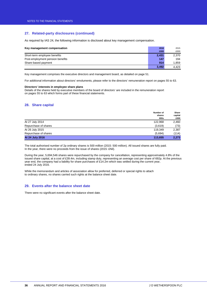# **27. Related-party disclosures (continued)**

As required by IAS 24, the following information is disclosed about key management compensation.

| Key management compensation      |       | 2015  |
|----------------------------------|-------|-------|
|                                  | £000  | £000  |
| Short-term employee benefits     | 2.431 | 2,370 |
| Post-employment pension benefits | 147   | 194   |
| Share-based payment              | 914   | 1.859 |
|                                  | 3,492 | 4.423 |

Key management comprises the executive directors and management board, as detailed on page 51.

For additional information about directors' emoluments, please refer to the directors' remuneration report on pages 55 to 63.

## **Directors' interests in employee share plans**

Details of the shares held by executive members of the board of directors' are included in the remuneration report on pages 55 to 63 which forms part of these financial statements.

# **28. Share capital**

|                      | Number of<br>shares<br>000s | Share<br>capital<br>£000 |
|----------------------|-----------------------------|--------------------------|
| At 27 July 2014      | 122,968                     | 2,460                    |
| Repurchase of shares | (3,619)                     | (73)                     |
| At 26 July 2015      | 119,349                     | 2,387                    |
| Repurchase of shares | (5,694)                     | (114)                    |
| At 24 July 2016      | 113,655                     | 2,273                    |

The total authorised number of 2p ordinary shares is 500 million (2015: 500 million). All issued shares are fully paid. In the year, there were no proceeds from the issue of shares (2015: £Nil).

During the year, 5,694,546 shares were repurchased by the company for cancellation, representing approximately 4.8% of the issued share capital, at a cost of £39.4m, including stamp duty, representing an average cost per share of 692p. At the previous year end, the company had a liability for share purchases of £14.2m which was settled during the current year, ended 24 July 2016.

While the memorandum and articles of association allow for preferred, deferred or special rights to attach to ordinary shares, no shares carried such rights at the balance sheet date.

# **29. Events after the balance sheet date**

There were no significant events after the balance sheet date.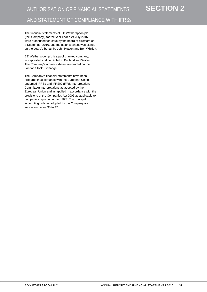The financial statements of J D Wetherspoon plc (the 'Company') for the year ended 24 July 2016 were authorised for issue by the board of directors on 8 September 2016, and the balance sheet was signed on the board's behalf by John Hutson and Ben Whitley.

J D Wetherspoon plc is a public limited company, incorporated and domiciled in England and Wales. The Company's ordinary shares are traded on the London Stock Exchange.

The Company's financial statements have been prepared in accordance with the European Unionendorsed IFRSs and IFRSIC (IFRS Interpretations Committee) interpretations as adopted by the European Union and as applied in accordance with the provisions of the Companies Act 2006 as applicable to companies reporting under IFRS. The principal accounting policies adopted by the Company are set out on pages 38 to 42.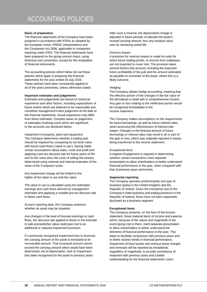# **Basis of preparation**

The financial statements of the Company have been prepared in accordance with IFRSs as adopted by the European Union, IFRSIC interpretations and the Companies Act 2006, applicable to companies reporting under IFRS. The financial statements have been prepared on the going-concern basis, using historical cost convention, except for the revaluation of financial instruments.

The accounting policies which follow set out those policies which apply in preparing the financial statements for the year ended 24 July 2016. These policies have been consistently applied to all of the years presented, unless otherwise stated.

# **Important estimates and judgements**

Estimates and judgements are based on historical experience and other factors, including expectations of future events which are believed to be reasonable and constitute management's best judgement at the date of the financial statements. Actual experience may differ from these estimates. Complex areas on judgement or estimates involving sums which are significant to the accounts are disclosed below.

*Impairment of property, plant and equipment*  The Company determines whether a trading pub should be impaired by comparing its net book value with future cash flows ('value in use'), having made certain assumptions about sales, costs and profit and applying a pre-tax discount rate for future years of 8% and its fair value (less the costs of selling the assets), determined using external and internal estimates of the value of the Company's pubs.

Any impairment charge will be limited to the higher of the value in use and fair value.

The value in use is calculated using the estimated earnings and cash flows derived by management estimates and applying a suitable pre-tax discount rate to these cash flows.

At each reporting date, the Company assesses whether an asset may be impaired.

Any changes in the level of forecast earnings or cash flows, the discount rate applied to those or the estimate in sale proceeds/fair value could give rise to an additional or reduced impairment provision.

If a previously recognised impairment loss is reversed, the carrying amount of the asset is increased to its recoverable amount. That increased amount cannot exceed the carrying amount which would have been determined, net of depreciation, had no impairment loss been recognised for the asset in previous years.

After such a reversal, the depreciation charge is adjusted in future periods, to allocate the asset's revised carrying amount, less any residual value, over its remaining useful life.

## *Onerous leases*

A provision for onerous leases is made for pubs for which future trading profits, or income from subleases, are not expected to cover rent. The provision takes several factors into account, including the expected future profitability of the pub and the amount estimated as payable on surrender of the lease, where this is a likely outcome.

# *Hedging*

The Company adopts hedge accounting, meaning that the effective portion of the changes in the fair value of the derivatives is dealt with in comprehensive income. Any gain or loss relating to the ineffective portion would be recognised immediately in the income statement.

The Company makes assumptions on the requirements for future borrowings, as well as future interest rates, when assessing the effectiveness of interest-rate swaps. Changes in the forecast amount of future borrowings or interest rates may result in all or part of the gain or loss, which was originally reported in equity, being transferred to the income statement.

# *Exceptional items*

A degree of judgement is required in determining whether certain transactions merit separate presentation to allow shareholders to better understand financial performance in the year, when compared with that of previous years and trends.

# **Segmental reporting**

The Company operates predominantly one type of business (pubs) in the United Kingdom and the Republic of Ireland. Given the immaterial size of the Company's hotel business and trading presence in the Republic of Ireland, these have not been separately disclosed as a business segment.

# **Exceptional items**

The Company presents, on the face of the income statement, those material items of income and expense which, because of the nature and magnitude of the event giving rise to them, merit separate presentation to allow shareholders to better understand the elements of financial performance in the year. This helps to facilitate comparison with previous years and to better assess trends in financial performance. Impairment of fixed assets and onerous lease charges and reversals will be reported as exceptional, regardless of magnitude, to provide consistency of treatment with previous years and a better understanding for the financial statements' users.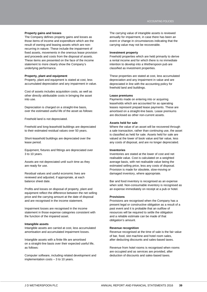# **Property gains and losses**

The Company defines property gains and losses as those items of income and expenditure which are the result of owning and leasing assets which are nonrecurring in nature. These include the impairment of fixed assets, movements in the onerous lease provision and proceeds and costs from the disposal of assets. These items are presented on the face of the income statement to more clearly show the Company's underlying performance.

## **Property, plant and equipment**

Property, plant and equipment is stated at cost, less accumulated depreciation and any impairment in value.

Cost of assets includes acquisition costs, as well as other directly attributable costs in bringing the asset into use.

Depreciation is charged on a straight-line basis, over the estimated useful life of the asset as follows:

Freehold land is not depreciated.

Freehold and long-leasehold buildings are depreciated to their estimated residual values over 50 years.

Short-leasehold buildings are depreciated over the lease period.

Equipment, fixtures and fittings are depreciated over 3 to 10 years.

Assets are not depreciated until such time as they are ready for use.

Residual values and useful economic lives are reviewed and adjusted, if appropriate, at each balance sheet date.

Profits and losses on disposal of property, plant and equipment reflect the difference between the net selling price and the carrying amount at the date of disposal and are recognised in the income statement.

Impairment losses are recognised in the income statement in those expense categories consistent with the function of the impaired asset.

## **Intangible assets**

Intangible assets are carried at cost, less accumulated amortisation and accumulated impairment losses.

Intangible assets with a finite life are amortised on a straight-line basis over their expected useful life, as follows:

Computer software, including related development and implementation costs – 3 to 10 years.

The carrying value of intangible assets is reviewed annually for impairment, in case there has been an event or change in circumstances indicating that the carrying value may not be recoverable.

## **Investment property**

Freehold properties which are held primarily to derive a rental income and for which there is no immediate intention to develop into a Wetherspoon pub are classified as investment properties.

These properties are stated at cost, less accumulated depreciation and any impairment in value and are depreciated in line with the accounting policy for freehold land and buildings.

## **Lease premiums**

Payments made on entering into or acquiring leaseholds which are accounted for as operating leases represent prepaid lease payments. These are amortised on a straight-line basis. Lease premiums are disclosed as other non-current assets.

# **Assets held for sale**

Where the value of an asset will be recovered through a sale transaction, rather than continuing use, the asset is classified as held for sale. Assets held for sale are valued at the lower of book value and fair value, less any costs of disposal, and are no longer depreciated.

## **Inventories**

Inventories are stated at the lower of cost and net realisable value. Cost is calculated on a weighted average basis, with net realisable value being the estimated selling price, less any costs of disposal. Provision is made for obsolete, slow-moving or damaged inventory, where appropriate.

Bar and food inventory is recognised as an expense when sold. Non-consumable inventory is recognised as an expense immediately on receipt at a pub or hotel.

## **Provisions**

Provisions are recognised when the Company has a present legal or constructive obligation as a result of a past event and it is probable that an outflow of resources will be required to settle the obligation and a reliable estimate can be made of that obligation's amount.

## **Revenue recognition**

Revenue recognised at the time of sale is the fair value of bar, food, slot machine and hotel room sales, after deducting discounts and sales-based taxes.

Revenue from hotel rooms is recognised when rooms are occupied and as services are provided, after deduction of discounts and sales-based taxes.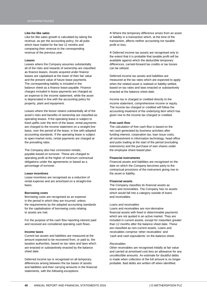## **Like-for-like sales**

Like-for-like sales growth is calculated by taking the revenue, as per the accounting policy, for all pubs which have traded for the last 12 months and comparing their revenue to the corresponding revenue of the previous year.

## **Leases**

Leases where the Company assumes substantially all of the risks and rewards of ownership are classified as finance leases. Assets acquired under finance leases are capitalised at the lower of their fair value and the present value of future lease payments. The corresponding liability is included in the balance sheet as a finance lease payable. Finance charges included in lease payments are charged as an expense to the income statement, while the asset is depreciated in line with the accounting policy for property, plant and equipment.

Leases where the lessor retains substantially all of the asset's risks and benefits of ownership are classified as operating leases. If the operating lease is subject to fixed uplifts over the term of the lease, rental payments are charged to the income statement on a straight-line basis, over the period of the lease, in line with adopted accounting standards. If the operating lease is subject to open-market rents, rental payments are charged at the prevailing rates.

The Company also has concession rentals, payable based on turnover. These are charged to operating profit at the higher of minimum contractual obligations under the agreements or based as a percentage of turnover.

## **Lease incentives**

Lease incentives are recognised as a reduction of rental expense and are amortised on a straight-line basis.

## **Borrowing costs**

Borrowing costs are recognised as an expense in the period in which they are incurred, unless the requirements by the adopted accounting standards for the capitalisation of borrowing costs relating to assets are met.

For the purpose of the cash flow reporting interest paid and received are considered operating cash flows.

#### **Income taxes**

Current tax assets and liabilities are measured at the amount expected to be recovered from, or paid to, the taxation authorities, based on tax rates and laws which are enacted or substantively enacted by the balance sheet date.

Deferred income tax is recognised on all temporary differences arising between the tax bases of assets and liabilities and their carrying amounts in the financial statements, with the following exceptions:

 Where the temporary difference arises from an asset or liability in a transaction which, at the time of the transaction, affects neither accounting nor taxable profit or loss.

Deferred income tax assets are recognised only to the extent that it is probable that taxable profit will be available against which the deductible temporary differences, carried-forward tax credits or tax losses can be utilised.

Deferred income tax assets and liabilities are measured at the tax rates which are expected to apply when the related asset is realised or liability settled. based on tax rates and laws enacted or substantively enacted at the balance sheet date.

Income tax is charged or credited directly to the income statement, comprehensive income or equity. The income tax charged or credited will follow the accounting treatment of the underlying item which has given rise to the income tax charged or credited.

# **Free cash flow**

The calculation of free cash flow is based on the net cash generated by business activities after funding interest, corporation tax, loan issue costs, all reinvestment in information technology, head office and pubs trading at the start of the period (excluding extensions) and the purchase of own shares under the employee share-based plan.

## **Financial instruments**

Financial assets and liabilities are recognised on the date on which the Company becomes party to the contractual provisions of the instrument giving rise to the asset or liability.

## **Financial assets**

The Company classifies its financial assets as loans and receivables. The Company has no assets which would fall into a category outside of loans and receivables.

## *Loans and receivables*

Loans and receivables are non-derivative financial assets with fixed or determinable payments which are not quoted in an active market. They are included in current assets, except for maturities greater than 12 months after the balance sheet date. These are classified as non-current assets. Loans and receivables comprise 'other receivables' and 'cash and cash equivalents' on the balance sheet.

## *Receivables*

Other receivables are recognised initially at fair value and carried at amortised cost less an allowance for any uncollectible amounts. An estimate for doubtful debts is made when collection of the full amount is no longer probable. Bad debts are written off when identified.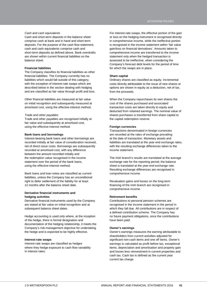## *Cash and cash equivalents*

Cash and short-term deposits in the balance sheet comprise cash at bank and in hand and short-term deposits. For the purpose of the cash flow statement, cash and cash equivalents comprise cash and short-term deposits as defined above. Bank overdrafts are shown within current financial liabilities on the balance sheet.

## **Financial liabilities**

The Company classifies its financial liabilities as other financial liabilities. The Company currently has no liabilities which would fall outside of this category, with the exception of interest-rate swaps which are described below in the section dealing with hedging and are classified as fair value through profit and loss.

Other financial liabilities are measured at fair value on initial recognition and subsequently measured at amortised cost, using the effective-interest method.

## *Trade and other payables*

Trade and other payables are recognised initially at fair value and subsequently at amortised cost, using the effective-interest method.

## **Bank loans and borrowings**

Interest-bearing bank loans and other borrowings are recorded initially at fair value of consideration received, net of direct issue costs. Borrowings are subsequently recorded at amortised cost, with any difference between the amount recorded initially and the redemption value recognised in the income statement over the period of the bank loans, using the effective-interest method.

Bank loans and loan notes are classified as current liabilities, unless the Company has an unconditional right to defer settlement of the liability for at least 12 months after the balance sheet date.

# **Derivative financial instruments and hedging activities**

Derivative financial instruments used by the Company are stated at fair value on initial recognition and at subsequent balance sheet dates.

Hedge accounting is used only where, at the inception of the hedge, there is formal designation and documentation of the hedging relationship, it meets the Company's risk-management objective for undertaking the hedge and is expected to be highly effective.

## **Interest-rate swaps**

Interest-rate swaps are classified as hedges where they hedge exposure to cash flow variability in interest rates.

For interest-rate swaps, the effective portion of the gain or loss on the hedging instrument is recognised directly in comprehensive income, while the ineffective portion is recognised in the income statement within 'fair value gain/loss on financial derivatives'. Amounts taken to comprehensive income are transferred to the income statement only when the hedged transaction is assessed to be ineffective, when considering the Company's forecast debt levels for the period of time for which the swaps are in place.

## **Share capital**

Ordinary shares are classified as equity. Incremental costs directly attributable to the issue of new shares or options are shown in equity as a deduction, net of tax, from the proceeds.

When the Company repurchases its own shares the cost of the shares purchased and associated transaction costs are taken directly to equity and deducted from retained earnings. The nominal value of shares purchases is transferred from share capital to the capital redemption reserve.

# **Foreign currencies**

Transactions denominated in foreign currencies are recorded at the rates of exchange prevailing at the date of transaction. Monetary assets and liabilities are translated at the year-end exchange rates, with the resulting exchange differences taken to the income statement.

The Irish branch's results are translated at the average exchange rate for the reporting period; the balance sheet is translated at the year-end exchange rate. Resulting exchange differences are recognised in comprehensive income.

Revaluation gains and losses on the long-term financing of the Irish branch are recognised in comprehensive income.

## **Retirement benefits**

Contributions to personal pension schemes are recognised in the income statement in the period in which they fall due. All contributions are in respect of a defined contribution scheme. The Company has no future payment obligations, once the contributions have been paid.

## **Owner's earnings**

Owner's earnings measures the earning attributable to shareholders from current activities adjusted for significant non-cash items and one off items. Owner's earnings is calculated as profit before tax, exceptional items, depreciation and amortisation and property gain and losses less reinvestment in current properties and cash tax. Cash tax is defined as the current year current tax charge.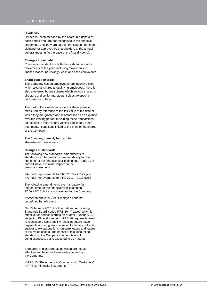## **Dividends**

Dividends recommended by the board, but unpaid at each period end, are not recognised in the financial statements until they are paid (in the case of the interim dividend) or approved by shareholders at the annual general meeting (in the case of the final dividend).

## **Changes in net debt**

Changes in net debt are both the cash and non-cash movements of the year, including movements in finance leases, borrowings, cash and cash equivalents.

#### **Share-based charges**

The Company has an employee share incentive plan which awards shares to qualifying employees; there is also a deferred bonus scheme which awards shares to directors and senior managers, subject to specific performance criteria.

The cost of the awards in respect of these plans is measured by reference to the fair value at the date at which they are granted and is amortised as an expense over the vesting period. In valuing these transactions, no account is taken of any vesting conditions, other than market conditions linked to the price of the shares of the Company.

The Company currently has no other share-based transactions.

## **Changes in standards**

The following new standards, amendments to standards or interpretations are mandatory for the first time for the financial year beginning 27 July 2015 and will have a minimal impact on the financial statements:

■Annual improvements to IFRS 2010 – 2012 cycle ■Annual improvements to IFRS 2011 - 2013 cycle

The following amendments are mandatory for the first time for the financial year beginning 27 July 2015, but are not relevant for the Company:

■Amendment to IAS 19, 'Employee benefits', on defined benefit plans

On 13 January 2016, the International Accounting Standards Board issued IFRS 16 – 'leases' which is effective for periods starting on or after 1 January 2019, subject to EU endorsement. IFRS 16 requires lessees to recognise a lease liability reflecting future lease payments and a right-of-use asset for lease contracts, subject to exceptions for short-term leases and leases of low-value assets. The impact of this accounting standard on the Company's accounts is still being assessed, but is expected to be material.

Standards and interpretations which are not yet effective and have not been early adopted by the Company:

■IFRS 15, 'Revenue from Contracts with Customers' **IFRS 9, 'Financial Instruments'**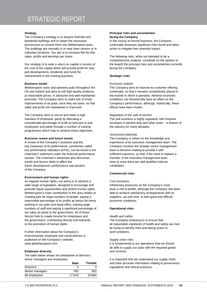# **Strategy**

The Company's strategy is to acquire freehold and leasehold buildings and to obtain the necessary permissions to convert them into Wetherspoon pubs. The buildings are normally in or near town centres or in suburban locations. Our aim is to increase like-for-like sales, profits and earnings per share.

Our strategy is to seek a return on capital in excess of the cost of the capital which will provide profit for new pub developments, dividends and funds for reinvestment in the existing business.

## **Business model**

Wetherspoon owns and operates pubs throughout the UK and Ireland and aims to sell high-quality products. at reasonable prices, in attractive and well-maintained premises. The Company aims to make lots of small improvements to its pubs, once they are open, so that sales and profit are maintained or improved.

The Company aims to recruit and retain a high standard of employee, partly by allocating a considerable percentage of profit as bonuses to pub employees and partly through a number of training programmes which help to achieve these objectives.

## **Business review and future trends**

A review of the Company's business and the key measures of its performance, sometimes called key performance indicators (KPIs), can be found in the chairman's statement under the financial performance section. The chairman's statement also discusses trends and factors likely to affect the future development, performance and position of the Company.

## **Environment and human rights**

As regards human rights, our policy is to observe a wide range of legislation, designed to encourage and promote equal opportunities and protect human rights. Wetherspoon's main contribution in this area relates to creating jobs for large numbers of people, paying a reasonable percentage of its profits as bonus for those working in our pubs and head office, training large numbers of staff and paying a significant percentage of our sales as taxes to the government. All of these factors help to create income for employees and the government, contributing directly and indirectly to the promotion of human rights.

Further information about the Company's environmental, employee and social policies is published on the Company's website: www.jdwetherspoon.com

## **Employee diversity**

The table below shows the breakdown of directors, senior managers and employees.

|                  | <b>Male</b> | Female |
|------------------|-------------|--------|
| <b>Directors</b> |             |        |
| Senior managers  | 782         | 502    |
| All employees    | 17.819      | 18,884 |

# **Principal risks and uncertainties facing the Company**

In the course of normal business, the Company continually assesses significant risks faced and takes action to mitigate their potential impact.

The following risks, while not intended to be a comprehensive analysis, constitute (in the opinion of the board) the principal risks and uncertainties currently facing the Company:

## **Strategic risks**

## *Economic outlook*

The Company aims to improve its customer offering continually, so that it remains competitively placed in the market in which it operates. Adverse economic conditions can theoretically have an effect on the Company's performance, although, historically, these effects have been muted.

#### *Regulation of the sale of alcohol*

The pub business is highly regulated, with frequent increases in alcohol duty and other taxes – a feature of the industry for many decades.

## *Succession-planning*

The Company is reliant on the knowledge and experience of its executive management team. The Company involves the broader senior management team in decision-making to provide it with sufficient exposure, so that, if the need to replace a member of the executive management team were to arise there are well-qualified internal candidates.

# **Commercial risks**

# *Cost increases*

Inflationary pressures on the Company's costs pose a risk to profits, although the Company has been able to achieve satisfactory arrangements with its suppliers, up until now, in both good and difficult economic conditions.

## **Operational risks**

#### *Health and safety*

The Company endeavours to ensure that all reasonable standards of health and safety are met, by trying to identify risks and taking action to avert problems.

#### *Supply chain risks*

It is fundamental to our operations that we should be able to supply our pubs with the required goods and services.

It is important that we understand our supply chain and have accurate information relating to provenance, ingredients and ethical practices.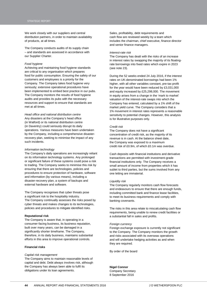We work closely with our suppliers and central distribution partners, in order to maintain availability of products, at all times.

The Company conducts audits of its supply chain – and standards are assessed in accordance with our Supplier Charter.

# *Food hygiene*

Achieving and maintaining food hygiene standards are critical to any organisation which prepares food for public consumption. Ensuring the safety of our customers and employees is a priority for the Company. The Company takes food hygiene very seriously; extensive operational procedures have been implemented to embed best practice in our pubs. The Company monitors the results of food hygiene audits and provides its pubs with the necessary resources and support to ensure that standards are met at all times.

*Head office and national distribution centre* Any disasters at the Company's head office (in Watford) or its national distribution centre (in Daventry) could seriously disrupt its daily operations. Various measures have been undertaken by the Company, including a comprehensive disasterrecovery plan, seeking to minimise the impact of any such incidents.

## *Information technology*

The Company's daily operations are increasingly reliant on its information technology systems. Any prolonged or significant failure of these systems could pose a risk to trading. The Company seeks to minimise this risk by ensuring that there are technologies, policies and procedures to ensure protection of hardware, software and information (by various means), including a disaster-recovery plan, a system of backups and external hardware and software.

The Company recognises that cyber threats pose a significant risk to the hospitality industry. The Company continually assesses the risks posed by cyber threats and makes changes to its technologies, policies and procedures to mitigate identified risks.

### **Reputational risk**

The Company is aware that, in operating in a consumer-facing business, its business reputation, built over many years, can be damaged in a significantly shorter timeframe. The Company, therefore, in its daily business, maintains substantial efforts in this area to improve operational controls.

## **Financial risks**

#### *Capital risk management*

The Company aims to maintain reasonable levels of capital and debt. Debt always involves risk, although the Company has always been able to fulfil its obligations under its loan agreements.

Sales, profitability, debt requirements and cash flow are reviewed weekly by a team which includes the chairman, chief executive, finance director and senior finance managers.

#### *Interest-rate risk*

The Company has dealt with the risks of an increase in interest rates by swapping the majority of its floatingrate borrowings into fixed rates which expire in 2023 (see note 23).

During the 52 weeks ended 24 July 2016, if the interest rates on UK-denominated borrowings had been 1% higher, with all other variables constant, pre-tax profit for the year would have been reduced by £3,031,000 and equity increased by £25,298,000. The movement in equity arises from a change in the 'mark to market' valuation of the interest-rate swaps into which the Company has entered, calculated by a 1% shift of the market yield curve. The Company considers that a 1% movement in interest rates represents a reasonable sensitivity to potential changes. However, this analysis is for illustrative purposes only.

## *Credit risk*

The Company does not have a significant concentration of credit risk, as the majority of its revenue is in cash. At the balance sheet date, the Company was exposed to a maximum credit risk of £0.9m, of which £0.1m was overdue.

Cash deposits with financial institutions and derivative transactions are permitted with investment-grade financial institutions only. The Company receives a small amount of income from properties which it has sublet to third parties, but the sums involved from any one letting are immaterial.

## *Liquidity risk*

The Company regularly monitors cash flow forecasts and endeavours to ensure that there are enough funds, including committed bank and finance lease facilities, to meet its business requirements and comply with banking covenants.

The risks in this area relate to miscalculating cash flow requirements, being unable to renew credit facilities or a substantial fall in sales and profits.

## *Foreign currency*

Foreign exchange exposure is currently not significant to the Company. The Company monitors the growth and risks associated with its overseas operations and will undertake hedging activities as and when they are required.

By order of the board

# **Nigel Connor**

Company Secretary 8 September 2016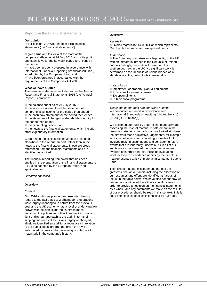# **Report on the financial statements**

**Our opinion**

In our opinion, J D Wetherspoon plc's financial statements (the "financial statements"):

 $\blacksquare$  give a true and fair view of the state of the company's affairs as at 24 July 2016 and of its profit and cash flows for the 52 week period (the "period") then ended;

 $\blacksquare$  have been properly prepared in accordance with International Financial Reporting Standards ("IFRSs") as adopted by the European Union; and have been prepared in accordance with the requirements of the Companies Act 2006.

## **What we have audited**

The financial statements, included within the Annual Report and Financial Statements 2016 (the "Annual Report"), comprise:

 $\blacksquare$  the balance sheet as at 24 July 2016;

 $\blacksquare$  the income statement and the statement of comprehensive income for the period then ended;  $\blacksquare$  the cash flow statement for the period then ended;  $\blacksquare$  the statement of changes in shareholders' equity for the period then ended;

■ the accounting policies; and

 $\blacksquare$  the notes to the financial statements, which include other explanatory information.

Certain required disclosures have been presented elsewhere in the Annual Report, rather than in the notes to the financial statements. These are crossreferenced from the financial statements and are identified as audited.

The financial reporting framework that has been applied in the preparation of the financial statements is IFRSs as adopted by the European Union, and applicable law.

*Our audit approach*

# **Overview**

## Context

Our 2016 audit was planned and executed having regard to the fact that J D Wetherspoon's operations were largely unchanged in nature from the previous year and the UK economy had a level of underlying low growth with no significant regulatory changes impacting the pub sector, other than the living wage. In light of this, our approach to the audit in terms of scoping and areas of focus was largely unchanged, albeit we identified an additional focus area in relation to the pub disposal programme given the level of anticipated disposals which was unique in terms of magnitude in the company's history.

## **Overview**

## *Materiality*

Overall materiality: £4.03 million which represents 5% of profit before tax and exceptional items.

## *Audit scope*

 $\blacksquare$  The Company comprises one legal entity in the UK with an immaterial branch in the Republic of Ireland and, accordingly, our audit is focused on J D Wetherspoon plc in the UK. No significant work is performed on the Republic of Ireland branch as a standalone entity, owing to its immateriality.

*Area of focus*

- **Impairment of property, plant & equipment.**
- Provisions for onerous leases.
- Exceptional items.
- Pub disposal programme.

*The scope of our audit and our areas of focus* We conducted our audit in accordance with International Standards on Auditing (UK and Ireland) ("ISAs (UK & Ireland)").

We designed our audit by determining materiality and assessing the risks of material misstatement in the financial statements. In particular, we looked at where the directors made subjective judgements, for example in respect of significant accounting estimates that involved making assumptions and considering future events that are inherently uncertain. As in all of our audits we also addressed the risk of management override of internal controls, including evaluating whether there was evidence of bias by the directors that represented a risk of material misstatement due to fraud.

The risks of material misstatement that had the greatest effect on our audit, including the allocation of our resources and effort, are identified as "areas of focus" in the table below. We have also set out how we tailored our audit to address these specific areas in order to provide an opinion on the financial statements as a whole, and any comments we make on the results of our procedures should be read in this context. This is not a complete list of all risks identified by our audit.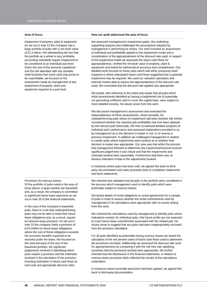*Impairment of property, plant & equipment* As set out in note 12 the Company has a large portfolio of pubs with a net book value of £1.2 billion. Not withstanding the fact that the portfolio as a whole is very profitable, accounting standards require impairment to be considered at an individual pub level. Given the size of the amounts capitalised and the risk attendant with any sizeable retail business that some units may prove to be unprofitable, we focused on the assessment made by management of any impairment of property, plant and equipment required at a pub level.

## **Area of focus How our audit addressed the area of focus**

We assessed management's impairment paper, the underlying supporting analysis and challenged the assumptions adopted by management in performing its review. Our work included an assessment of individual pub profitability applied in the impairment model and a consideration of the appropriateness of the discount rate used. In respect of the impairment model we assessed the future cash flows for appropriateness, verified the net book value of property, plant & equipment and tested its mathematical accuracy and completeness. Our detailed work focused on those pubs which had either previously been impaired or where anticipated future cash flows suggested that a potential impairment may be required. We used our valuation specialists and external market data to assess the appropriateness of the discount rate used. We concluded that the discount rate applied was appropriate.

We tested, with reference to the entire pub estate that all pubs which initial assessments identified as having a heightened risk of potentially not generating sufficient cash to cover the capital base, were subject to more detailed scrutiny. No issues arose from this work.

We discussed management's assessment and evaluated the reasonableness of these assessments, where possible, for underperforming pubs where no impairment had been booked. We further considered whether the required pub profitability had ever been attained by the relevant pub historically. We then scrutinised detailed analyses of individual pub's performance and assessed explanations provided to us by management as to the decision to impair or not, or to reverse a previous impairment. In addition we challenged management in relation to certain pubs where impairments were booked as to whether their decision to impair was appropriate. Our view was that whilst the process that management followed to determine any impairment/reversal involved significant judgements it was robust and that the impairments and reversals booked were reasonable. Furthermore that there was no obvious indication of bias in the adjustments booked.

In instances where pubs had been sold, we agreed this back to thirdparty documentation and sales proceeds back to completion statements and bank statements.

We checked and validated that all pubs in the portfolio were considered in the process which management used to identify pubs which were potentially subject to onerous leases.

We tested details of rental obligations to rental agreements for a sample of pubs in order to assess whether the rental commitments used by management in its calculations were appropriate with no issues arising from this work.

We checked the calculations used by management to identify pubs where indications existed, for individual pubs, that future profits are not expected to cover future lease commitments associated with the related pub. No issues arose to suggest that any pubs had been inappropriately excluded from the provision calculation.

For all pubs identified as potentially having onerous leases we tested the calculation of the net present value of future cash flows used to determine the provisions recorded. Additionally we assessed the discount rate used for appropriateness by comparing it with the risk free rate satisfying ourselves that the provisions booked were appropriate. We further checked that the disclosures in the financial statements, in relation to onerous lease provisions fairly reflected the results of the calculations undertaken.

In instances where surrender premiums had been agreed, we agreed this back to third-party documentation.

*Provisions for onerous leases* Of the portfolio of pubs noted in the area of focus above, a large number are leasehold and, as a result, the company is committed to significant future lease payments as set

out in note 25 to the financial statements.

In the case of the Company's leasehold pubs, there is a risk that underperforming pubs may not be able to meet their future lease obligations and, as a result, require an onerous lease provision. As set out in note 22 the company holds a provision of £4.8 million for future lease obligations where the cost of those obligations exceeds the economic benefits expected to be received under the lease. We focused on this area because of the size of the leasehold portfolio, the significant judgements involved in identifying which pubs require a provision and the estimates involved in the calculation of the provision, including estimation of future cash flows at each pub and appropriate discount rates.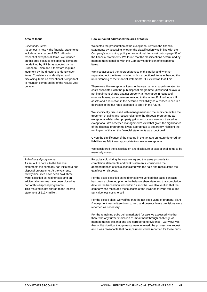#### *Exceptional items*

As set out in note 4 the financial statements include a net charge of £5.7 million in respect of exceptional items. We focused on this area because exceptional items are not defined by IFRSs as adopted by the European Union and it therefore requires judgment by the directors to identify such items. Consistency in identifying and disclosing items as exceptional is important to maintain comparability of the results year on year.

#### **Area of focus How our audit addressed the area of focus**

We tested the presentation of the exceptional items in the financial statements by assessing whether the classification was in line with the Company's accounting policy on exceptional items set out on page 38 of the financial statements. We found that the classifications determined by management complied with the Company's definition of exceptional items.

We also assessed the appropriateness of this policy and whether separating out the items included within exceptional items enhanced the understanding of the financial statements. Our view was that it did.

There were five exceptional items in the year: a net charge in relation to costs associated with the pub disposal programme (discussed below), a net impairment charge against property, a net charge in respect of onerous leases, an impairment relating to the write-off of redundant IT assets and a reduction in the deferred tax liability as a consequence in a decrease in the tax rates expected to apply in the future.

We specifically discussed with management and the audit committee the treatment of gains and losses relating to the disposal programme as exceptional whilst other property gains and losses were not treated as exceptional. We accepted management's view that given the significance of the disposal programme it was appropriate to separately highlight the net impact of this on the financial statements as exceptional.

Given the significance of the change in the tax rate on future deferred tax liabilities we felt it was appropriate to show as exceptional.

We considered the classification and disclosure of exceptional items to be materially correct.

For pubs sold during the year we agreed the sales proceeds to completion statements and bank statements, considered the appropriateness of costs associated with the sale and recalculated the gain/loss on disposal.

For the sites classified as held for sale we verified that sales contracts had been exchanged prior to the balance sheet date and that completion date for the transaction was within 12 months. We also verified that the company has measured these assets at the lower of carrying value and fair value less costs to sell.

For the closed sites, we verified that the net book value of property, plant & equipment was written down to zero and onerous lease provisions were recorded as necessary.

For the remaining pubs being marketed for sale we assessed whether there was any further indication of impairment through challenge of management's explanations and corroborating evidence. Our view was that whilst significant judgements were involved, the process was robust and it was reasonable that no impairments were recorded for these pubs.

*Pub disposal programme* As set out in note 4 to the financial statements the company has initiated a pub disposal programme. At the year end, twenty nine sites have been sold, three were classified as held for sale and an additional nine sites have been closed as part of this disposal programme. This resulted in net charge to the income statement of £12.4 million.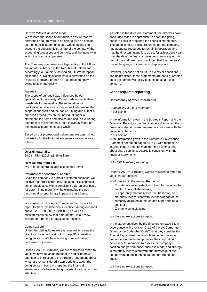## *How we tailored the audit scope*

We tailored the scope of our audit to ensure that we performed enough work to be able to give an opinion on the financial statements as a whole, taking into account the geographic structure of the company, the accounting processes and controls, and the industry in which the company operates.

The Company comprises one legal entity in the UK with an immaterial branch in the Republic of Ireland and, accordingly, our audit is focused on J D Wetherspoon plc in the UK. No significant work is performed on the Republic of Ireland branch as a standalone entity, owing to its immateriality.

#### *Materiality*

The scope of our audit was influenced by our application of materiality. We set certain quantitative thresholds for materiality. These, together with qualitative considerations, helped us to determine the scope of our audit and the nature, timing and extent of our audit procedures on the individual financial statement line items and disclosures and in evaluating the effect of misstatements, both individually and on the financial statements as a whole.

Based on our professional judgement, we determined materiality for the financial statements as a whole as follows:

## **Overall materiality**

£4.03 million (2015: £3.89 million).

## **How we determined it**

5% of profit before tax and exceptional items

#### **Rationale for benchmark applied**

Given the company is a profit orientated business, we believe that profit before tax, adjusted for exceptional items, provides us with a consistent year on year basis for determining materiality, by eliminating the nonrecurring disproportionate impact of these items.

We agreed with the Audit Committee that we would report to them misstatements identified during our audit above £201,000 (2015: £194,000) as well as misstatements below that amount that, in our view, warranted reporting for qualitative reasons.

#### *Going concern*

Under the Listing Rules we are required to review the directors' statement, set out on page 53, in relation to going concern. We have nothing to report having performed our review.

Under ISAs (UK & Ireland) we are required to report to you if we have anything material to add or to draw attention to in relation to the directors' statement about whether they considered it appropriate to adopt the going concern basis in preparing the financial statements. We have nothing material to add or to draw attention to.

As noted in the directors' statement, the directors have concluded that it is appropriate to adopt the going concern basis in preparing the financial statements. The going concern basis presumes that the company has adequate resources to remain in operation, and that the directors intend it to do so, for at least one year from the date the financial statements were signed. As part of our audit we have concluded that the directors' use of the going concern basis is appropriate.

However, because not all future events or conditions can be predicted, these statements are not a guarantee as to the company's ability to continue as a going concern.

# **Other required reporting**

## **Consistency of other information**

*Companies Act 2006 reporting* In our opinion:

■ the information given in the Strategic Report and the Directors' Report for the financial period for which the financial statements are prepared is consistent with the financial statements.

In our opinion:

 $\blacksquare$  the information given in the Corporate Governance Statement set out on pages 64 to 69 with respect to internal control and risk management systems and about share capital structures is consistent with the financial statements.

# *ISAs (UK & Ireland) reporting*

Under ISAs (UK & Ireland) we are required to report to you if, in our opinion:

 $\blacksquare$  information in the Annual Report is:  $\square$  materially inconsistent with the information in the audited financial statements; or

 apparently materially incorrect based on, or materially inconsistent with, our knowledge of the company acquired in the course of performing our audit; or

 $\square$  otherwise misleading.

We have no exceptions to report.

 $\blacksquare$  the statement given by the directors on page 53, in accordance with provision C.1.1 of the UK Corporate Governance Code (the "Code"), that they consider the Annual Report taken as a whole to be fair, balanced and understandable and provides the information necessary for members to assess the company's position and performance, business model and strategy is materially inconsistent with our knowledge of the company acquired in the course of performing our audit.

We have no exceptions to report.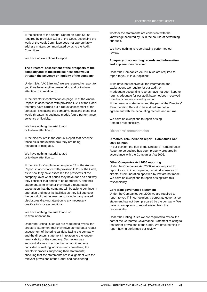$\blacksquare$  the section of the Annual Report on page 66, as required by provision C.3.8 of the Code, describing the work of the Audit Committee does not appropriately address matters communicated by us to the Audit Committee.

We have no exceptions to report.

# **The directors' assessment of the prospects of the company and of the principal risks that would threaten the solvency or liquidity of the company**

Under ISAs (UK & Ireland) we are required to report to you if we have anything material to add or to draw attention to in relation to:

 $\blacksquare$  the directors' confirmation on page 53 of the Annual Report, in accordance with provision C.2.1 of the Code, that they have carried out a robust assessment of the principal risks facing the company, including those that would threaten its business model, future performance, solvency or liquidity.

We have nothing material to add or to draw attention to.

■ the disclosures in the Annual Report that describe those risks and explain how they are being managed or mitigated.

We have nothing material to add or to draw attention to.

 $\blacksquare$  the directors' explanation on page 53 of the Annual Report, in accordance with provision C.2.2 of the Code, as to how they have assessed the prospects of the company, over what period they have done so and why they consider that period to be appropriate, and their statement as to whether they have a reasonable expectation that the company will be able to continue in operation and meet its liabilities as they fall due over the period of their assessment, including any related disclosures drawing attention to any necessary qualifications or assumptions.

We have nothing material to add or to draw attention to.

Under the Listing Rules we are required to review the directors' statement that they have carried out a robust assessment of the principal risks facing the company and the directors' statement in relation to the longerterm viability of the company. Our review was substantially less in scope than an audit and only consisted of making inquiries and considering the directors' process supporting their statements; checking that the statements are in alignment with the relevant provisions of the Code; and considering

whether the statements are consistent with the knowledge acquired by us in the course of performing our audit.

We have nothing to report having performed our review.

# **Adequacy of accounting records and information and explanations received**

Under the Companies Act 2006 we are required to report to you if, in our opinion:

 $\blacksquare$  we have not received all the information and explanations we require for our audit; or adequate accounting records have not been kept, or returns adequate for our audit have not been received from branches not visited by us; or  $\blacksquare$  the financial statements and the part of the Directors' Remuneration Report to be audited are not in agreement with the accounting records and returns.

We have no exceptions to report arising from this responsibility.

# **Directors' remuneration**

# **Directors' remuneration report - Companies Act 2006 opinion**

In our opinion, the part of the Directors' Remuneration Report to be audited has been properly prepared in accordance with the Companies Act 2006.

## **Other Companies Act 2006 reporting**

Under the Companies Act 2006 we are required to report to you if, in our opinion, certain disclosures of directors' remuneration specified by law are not made. We have no exceptions to report arising from this responsibility.

## **Corporate governance statement**

Under the Companies Act 2006 we are required to report to you if, in our opinion, a corporate governance statement has not been prepared by the company. We have no exceptions to report arising from this responsibility.

Under the Listing Rules we are required to review the part of the Corporate Governance Statement relating to ten further provisions of the Code. We have nothing to report having performed our review.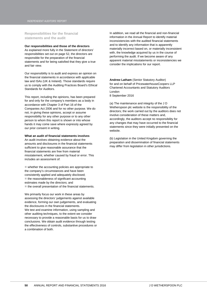**Responsibilities for the financial statements and the audit**

## **Our responsibilities and those of the directors**

As explained more fully in the Statement of directors' responsibilities set out on page 52, the directors are responsible for the preparation of the financial statements and for being satisfied that they give a true and fair view.

Our responsibility is to audit and express an opinion on the financial statements in accordance with applicable law and ISAs (UK & Ireland). Those standards require us to comply with the Auditing Practices Board's Ethical Standards for Auditors.

This report, including the opinions, has been prepared for and only for the company's members as a body in accordance with Chapter 3 of Part 16 of the Companies Act 2006 and for no other purpose. We do not, in giving these opinions, accept or assume responsibility for any other purpose or to any other person to whom this report is shown or into whose hands it may come save where expressly agreed by our prior consent in writing.

# **What an audit of financial statements involves**

An audit involves obtaining evidence about the amounts and disclosures in the financial statements sufficient to give reasonable assurance that the financial statements are free from material misstatement, whether caused by fraud or error. This includes an assessment of:

 whether the accounting policies are appropriate to the company's circumstances and have been consistently applied and adequately disclosed;  $\blacksquare$  the reasonableness of significant accounting estimates made by the directors; and  $\blacksquare$  the overall presentation of the financial statements.

We primarily focus our work in these areas by assessing the directors' judgements against available evidence, forming our own judgements, and evaluating the disclosures in the financial statements. We test and examine information, using sampling and other auditing techniques, to the extent we consider necessary to provide a reasonable basis for us to draw conclusions. We obtain audit evidence through testing the effectiveness of controls, substantive procedures or a combination of both.

In addition, we read all the financial and non-financial information in the Annual Report to identify material inconsistencies with the audited financial statements and to identify any information that is apparently materially incorrect based on, or materially inconsistent with, the knowledge acquired by us in the course of performing the audit. If we become aware of any apparent material misstatements or inconsistencies we consider the implications for our report.

**Andrew Latham** (Senior Statutory Auditor) for and on behalf of PricewaterhouseCoopers LLP Chartered Accountants and Statutory Auditors London 8 September 2016

(a) The maintenance and integrity of the J D Wetherspoon plc website is the responsibility of the directors; the work carried out by the auditors does not involve consideration of these matters and, accordingly, the auditors accept no responsibility for any changes that may have occurred to the financial statements since they were initially presented on the website.

(b) Legislation in the United Kingdom governing the preparation and dissemination of financial statements may differ from legislation in other jurisdictions.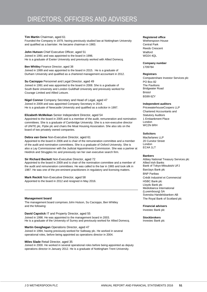# **Tim Martin** Chairman, aged 61 **Registered office Registered office**

Founded the Company in 1979, having previously studied law at Nottingham University and qualified as a barrister. He became chairman in 1983.

# **John Hutson** Chief Executive Officer, aged 51

Joined in 1991 and was appointed to the board in 1996. He is a graduate of Exeter University and previously worked with Allied Domecq.

# **Ben Whitley** Finance Director, aged 38 1709784

Joined in 1999 and was appointed to the board in 2015. He is a graduate of Durham University and qualified as a chartered management accountant in 2012. **Registrars**

**Su Cacioppo** Personnel and Legal Director, aged 49 **PO Box 82** PO Box 82 Joined in 1991 and was appointed to the board in 2008. She is a graduate of South Bank University and London Guildhall University and previously worked for Courage Limited and Allied Leisure.

**Nigel Connor** Company Secretary and Head of Legal, aged 47 Joined in 2009 and was appointed Company Secretary in 2014. He is a graduate of Newcastle University and qualified as a solicitor in 1997.

# **Elizabeth McMeikan** Senior Independent Director, aged 54 Statutory Auditors

Appointed to the board in 2005 and is a member of the audit, remuneration and nomination committees. She is a graduate of Cambridge University. She is a non-executive director of UNITE plc, Flybe plc and chairs the Moat Housing Association. She also sits on the board of two privately owned companies.

# **Debra van Gene** Non-Executive Director, aged 61 Macfarlanes LLP

Appointed to the board in 2006 and is chair of the remuneration committee and a member of the audit and nomination committees. She is a graduate of Oxford University. She is also a Lay Commissioner with the Judicial Appointments Commission. She was a partner at Heidrick and Struggles Inc and previously ran her own executive search firm.

# **Sir Richard Beckett** Non-Executive Director, aged 72 Abbey National Treasury Services plc

Appointed to the board in 2009 and is chair of the nomination committee and a member of the audit and remuneration committees. He was called to the bar in 1965 and took silk in 1987. He was one of the pre-eminent practitioners in regulatory and licensing matters.

# **Mark Reckitt Non-Executive Director, aged 58 Crédit Industriel et Commercial Crédit Industriel et Commercial**

Appointed to the board in 2012 and resigned in May 2016. HSBC Bank plc

The management board comprises John Hutson, Su Cacioppo, Ben Whitley and the following: **Financial advisers**

# **David Capstick** IT and Property Director, aged 55

Joined in 1998. He was appointed to the management board in 2003. He is a graduate of the University of Surrey and previously worked for Allied Domecq.

# **Martin Geoghegan** Operations Director, aged 47

Joined in 1994, having previously worked for Safeway plc. He worked in several operational roles, before being appointed as operations director in 2004.

# **Miles Slade** Retail Director, aged 35

Joined in 2000. He worked in several operational roles before being appointed as deputy operations director in January 2012. He is a graduate of Nottingham Trent University.

Wetherspoon House Central Park Reeds Crescent<br>Watford WD24 4QL

**Company number**

Computershare Investor Services plc The Pavilions Bridgwater Road Bristol BS99 6ZY

# **Independent auditors**

PricewaterhouseCoopers LLP Chartered Accountants and 1 Embankment Place London WC2N 6RH

# **Solicitors**

20 Cursitor Street London EC4A 1LT

# **Bankers**

Allied Irish Banks Bank of Tokyo-Mitsubishi UFJ Barclays Bank plc BNP Paribas Lloyds Bank plc Mediobanca International (Luxembourg) SA Svenska Handelsbanken AB **Management board** The Royal Bank of Scotland plc

Investec Bank plc

# **Stockbrokers**

Investec Bank plc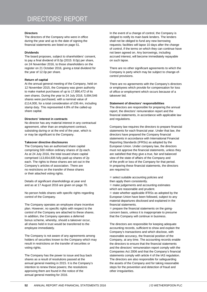# **Directors**

The directors of the Company who were in office during the year and up to the date of signing the financial statements are listed on page 51.

# **Dividends**

The board proposes, subject to shareholders' consent, to pay a final dividend of 8.0p (2015: 8.0p) per share, on 24 November 2016, to those shareholders on the register on 21 October 2016, giving a total dividend for the year of 12.0p per share.

## **Return of capital**

At the annual general meeting of the Company, held on 12 November 2015, the Company was given authority to make market purchases of up to 17,890,472 of its own shares. During the year to 24 July 2016, 5,694,546 shares were purchased, with a nominal value of £114,000, for a total consideration of £39.4m, including stamp duty. This represented 4.8% of the called-up share capital.

## **Directors' interest in contracts**

No director has any material interest in any contractual agreement, other than an employment contract, subsisting during or at the end of the year, which is or may be significant to the Company.

## **Takeover directive disclosures**

The Company has an authorised share capital comprising 500 million ordinary shares of 2p each. As at 24 July 2016, the total issued share capital comprised 113,654,835 fully paid-up shares of 2p each. The rights to these shares are set out in the Company's articles of association. There are no restrictions on the transfer of these shares or their attached voting rights.

Details of significant shareholdings at year end and as at 17 August 2016 are given on page 70.

No person holds shares with specific rights regarding control of the Company.

The Company operates an employee share incentive plan. However, no specific rights with respect to the control of the Company are attached to these shares. In addition, the Company operates a deferred bonus scheme, whereby, should a takeover occur, all shares held in trust would be transferred to the employee immediately.

The Company is not aware of any agreements among holders of securities known to the Company which may result in restrictions on the transfer of securities or voting rights.

The Company has the power to issue and buy back shares as a result of resolutions passed at the annual general meeting in 2015. It is the Company's intention to renew these powers; the resolutions approving them are found in the notice of the annual general meeting for 2016.

In the event of a change of control, the Company is obliged to notify its main bank lenders. The lenders shall not be obliged to fund any new borrowing requests; facilities will lapse 10 days after the change of control, if the terms on which they can continue have not been agreed on. Any borrowings, including accrued interest, will become immediately repayable on such lapse.

There are no other significant agreements to which the Company is party which may be subject to change-ofcontrol provisions.

There are no agreements with the Company's directors or employees which provide for compensation for loss of office or employment which occurs because of a takeover bid.

## **Statement of directors' responsibilities**

The directors are responsible for preparing the annual report, the directors' remuneration report and the financial statements, in accordance with applicable law and regulations.

Company law requires the directors to prepare financial statements for each financial year. Under that law, the directors have prepared the Company financial statements in accordance with International Financial Reporting Standards (IFRSs) as adopted by the European Union. Under company law, the directors must not approve the financial statements, unless they are satisfied that they give a true, fair and balanced view of the state of affairs of the Company and of the profit or loss of the Company for that period. In preparing these financial statements, the directors are required to:

■ select suitable accounting policies and then apply them consistently.

 $\blacksquare$  make judgements and accounting estimates which are reasonable and prudent.

 $\blacksquare$  state whether applicable IFRSs as adopted by the European Union have been followed, subject to any material departures disclosed and explained in the financial statements.

 $\blacksquare$  prepare the financial statements on the goingconcern basis, unless it is inappropriate to presume that the Company will continue in business.

The directors are responsible for keeping adequate accounting records, sufficient to show and explain the Company's transactions and which disclose, with reasonable accuracy, the financial position of the Company, at any time. The accounting records enable the directors to ensure that the financial statements and the directors' remuneration report comply with the Companies Act 2006 and that the Company's financial statements comply with article 4 of the IAS regulation. The directors are also responsible for safeguarding the assets of the Company and for taking reasonable steps for the prevention and detection of fraud and other irregularities.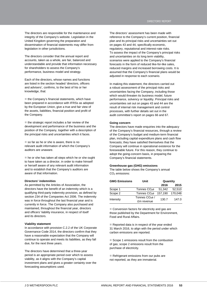The directors are responsible for the maintenance and integrity of the Company's website. Legislation in the United Kingdom governing the preparation and dissemination of financial statements may differ from legislation in other jurisdictions.

The directors consider that the annual report and accounts, taken as a whole, are fair, balanced and understandable and provide that information necessary for shareholders to assess the Company's performance, business model and strategy.

Each of the directors, whose names and functions are listed in the section headed 'directors, officers and advisers', confirms, to the best of his or her knowledge, that:

 $\blacksquare$  the Company's financial statements, which have been prepared in accordance with IFRSs as adopted by the European Union, give a true and fair view of the assets, liabilities, financial position and profit of the Company.

 $\blacksquare$  the strategic report includes a fair review of the development and performance of the business and the position of the Company, together with a description of the principal risks and uncertainties which it faces.

 $\blacksquare$  so far as he or she is aware, there is no relevant audit information of which the Company's auditors are unaware.

 $\blacksquare$  he or she has taken all steps which he or she ought to have taken as a director, in order to make himself or herself aware of any relevant audit information and to establish that the Company's auditors are aware of that information.

## **Directors' indemnities**

As permitted by the Articles of Association, the directors have the benefit of an indemnity which is a qualifying third-party indemnity provision, as defined by section 234 of the Companies Act 2006. The indemnity was in force throughout the last financial year and is currently in force. The Company also purchased and maintained, throughout the financial year, directors and officers' liability insurance, in respect of itself and its directors.

#### **Viability statement**

In accordance with provision C.2.2 of the UK Corporate Governance Code 2014, the directors confirm that they have a reasonable expectation that the Company will continue to operate and meets its liabilities, as they fall due, for the next three years.

The directors have determined that a three-year period is an appropriate period over which to assess viability, as it aligns with the Company's capital investment plans and gives a greater certainty over the forecasting assumptions used.

The directors' assessment has been made with reference to the Company's current position, financial plan and its principal risks and uncertainties set out on pages 43 and 44, specifically economic, regulatory, reputational and interest-rate risks. To assess the impact of the Company's principal risks and uncertainties on its long term viability, scenarios were applied to the Company's financial forecasts in the form of reduced like-for-like sales, reduced margins and increased borrowing costs. It is assumed that the Company's financial plans would be adiusted in response to each scenario.

In making this statement, the directors carried out a robust assessment of the principal risks and uncertainties facing the Company, including those which would threaten its business model, future performance, solvency or liquidity. Principal risks and uncertainties set out on pages 43 and 44 are the result of internal risk management and control processes, with further details set out in the audit committee's report on pages 66 and 67.

## **Going concern**

The directors have made enquiries into the adequacy of the Company's financial resources, through a review of the Company's budget and medium-term financial plan, including capital expenditure plans and cash flow forecasts; they have satisfied themselves that the Company will continue in operational existence for the foreseeable future. For this reason, they continue to adopt the going-concern basis, in preparing the Company's financial statements.

#### **Greenhouse gas (GHG) emissions**

The table below shows the Company's annual  $CO<sub>2</sub>$  emissions:

| <b>GMG Emissions</b> | Unit                     | Quantity |         |
|----------------------|--------------------------|----------|---------|
|                      |                          | 2016     | 2015    |
| Scope 1              | Tonnes CO <sub>2</sub> e | 51,342   | 52,510  |
| Scope 2              | Tonnes CO <sub>2</sub> e | 157.190  | 170.048 |
| Intensity            | Tonnes $CO2e/$           | 130.7    | 147.0   |
|                      | £m revenue               |          |         |

Conversion factors for electricity and gas are those published by the Department for Environment, Food and Rural Affairs.

Reported data is in respect of the year ended 31 March 2016, to align with the period under which carbon emissions are reported.

Scope 1 emissions result from the combustion of gas; scope 2 emissions result from the purchase of electricity.

Refrigerant emissions from our pubs are not reported, as they are immaterial.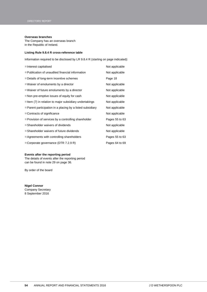# **Overseas branches**

The Company has an overseas branch in the Republic of Ireland.

# **Listing Rule 9.8.4 R cross-reference table**

Information required to be disclosed by LR 9.8.4 R (starting on page indicated):

| Interest capitalised                                                 | Not applicable |
|----------------------------------------------------------------------|----------------|
| ■ Publication of unaudited financial information                     | Not applicable |
| Details of long-term incentive schemes                               | Page 18        |
| $\blacksquare$ Waiver of emoluments by a director                    | Not applicable |
| $\blacksquare$ Waiver of future emoluments by a director             | Not applicable |
| $\blacksquare$ Non pre-emptive issues of equity for cash             | Not applicable |
| $\blacksquare$ Item (7) in relation to major subsidiary undertakings | Not applicable |
| Parent participation in a placing by a listed subsidiary             | Not applicable |
| ■ Contracts of significance                                          | Not applicable |
| ■ Provision of services by a controlling shareholder                 | Pages 55 to 63 |
| Shareholder waivers of dividends                                     | Not applicable |
| ■ Shareholder waivers of future dividends                            | Not applicable |
| Agreements with controlling shareholders                             | Pages 55 to 63 |
| Corporate governance (DTR 7.2.9 R)                                   | Pages 64 to 69 |

# **Events after the reporting period**

The details of events after the reporting period can be found in note 29 on page 36.

By order of the board

**Nigel Connor** Company Secretary 8 September 2016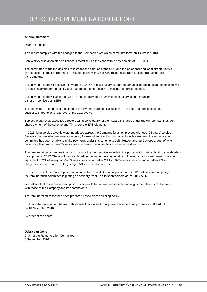# **Annual statement**

Dear shareholder

This report complies with the changes to the Companies Act which came into force on 1 October 2013.

Ben Whitley was appointed as finance director during the year, with a basic salary of £150,000.

The committee made the decision to increase the salaries of the CEO and the personnel and legal director by 9%, in recognition of their performance. This compares with a 6.8% increase in average employee's pay across the Company.

Executive directors will receive an award of 10.42% of basic salary, under the annual cash bonus plan, comprising 5% of basic salary under the quality-and standards element and 5.42% under the profit element.

Executive directors will also receive an amount equivalent of 25% of their salary in shares under a share incentive plan (SIP).

The committee is proposing a change to the owners' earnings calculation in the deferred bonus scheme, subject to shareholders' approval at the 2016 AGM.

Subject to approval, executive directors will receive 52.2% of their salary in shares under the owners'-earnings-pershare element of the scheme and 7% under the EPS element.

In 2015, long-service awards were introduced across the Company for all employees with over 25 years' service. Because the prevailing remuneration policy for executive directors did not include this element, the remuneration committee has been unable to make payments under this scheme to John Hutson and Su Cacioppo, both of whom have completed more than 25 years' service, simply because they are executive directors.

The remuneration committee intends to include the long-service awards in the policy which it will submit to shareholders for approval in 2017. These will be calculated on the same basis as for all employees: an additional pension payment equivalent to 2% of salary for 25–29 years' service, a further 2% for 30–34 years' service and a further 2% at 35+ years' service – with similarly staged 5% increments on SIPs.

In order to be able to make a payment to John Hutson and Su Cacioppo before the 2017 AGM's vote on policy, the remuneration committee is putting an ordinary resolution to shareholders at the 2016 AGM.

We believe that our remuneration policy continues to be fair and reasonable and aligns the interests of directors with those of the Company and its shareholders.

The remuneration report has been prepared based on the existing policy.

Further details are set out below, with shareholders invited to approve this report and proposals at the AGM on 10 November 2016.

By order of the board

**Debra van Gene** Chair of the Remuneration Committee 8 September 2016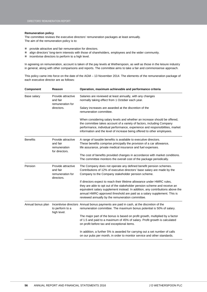## **Remuneration policy**

The committee reviews the executive directors' remuneration packages at least annually. The aim of the remuneration policy is to:

- $\blacksquare$  provide attractive and fair remuneration for directors.
- align directors' long-term interests with those of shareholders, employees and the wider community.
- $\blacksquare$  incentivise directors to perform to a high level.

In agreeing on remuneration, account is taken of the pay levels at Wetherspoon, as well as those in the leisure industry in general, along with other comparisons and reports. The committee aims to take a fair and commonsense approach.

This policy came into force on the date of the AGM – 13 November 2014. The elements of the remuneration package of each executive director are as follows:

| Component         | Reason                                                           | Operation, maximum achievable and performance criteria                                                                                                                                                                                                                                                                                                                |
|-------------------|------------------------------------------------------------------|-----------------------------------------------------------------------------------------------------------------------------------------------------------------------------------------------------------------------------------------------------------------------------------------------------------------------------------------------------------------------|
| Base salary       | Provide attractive<br>and fair<br>remuneration for               | Salaries are reviewed at least annually, with any changes<br>normally taking effect from 1 October each year.                                                                                                                                                                                                                                                         |
|                   | directors.                                                       | Salary increases are awarded at the discretion of the<br>remuneration committee.                                                                                                                                                                                                                                                                                      |
|                   |                                                                  | When considering salary levels and whether an increase should be offered,<br>the committee takes account of a variety of factors, including Company<br>performance, individual performance, experience and responsibilities, market<br>information and the level of increase being offered to other employees.                                                        |
| <b>Benefits</b>   | Provide attractive<br>and fair<br>remuneration<br>for directors. | A range of taxable benefits is available to executive directors.<br>These benefits comprise principally the provision of a car allowance,<br>life assurance, private medical insurance and fuel expenses.                                                                                                                                                             |
|                   |                                                                  | The cost of benefits provided changes in accordance with market conditions.<br>The committee monitors the overall cost of the package periodically.                                                                                                                                                                                                                   |
| Pension           | Provide attractive<br>and fair<br>remuneration for<br>directors. | The Company does not operate any defined benefit pension schemes.<br>Contributions of 12% of executive directors' base salary are made by the<br>Company to the Company stakeholder pension scheme.                                                                                                                                                                   |
|                   |                                                                  | If directors expect to reach their lifetime allowance under HMRC rules,<br>they are able to opt out of the stakeholder pension scheme and receive an<br>equivalent salary supplement instead. In addition, any contributions above the<br>annual HMRC-approved threshold are paid as a salary supplement. This is<br>reviewed annually by the remuneration committee. |
| Annual bonus plan | to perform to a<br>high level.                                   | Incentivise directors Annual bonus payments are paid in cash, at the discretion of the<br>remuneration committee. The maximum bonus potential is 50% of salary.                                                                                                                                                                                                       |
|                   |                                                                  | The major part of the bonus is based on profit growth, multiplied by a factor<br>of 1.5 and paid to a maximum of 45% of salary. Profit growth is calculated<br>on profit before tax and exceptional items.                                                                                                                                                            |
|                   |                                                                  | In addition, a further 5% is awarded for carrying out a set number of calls<br>on our pubs per month, in order to monitor service and other standards.                                                                                                                                                                                                                |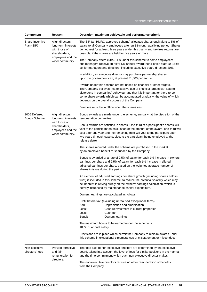| Component                            | Reason                                                                    | Operation, maximum achievable and performance criteria                                                                                                                                                                                                                                                                                                          |  |  |  |  |
|--------------------------------------|---------------------------------------------------------------------------|-----------------------------------------------------------------------------------------------------------------------------------------------------------------------------------------------------------------------------------------------------------------------------------------------------------------------------------------------------------------|--|--|--|--|
| Share Incentive<br>Plan (SIP)        | Align directors'<br>long-term interests<br>with those of<br>shareholders, | The SIP (an HMRC-approved scheme) allocates shares equivalent to 5% of<br>salary to all Company employees after an 18-month qualifying period. Shares<br>do not vest for at least three years under this plan - and tax-free returns are<br>possible, if the shares are held for five years or more.                                                            |  |  |  |  |
|                                      | employees and the<br>wider community.                                     | The Company offers extra SIPs under this scheme to some employees:<br>pub managers receive an extra 5% annual award; head-office staff 10-15%;<br>senior managers and directors, including executive board directors 20%.                                                                                                                                       |  |  |  |  |
|                                      |                                                                           | In addition, an executive director may purchase partnership shares<br>up to the government cap, at present £1,800 per annum.                                                                                                                                                                                                                                    |  |  |  |  |
|                                      |                                                                           | Awards under this scheme are not based on financial or other targets.<br>The Company believes that excessive use of financial targets can lead to<br>distortions in companies' behaviour and that it is important for there to be<br>some share awards which can be accumulated gradually, the value of which<br>depends on the overall success of the Company. |  |  |  |  |
|                                      |                                                                           | Directors must be in office when the shares vest.                                                                                                                                                                                                                                                                                                               |  |  |  |  |
| 2005 Deferred<br><b>Bonus Scheme</b> | Align directors'<br>long-term interests                                   | Bonus awards are made under the scheme, annually, at the discretion of the<br>remuneration committee.                                                                                                                                                                                                                                                           |  |  |  |  |
|                                      | with those of<br>shareholders,<br>employees and the<br>wider community.   | Bonus awards are satisfied in shares. One-third of a participant's shares will<br>vest to the participant on calculation of the amount of the award, one-third will<br>vest after one year and the remaining third will vest to the participant after<br>two years (in each case subject to the participant being employed at the<br>release date).             |  |  |  |  |
|                                      |                                                                           | The shares required under the scheme are purchased in the market<br>by an employee benefit trust, funded by the Company.                                                                                                                                                                                                                                        |  |  |  |  |
|                                      |                                                                           | Bonus is awarded at a rate of 2.5% of salary for each 1% increase in owners'<br>earnings per share and 2.5% of salary for each 1% increase in diluted<br>adjusted earnings per share, based on the weighted average number of<br>shares in issue during the period.                                                                                             |  |  |  |  |
|                                      |                                                                           | An element of adjusted earnings per share growth (including shares held in<br>trust) is included in this scheme, to reduce the potential volatility which may<br>be inherent in relying purely on the owners' earnings calculation, which is<br>heavily influenced by maintenance capital expenditure.                                                          |  |  |  |  |
|                                      |                                                                           | Owners' earnings are calculated as follows:                                                                                                                                                                                                                                                                                                                     |  |  |  |  |
|                                      |                                                                           | Profit before tax: (excluding unrealised exceptional items)<br>Add:<br>Depreciation and amortisation<br>Cash reinvestment in current properties<br>Less:<br>Cash tax<br>Less:                                                                                                                                                                                   |  |  |  |  |
|                                      |                                                                           | Equals:<br>Owners' earnings                                                                                                                                                                                                                                                                                                                                     |  |  |  |  |
|                                      |                                                                           | The maximum bonus to be earned under the scheme is<br>100% of annual salary.                                                                                                                                                                                                                                                                                    |  |  |  |  |
|                                      |                                                                           | Provisions are in place which permit the Company to reclaim awards under<br>this scheme in exceptional circumstances of misstatement or misconduct.                                                                                                                                                                                                             |  |  |  |  |
| Non-executive<br>directors' fees     | Provide attractive<br>and fair<br>remuneration for                        | The fees paid to non-executive directors are determined by the executive<br>board, taking into account the level of fees for similar positions in the market<br>and the time commitment which each non-executive director makes.                                                                                                                                |  |  |  |  |
|                                      | directors.                                                                | The non-executive directors receive no other remuneration or benefits<br>from the Company.                                                                                                                                                                                                                                                                      |  |  |  |  |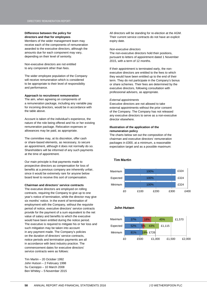# **Difference between the policy for directors and that for employees**

Members of the wider management team may receive each of the components of remuneration awarded to the executive directors, although the amounts due for each component may vary, depending on their level of seniority.

Non-executive directors are not entitled to any component other than fees.

The wider employee population of the Company will receive remuneration which is considered to be appropriate to their level of responsibility and performance.

## **Approach to recruitment remuneration**

The aim, when agreeing on components of a remuneration package, including any variable pay for incoming directors, would be in accordance with the table above.

Account is taken of the individual's experience, the nature of the role being offered and his or her existing remuneration package. Relocation expenses or allowances may be paid, as appropriate.

The committee may, at its discretion, offer cash or share-based elements, as necessary, to secure an appointment, although it does not normally do so. Shareholders will be informed of any such payments at the time of appointment.

Our main principle is that payments made to prospective directors as compensation for loss of benefits at a previous company are inherently unfair, since it would be extremely rare for anyone below board level to receive this sort of compensation.

# **Chairman and directors' service contracts**

The executive directors are employed on rolling contracts, requiring the Company to give up to one year's notice of termination, while the director may give six months' notice. In the event of termination of employment with the Company, without the requisite period of notice, executive directors' service contracts provide for the payment of a sum equivalent to the net value of salary and benefits to which the executive would have been entitled during the notice period. The executive is required to mitigate his or her loss and such mitigation may be taken into account in any payment made. The Company's policies on the duration of directors' service contracts, notice periods and termination payments are all in accordance with best industry practice. The commencement dates for executive directors' service contracts were as follows:

Tim Martin – 20 October 1992 John Hutson – 2 February 1998 Su Cacioppo – 10 March 2008 Ben Whitley – 5 November 2015 All directors will be standing for re-election at the AGM. Their current service contracts do not have an explicit expiry date.

## *Non-executive directors*

The non-executive directors hold their positions, pursuant to letters of appointment dated 1 November 2015, with a term of 12 months.

If their appointment is terminated early, the nonexecutive directors are entitled to the fees to which they would have been entitled up to the end of their term. They do not participate in the Company's bonus or share schemes. Their fees are determined by the executive directors, following consultation with professional advisers, as appropriate.

#### *External appointments*

Executive directors are not allowed to take external appointments without the prior consent of the Company. The Company has not released any executive directors to serve as a non-executive director elsewhere.

# **Illustration of the application of the remuneration policy**

The charts below set out the composition of the chairman and executive directors' remuneration packages in £000, at a minimum, a reasonable expectation target and as a possible maximum:

# **Tim Martin**



# **John Hutson**

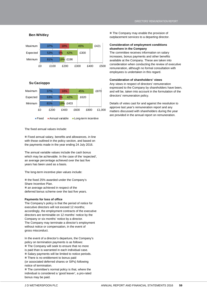## **Ben Whitley**



**Su Cacioppo**



The fixed annual values include:

 $\blacksquare$  Fixed annual salary, benefits and allowances, in line with those outlined in the policy section, and based on the payments made in the year ending 24 July 2016.

The annual variable values include the cash bonus which may be achievable. In the case of the 'expected', an average percentage achieved over the last five years has been used as a basis.

The long-term incentive plan values include:

■ the fixed 25% awarded under the Company's Share Incentive Plan. an average achieved in respect of the deferred bonus scheme over the last five years.

## **Payments for loss of office**

The Company's policy is that the period of notice for executive directors will not exceed 12 months; accordingly, the employment contracts of the executive directors are terminable on 12 months' notice by the Company or six months' notice by a director. The Company may terminate a director's employment without notice or compensation, in the event of gross misconduct.

In the event of a director's departure, the Company's policy on termination payments is as follows: ■ The Company will seek to ensure that no more is paid than is warranted in each individual case. ■ Salary payments will be limited to notice periods. ■ There is no entitlement to bonus paid (or associated deferred shares or SIPs) following

 $\blacksquare$  The committee's normal policy is that, where the individual is considered a 'good leaver', a pro-rated bonus may be paid.

■ The Company may enable the provision of outplacement services to a departing director.

# **Consideration of employment conditions elsewhere in the Company**

The committee receives information on salary increases, bonus payments and other benefits available at the Company. These are taken into consideration when conducting the review of executive remuneration, although no formal consultation with employees is undertaken in this regard.

## **Consideration of shareholders' views**

Any views in respect of directors' remuneration expressed to the Company by shareholders have been, and will be, taken into account in the formulation of the directors' remuneration policy.

Details of votes cast for and against the resolution to approve last year's remuneration report and any matters discussed with shareholders during the year are provided in the annual report on remuneration.

notice of termination.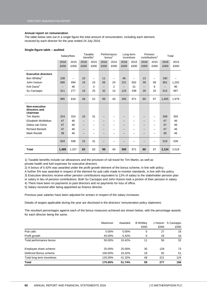## **Annual report on remuneration**

The table below sets out in a single figure the total amount of remuneration, including each element, received by each director for the year ended 24 July 2016.

## **Single-figure table – audited**

|                                            |       | Salary/fees | benefits <sup>1</sup> | Taxable                  | Performance | bonus <sup>2</sup> | incentives | Long-term | contributions <sup>3</sup> | Pension | Total             |       |
|--------------------------------------------|-------|-------------|-----------------------|--------------------------|-------------|--------------------|------------|-----------|----------------------------|---------|-------------------|-------|
|                                            | 2016  | 2015        | 2016                  | 2015                     | 2016        | 2015               | 2016       | 2015      | 2016                       | 2015    | 2016              | 2015  |
|                                            | £000  | £000        | £000                  | £000                     | £000        | £000               | £000       | £000      | £000                       | £000    | £000              | £000  |
| <b>Executive directors</b>                 |       |             |                       |                          |             |                    |            |           |                            |         |                   |       |
| Ben Whitley <sup>5</sup>                   | 108   | -           | 10                    | $\overline{\phantom{0}}$ | 11          | -                  | 48         |           | 13                         | -       | 190               |       |
| John Hutson                                | 566   | 494         | 19                    | 24                       | 56          | 24                 | 221        | 602       | 39                         | 58      | 901               | 1,202 |
| Kirk Davis <sup>4</sup>                    |       | 48          | -                     | 3                        |             | 2                  | —          | 31        | -                          | 6       | $\qquad \qquad -$ | 90    |
| Su Cacioppo                                | 311   | 277         | 19                    | 25                       | 32          | 14                 | 124        | 338       | 28                         | 33      | 514               | 687   |
|                                            | 985   | 819         | 48                    | 52                       | 99          | 40                 | 393        | 971       | 80                         | 97      | 1,605             | 1,979 |
| Non-executive<br>directors and<br>chairman |       |             |                       |                          |             |                    |            |           |                            |         |                   |       |
| <b>Tim Martin</b>                          | 324   | 324         | 15                    | 31                       |             |                    |            |           |                            |         | 339               | 355   |
| Elizabeth McMeikan                         | 47    | 46          |                       | -                        |             |                    | -          |           | -                          | -       | 47                | 46    |
| Debra van Gene                             | 47    | 46          | -                     | -                        | -           |                    | -          |           | -                          | -       | 47                | 46    |
| <b>Richard Beckett</b>                     | 47    | 46          | -                     | -                        |             |                    | -          |           | -                          | -       | 47                | 46    |
| Mark Reckitt                               | 39    | 46          | -                     |                          |             |                    | —          |           |                            | -       | 39                | 46    |
|                                            | 504   | 508         | 15                    | 31                       |             |                    |            |           |                            |         | 519               | 539   |
| <b>Total</b>                               | 1,489 | 1,327       | 63                    | 83                       | 99          | 40                 | 393        | 971       | 80                         | 97      | 2,124             | 2,518 |

1) Taxable benefits include car allowances and the provision of rail travel for Tim Martin, as well as

private health and fuel expenses for executive directors.

2) A bonus of 5.42% was awarded under the profit growth element of the bonus scheme, in line with policy.

A further 5% was awarded in respect of the element for pub calls made to monitor standards, in line with the policy.

3) Executive directors receive either pension contributions equivalent to 12% of salary to the stakeholder pension plan

or salary in lieu of pension contributions. Both Su Cacioppo and John Hutson took a portion of their pension in salary.

4) There have been no payments to past directors and no payments for loss of office.

5) Salary received after being appointed as finance director.

Previous-year salaries have been adjusted for arrears in respect of the salary increases.

Details of targets applicable during the year are disclosed in the directors' remuneration policy statement.

The resultant percentages against each of the bonus measures achieved are shown below, with the percentage awards for each director being the same.

|                            | Maximum | Awarded | <b>B</b> Whitley | J Hutson | S Cacioppo |
|----------------------------|---------|---------|------------------|----------|------------|
|                            |         |         | £000             | £000     | £000       |
| Pub calls                  | 5.00%   | 5.00%   | 5                | 27       | 16         |
| Profit growth              | 45.00%  | 5.42%   | 6                | 29       | 16         |
| Total performance bonus    | 50.00%  | 10.42%  | 11               | 56       | 32         |
| Employee share scheme      | 25.00%  | 25.00%  | 30               | 129      | 73         |
| Deferred Bonus scheme      | 100.00% | 16.32%  | 18               | 92       | 51         |
| Total long term incentives | 125.00% | 41.32%  | 48               | 221      | 124        |
| <b>Total</b>               | 175.00% | 51.74%  | 59               | 277      | 156        |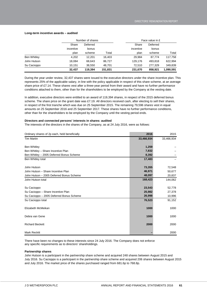# **Long-term incentive awards – audited**

|                    | Number of shares |          | Face value in £ |           |         |           |          |  |
|--------------------|------------------|----------|-----------------|-----------|---------|-----------|----------|--|
|                    | Share            | Deferred |                 | Share     |         |           | Deferred |  |
|                    | incentive        | bonus    |                 | incentive | bonus   |           |          |  |
|                    | plan             | scheme   | Total           | plan      | scheme  | Total     |          |  |
| <b>Ben Whitley</b> | 4.202            | 12.201   | 16.403          | 29.984    | 87.774  | 117,758   |          |  |
| John Hutson        | 18.084           | 68.643   | 86,727          | 129.176   | 493.818 | 622,994   |          |  |
| Su Cacioppo        | 10.151           | 38,550   | 48.701          | 72.510    | 277.329 | 349,839   |          |  |
|                    | 32.437           | 119.394  | 151,831         | 231,670   | 858,921 | 1,090,591 |          |  |

During the year under review, 32,437 shares were issued to the executive directors under the share incentive plan. This represents 25% of the applicable salary, in line with the policy applicable in respect of this share scheme, at an average share price of £7.14. These shares vest after a three-year period from their award and have no further performance conditions attached to them, other than for the shareholders to be employed by the Company at the vesting date.

In addition, executive directors were entitled to an award of 119,394 shares, in respect of the 2015 deferred bonus scheme. The share price on the grant date was £7.19. All directors received cash, after electing to sell their shares, in respect of the first tranche which was due on 25 September 2015. The remaining 79,596 shares vest in equal amounts on 25 September 2016 and 25 September 2017. These shares have no further performance conditions, other than for the shareholders to be employed by the Company until the vesting period ends.

## **Directors and connected persons' interests in shares: audited**

The interests of the directors in the shares of the Company, as at 24 July 2016, were as follows:

| Ordinary shares of 2p each, held beneficially | 2016       | 2015       |
|-----------------------------------------------|------------|------------|
| <b>Tim Martin</b>                             | 33,466,934 | 33,466,934 |
|                                               |            |            |
| <b>Ben Whitley</b>                            | 1,259      |            |
| Ben Whitley - Share Incentive Plan            | 7,832      |            |
| Ben Whitley - 2005 Deferred Bonus Scheme      | 8,392      |            |
| Ben Whitley total                             | 17,483     |            |
| John Hutson                                   | 73,355     | 72,548     |
| John Hutson - Share Incentive Plan            |            |            |
|                                               | 46,971     | 50,677     |
| John Hutson - 2005 Deferred Bonus Scheme      | 48,097     | 20,837     |
| John Hutson total                             | 168,423    | 144,062    |
| Su Cacioppo                                   | 23,543     | 52,778     |
| Su Cacioppo - Share Incentive Plan            | 25,982     | 27,378     |
| Su Cacioppo - 2005 Deferred Bonus Scheme      | 26,998     | 10,996     |
| Su Cacioppo total                             | 76,523     | 91,152     |
| Elizabeth McMeikan                            | 1000       | 1000       |
| Debra van Gene                                | 1000       | 1000       |
| <b>Richard Beckett</b>                        | 2000       | 2000       |
| <b>Mark Reckitt</b>                           |            | 2000       |

There have been no changes to these interests since 24 July 2016. The Company does not enforce any specific requirements as to directors' shareholdings.

#### **Partnership shares**

John Hutson is a participant in the partnership share scheme and acquired 248 shares between August 2015 and July 2016. Su Cacioppo is a participant in the partnership share scheme and acquired 206 shares between August 2015 and July 2016. The market price of the shares purchased ranged from 681.6p to 768.8p.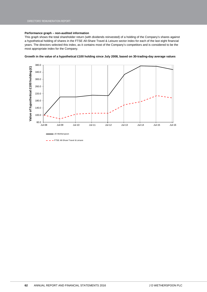# **Performance graph – non-audited information**

This graph shows the total shareholder return (with dividends reinvested) of a holding of the Company's shares against a hypothetical holding of shares in the FTSE All-Share Travel & Leisure sector index for each of the last eight financial years. The directors selected this index, as it contains most of the Company's competitors and is considered to be the most appropriate index for the Company.





FTSE All-Share Travel & Leisure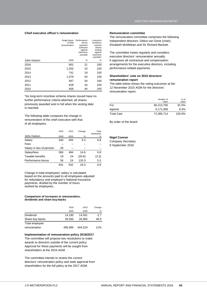## **Chief executive officer's remuneration**

|             | Single figure<br>of total<br>remuneration | Performance<br>bonus<br>payment<br>achieved<br>against<br>maximum<br>possible | Long-term<br>incentives<br>scheme<br>shares<br>vesting<br>against<br>maximum<br>possible* |
|-------------|-------------------------------------------|-------------------------------------------------------------------------------|-------------------------------------------------------------------------------------------|
| John Hutson | £000                                      | %                                                                             | %                                                                                         |
| 2016        | 901                                       | 21                                                                            | 100                                                                                       |
| 2015        | 1,202                                     | 10                                                                            | 100                                                                                       |
| 2014        | 741                                       | 19                                                                            | 100                                                                                       |
| 2013        | 1,079                                     | 43                                                                            | 100                                                                                       |
| 2012        | 847                                       | 34                                                                            | 100                                                                                       |
| 2011        | 628                                       | 24                                                                            | 100                                                                                       |
| 2010        | 656                                       | 44                                                                            | 100                                                                                       |

\*As long-term incentive scheme shares issued have no further performance criteria attached, all shares previously awarded vest in full when the vesting date is reached.

The following table compares the change in remuneration of the chief executive with that of all employees.

|                           | 2016 | 2015 | Change | Total<br>employees |
|---------------------------|------|------|--------|--------------------|
| John Hutson               | £000 | £000 | %      | ℅                  |
| Salary                    | 540  | 494  | 9.3    | 6.8                |
| Fees                      |      |      |        |                    |
| Salary in lieu of pension | 26   |      |        |                    |
| Salary/fees               | 566  | 494  | 14.6   | 6.8                |
| Taxable benefits          | 19   | 24   | (20.8) | (2.5)              |
| Performance bonus         | 56   | 24   | 133.3  | 5.5                |
|                           | 641  | 542  | 18.3   | 6.6                |

Change in total employees' salary is calculated based on the amounts paid to all employees adjusted for redundancy and employer's National Insurance payments, divided by the number of hours worked by employees.

#### **Comparison of increases in remuneration, dividends and share buy-backs**

|                  | 2016    | 2015    | Change |
|------------------|---------|---------|--------|
|                  | £000    | £000    | %      |
| <b>Dividends</b> | 14,190  | 14,591  | $-2.7$ |
| Share buy-backs  | 39.393  | 26.900  | 46.4   |
| Total employee   |         |         |        |
| remuneration     | 495.995 | 444.519 | 12%    |

#### **Implementation of remuneration policy 2016/2017**

The committee will propose two resolutions to make awards to directors outside of the current policy. Approval for these payments will be sought from shareholders at the 2016 AGM.

The committee intends to review the current directors' remuneration policy and seek approval from shareholders for the full policy at the 2017 AGM.

# **Remuneration committee**

The remuneration committee comprises the following independent directors: Debra van Gene (chair), Elizabeth McMeikan and Sir Richard Beckett.

The committee meets regularly and considers executive directors' remuneration annually. It approves all contractual and compensation arrangements for the executive directors, including performance-related payments.

# **Shareholders' vote on 2015 directors' remuneration report**

The table below shows the voting outcomes at the 12 November 2015 AGM for the directors' remuneration report.

|                   | Number of<br>votes | % of<br>votes |
|-------------------|--------------------|---------------|
| For               | 66,213,756         | 91.5%         |
| Against           | 6,171,958          | $8.5\%$       |
| <b>Total Cast</b> | 72,385,714         | 100.0%        |

By order of the board

# **Nigel Connor**

Company Secretary 8 September 2016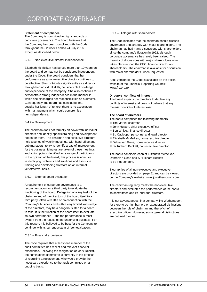# **Statement of compliance**

The Company is committed to high standards of corporate governance. The board believes that the Company has been compliant with the Code throughout the 52 weeks ended 24 July 2016, except as described below.

# B.1.1 – Non-executive director independence

Elizabeth McMeikan has served more than 10 years on the board and so may not be considered independent under the Code. The board considers that her performance as a non-executive director continues to be effective. She contributes significantly as a director through her individual skills, considerable knowledge and experience of the Company. She also continues to demonstrate strong independence in the manner in which she discharges her responsibilities as a director. Consequently, the board has concluded that, despite her length of tenure, there is no association with management which could compromise her independence.

# B.4.2 – Development

The chairman does not formally sit down with individual directors and identify specific training and development needs for them. The chairman and executive directors hold a series of weekly meetings, with head-office and pub managers, to try to identify areas of improvement for the business. Minutes are taken of these meetings and action points identified for a range of participants. In the opinion of the board, this process is effective in identifying problems and solutions and assists in training and developing directors on an informal, yet effective, basis.

# B.6.2 – External board evaluation

A requirement of corporate governance is a recommendation for a third party to evaluate the functioning of the board. Delegation of a key task of the chairman and of the directors of the board itself to a third party, often with little or no connection with the Company's business and with a very limited knowledge of the directors, may be a dangerous step for a board to take. It is the function of the board itself to evaluate its own performance – and the performance is most evident from the results of the underlying business. For this reason, it is believed to be best for the Company to continue with its current system of 'self-evaluation'.

# C.3.1 – Financial experience

The code requires that at least one member of the audit committee has recent and relevant financial experience. Following the resignation of Mark Reckitt, the nominations committee is currently in the process of recruiting a replacement, who would provide the necessary experience to the audit committee on an ongoing basis.

# E.1.1 – Dialogue with shareholders

The Code indicates that the chairman should discuss governance and strategy with major shareholders. The chairman has had many discussions with shareholders since the company's flotation in 1992, although corporate governance has rarely been raised. The majority of discussions with major shareholders now takes place among the CEO, finance director and shareholders. The chairman is available for discussion with major shareholders, when requested.

A full version of the Code is available on the official website of the Financial Reporting Council: www.frc.org.uk

# **Directors' conflicts of interest**

The board expects the directors to declare any conflicts of interest and does not believe that any material conflicts of interest exist.

# **The board of directors**

The board comprises the following members:

- $\blacksquare$  Tim Martin, chairman
- **John Hutson, chief executive officer**
- Ben Whitley, finance director
- Su Cacioppo, personnel and legal director
- **Elizabeth McMeikan, non-executive director**
- Debra van Gene, non-executive director
- Sir Richard Beckett, non-executive director

The board considers each of Elizabeth McMeikan, Debra van Gene and Sir Richard Beckett to be independent.

Biographies of all non-executive and executive directors are provided on page 51 and can be viewed on the Company's website: www.jdwetherspoon.com

The chairman regularly meets the non-executive directors and evaluates the performance of the board, its committees and its individual directors.

It is not advantageous, in a company like Wetherspoon, for there to be high barriers or exaggerated distinctions between the role of chairman and that of chief executive officer. However, some general distinctions are outlined overleaf.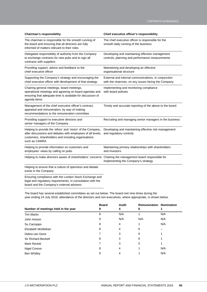| <b>Chairman's responsibility</b>                                                                                                                                                                   | Chief executive officer's responsibility                                                                    |
|----------------------------------------------------------------------------------------------------------------------------------------------------------------------------------------------------|-------------------------------------------------------------------------------------------------------------|
| The chairman is responsible for the smooth running of<br>the board and ensuring that all directors are fully<br>informed of matters relevant to their roles                                        | The chief executive officer is responsible for the<br>smooth daily running of the business                  |
| Delegated responsibility of authority from the Company<br>to exchange contracts for new pubs and to sign all<br>contracts with suppliers                                                           | Developing and maintaining effective management<br>controls, planning and performance measurements          |
| Providing support, advice and feedback to the<br>chief executive officer                                                                                                                           | Maintaining and developing an effective<br>organisational structure                                         |
| Supporting the Company's strategy and encouraging the<br>chief executive officer with development of that strategy                                                                                 | External and internal communications, in conjunction<br>with the chairman, on any issues facing the Company |
| Chairing general meetings, board meetings,<br>operational meetings and agreeing on board agendas and<br>ensuring that adequate time is available for discussion of<br>agenda items                 | Implementing and monitoring compliance<br>with board policies                                               |
| Management of the chief executive officer's contract,<br>appraisal and remuneration, by way of making<br>recommendations to the remuneration committee                                             | Timely and accurate reporting of the above to the board                                                     |
| Providing support to executive directors and<br>senior managers of the Company                                                                                                                     | Recruiting and managing senior managers in the business                                                     |
| Helping to provide the 'ethos' and 'vision' of the Company,<br>after discussions and debates with employees of all levels,<br>customers, shareholders and including organisations<br>such as CAMRA | Developing and maintaining effective risk-management<br>and regulatory controls                             |
| Helping to provide information on customers and<br>employees' views by calling on pubs                                                                                                             | Maintaining primary relationships with shareholders<br>and investors                                        |
| Helping to make directors aware of shareholders' concerns Chairing the management board responsible for                                                                                            | implementing the Company's strategy                                                                         |
| Helping to ensure that a culture of openness and debate<br>exists in the Company                                                                                                                   |                                                                                                             |
| Ensuring compliance with the London Stock Exchange and<br>legal and regulatory requirements, in consultation with the                                                                              |                                                                                                             |

board and the Company's external advisers

The board has several established committees as set out below. The board met nine times during the year ending 24 July 2016; attendance of the directors and non-executives, where appropriate, is shown below.

| Number of meetings held in the year | <b>Board</b><br>9 | <b>Audit</b><br>4 | <b>Remuneration Nomination</b><br>6 |     |
|-------------------------------------|-------------------|-------------------|-------------------------------------|-----|
| <b>Tim Martin</b>                   | 8                 | N/A               |                                     | N/A |
| John Hutson                         | 9                 | N/A               | N/A                                 | N/A |
| Su Cacioppo                         | 8                 | 4                 |                                     | N/A |
| Elizabeth McMeikan                  | 8                 | 4                 | 6                                   |     |
| Debra van Gene                      |                   | 3                 | 6                                   |     |
| <b>Sir Richard Beckett</b>          | 8                 | 3                 | 6                                   |     |
| <b>Mark Reckitt</b>                 |                   | 3                 | 5                                   |     |
| Nigel Connor                        | 8                 | 4                 |                                     | N/A |
| <b>Ben Whitley</b>                  | 9                 | 4                 |                                     | N/A |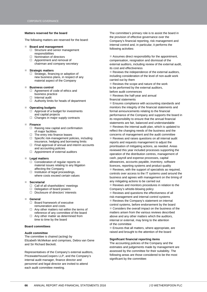## **Matters reserved for the board**

The following matters are reserved for the board:

## **Board and management**

- $\Box$  Structure and senior management responsibilities
- $\Box$  Nomination of directors
- □ Appointment and removal of chairman and company secretary

## **Strategic matters**

 $\Box$  Strategic, financing or adoption of new business plans, in respect of any material aspect of the Company

## **Business control**

- $\Box$  Agreement of code of ethics and business practice
- $\Box$  Internal audit
- $\Box$  Authority limits for heads of department

## **Operating budgets**

- $\Box$  Approval of a budget for investments and capital projects
- $\Box$  Changes in major supply contracts

#### **Finance**

- $\Box$  Raising new capital and confirmation of major facilities
- $\Box$  The entry into finance leases
- $\Box$  Specific risk-management policies, including insurance, hedging and borrowing limits
- $\Box$  Final approval of annual and interim accounts and accounting policies
- $\Box$  Appointment of external auditors

## **Legal matters**

- Consideration of regular reports on material issues relating to any litigation affecting the Company
- $\Box$  Institution of legal proceedings, where costs exceed certain values

## **Secretarial**

- $\Box$  Call of all shareholders' meetings
- $\Box$  Delegation of board powers
- $\Box$  Disclosure of directors' interests

## **General**

- $\Box$  Board framework of executive remuneration and costs
- $\Box$  Any other matters not within the terms of reference of any committee of the board
- $\Box$  Any other matter as determined from time to time by the board

## **Board committees**

## **Audit committee**

The committee is chaired (acting) by Elizabeth McMeikan and comprises, Debra van Gene and Sir Richard Beckett.

Representatives of the Company's external auditors, PricewaterhouseCoopers LLP, and the Company's internal audit manager, finance director and personnel and legal director are invited to attend each audit committee meeting.

The committee's primary role is to assist the board in the provision of effective governance over the Company's financial reporting, risk management and internal control and, in particular, it performs the following activities:

 $\blacksquare$  Assumes direct responsibility for the appointment, compensation, resignation and dismissal of the external auditors, including review of the external audit, its cost and effectiveness

 $\blacksquare$  Reviews the independence of the external auditors, including consideration of the level of non-audit work carried out by them

 $\blacksquare$  Reviews the scope and nature of the work to be performed by the external auditors,

before audit commences

Reviews the half-year and annual

financial statements

■ Ensures compliance with accounting standards and monitors the integrity of the financial statements and formal announcements relating to the financial performance of the Company and supports the board in its responsibility to ensure that the annual financial statements are fair, balanced and understandable  $\blacksquare$  Reviews the internal audit plan, which is updated to reflect the changing needs of the business and the concerns of management and the audit committee Reviews and raises questions on all internal audit reports and requests management to adjust the prioritisation of mitigating actions, as needed. Areas reviewed this year included processes supporting the operation of the distribution centres, management of cash, payroll and expense processes, capital allowances, accounts payable, inventory, software licences, reporting systems and product quality

 $\blacksquare$  Reviews, with the support of specialists as required, controls over access to the IT systems used around the business and agrees with management on the timing of any mitigating actions to be carried out

Reviews and monitors procedures in relation to the Company's whistle-blowing policy

Reviews and questions the effectiveness of all risk-management and internal control systems Reviews the Company's statement on internal control systems, before endorsement by the board Considers the overall impact on the business of the matters arisen from the various reviews described above and any other matters which the auditors, internal or external, may bring to the attention of the committee

 $\blacksquare$  Ensures that all matters, where appropriate, are raised and brought to the attention of the board

## **Significant financial reporting items**

The accounting policies of the Company and the estimates and judgements made by management are assessed by the committee for their suitability. The following areas are those considered to be the most significant by the committee: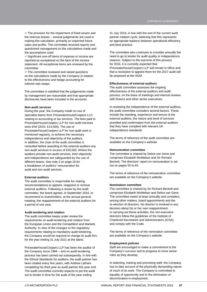■ The provision for the impairment of fixed assets and the onerous leases – several judgements are used in making this calculation, primarily on expected future sales and profits. The committee received reports and questioned management on the calculations made and the assumptions used

■ Significant one-off items of expense or income are reported as exceptional on the face of the income statement. All exceptional items are reviewed by the committee

■ The committee reviewed and raised questions on the calculations made by the Company in relation to the effectiveness and hedge accounting for interest-rate swaps

The committee is satisfied that the judgements made by management are reasonable and that appropriate disclosures have been included in the accounts.

#### **Non-audit services**

During the year, the Company made no use of specialist teams from PricewaterhouseCoopers LLP, relating to accounting or tax services. The fees paid to PricewaterhouseCoopers LLP for non-audit services were £Nil (2015: £13,000). The use of PricewaterhouseCoopers LLP for non-audit work is monitored regularly, to achieve the necessary independence and objectivity of the auditors. In addition, the chair of the audit committee is consulted before awarding to the external auditors any non-audit services in excess of £20,000. Where the auditors provide non-audit services, their objectivity and independence are safeguarded by the use of different teams. See note 2 on page 16 for a breakdown of auditors' remuneration for audit and non-audit services.

## **External auditors**

The audit committee is responsible for making recommendations to appoint, reappoint or remove external auditors. Following a review by the audit committee, the board agreed, in September 2016, to recommend to shareholders, at the annual general meeting, the reappointment of the external auditors for a period of one year.

## **Audit-tendering and rotation**

The audit committee keeps under review the requirements on audit-tendering and rotation from the European Union and the Competition and Markets Authority. In view of the changes to the regulatory requirements relating to mandatory audit-tendering, the Company would be required to change its audit firm for the year ending 31 July 2021 at the latest.

PricewaterhouseCoopers LLP has been the auditor of the Company since 1984 – and no audit-tendering process has been carried out subsequently. In line with the Ethical Standards for auditors, the audit partner has been rotated every five years, with Andrew Latham completing his third year as audit partner this year end. The audit committee currently expects to put the audit out to tender in time for the audit of the year ending

31 July 2019, in line with the end of the current audit partner rotation cycle, believing that this represents an appropriate balance between operational efficiency and best practice.

The committee also continues to consider annually the need to go to tender for audit quality or independence reasons. Subject to the outcome of this process for 2016, it is currently expected that PricewaterhouseCoopers LLP will remain in office and that a resolution to appoint them for the 2017 audit will be proposed at the AGM.

#### **Effectiveness of external auditors**

The audit committee assesses the ongoing effectiveness of the external auditors and audit process, on the basis of meetings and internal reviews with finance and other senior executives.

In reviewing the independence of the external auditors, the audit committee considers several factors. These include the standing, experience and tenure of the external auditors, the nature and level of services provided and confirmation from the external auditors that they have complied with relevant UK independence standards.

The terms of reference of the audit committee are available on the Company's website.

## **Remuneration committee**

The committee is chaired by Debra van Gene and comprises Elizabeth McMeikan and Sir Richard Beckett. The directors' report on remuneration is set out on pages 55 to 63.

The terms of reference of the remuneration committee are available on the Company's website.

## **Nomination committee**

The committee is chaired by Sir Richard Beckett and comprises Elizabeth McMeikan and Debra van Gene. The committee meets at least annually and considers, among other matters, board appointments and the re-election of directors. No director is involved in any decision about his or her own reappointment. In carrying out these activities, the non-executive directors follow the guidelines of the Institute of Chartered Secretaries and Administrators (ICSA) and comply with the Code.

The terms of reference of the nomination committee are available on the Company's website.

## **Employment policies**

Staff are encouraged to make a commitment to the Company's success and to progress to more senior roles as they develop.

In selecting, training and promoting staff, the Company has to take account of the physically demanding nature of much of its work. The Company is committed to equality of opportunity and to the elimination of discrimination in employment.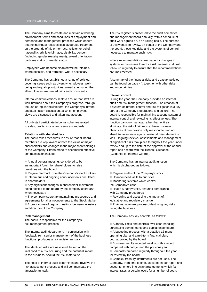The Company aims to create and maintain a working environment, terms and conditions of employment and personnel and management practices which ensure that no individual receives less favourable treatment on the grounds of his or her race, religion or belief, nationality, ethnic origin, age, disability, gender (including gender reassignment), sexual orientation, part-time status or marital status.

Employees who become disabled will be retained, where possible, and retrained, where necessary.

The Company has established a range of policies, covering issues such as diversity, employees' wellbeing and equal opportunities, aimed at ensuring that all employees are treated fairly and consistently.

Internal communications seek to ensure that staff are well informed about the Company's progress, through the use of regular newsletters, the Company's intranet and staff liaison discussion, at which employees' views are discussed and taken into account.

All pub staff participate in bonus schemes related to sales, profits, stocks and service standards.

## **Relations with shareholders**

The board takes measures to ensure that all board members are kept aware of both the views of major shareholders and changes in the major shareholdings of the Company. Efforts made to accomplish effective communication include:

Annual general meeting, considered to be an important forum for shareholders to raise questions with the board

Regular feedback from the Company's stockbrokers

 $\blacksquare$  Interim, full and ongoing announcements circulated to shareholders

Any significant changes in shareholder movement being notified to the board by the company secretary, when necessary

■ The company secretary maintaining procedures and agreements for all announcements to the Stock Market A programme of regular meetings between investors and directors of the Company

## **Risk management**

The board is responsible for the Company's risk-management process.

The internal audit department, in conjunction with feedback from senior management of the business functions, produces a risk register annually.

The identified risks are assessed, based on the likelihood of a risk occurring and the potential impact to the business, should the risk materialise.

The head of internal audit determines and reviews the risk-assessment process and will communicate the timetable annually.

The risk register is presented to the audit committee and management board annually, with a schedule of audit work agreed on, on a rolling basis. The purpose of this work is to review, on behalf of the Company and the board, those key risks and the systems of control necessary to manage such risks.

Where recommendations are made for changes in systems or processes to reduce risk, internal audit will follow up regularly to ensure that the recommendations are implemented.

A summary of the financial risks and treasury policies can be found on page 44, together with other risks and uncertainties.

## **Internal control**

During the year, the Company provided an internal audit and risk-management function. The creation of a system of internal control and risk mitigation is a key part of the Company's operations and culture. The board is responsible for maintaining a sound system of internal control and reviewing its effectiveness. The function can only manage, rather than entirely eliminate, the risk of failure to achieve business objectives. It can provide only reasonable, and not absolute, assurance against material misstatement or loss. Ongoing reviews, assessments and management of significant risks took place throughout the year under review and up to the date of the approval of the annual report and accord with the Turnbull Guidance (Guidance on Internal Control).

The Company has an internal audit function which is discharged as follows:

- Regular audits of the Company's stock
- Unannounced visits to pub sites
- Monitoring systems which control
- the Company's cash

 $\blacksquare$  Health & safety visits, ensuring compliance with Company procedures

- $\blacksquare$  Reviewing and assessing the impact of
- legislative and regulatory change

 $\blacksquare$  Risk-management process, identifying key risks facing the business

The Company has key controls, as follows:

Authority limits and controls over cash-handling, purchasing commitments and capital expenditure A budgeting process, with a detailed 12-month operating plan and a mid-term financial plan, both approved by the board

 $\blacksquare$  Business results reported weekly, with a report compared with budget and the previous year

Forecasts prepared regularly throughout the year, for review by the board

Complex treasury instruments are not used. The Company, from time to time, as stated in our report and accounts, enters into swap arrangements which fix interest rates at certain levels for a number of years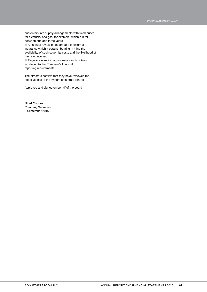and enters into supply arrangements with fixed prices for electricity and gas, for example, which run for between one and three years

An annual review of the amount of external insurance which it obtains, bearing in mind the availability of such cover, its costs and the likelihood of the risks involved

Regular evaluation of processes and controls, in relation to the Company's financial reporting requirements.

The directors confirm that they have reviewed the effectiveness of the system of internal control.

Approved and signed on behalf of the board

**Nigel Connor** Company Secretary 8 September 2016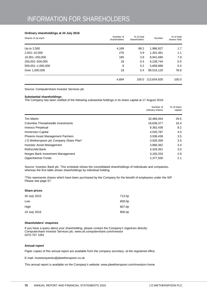# **Ordinary shareholdings at 24 July 2016**

| Shares of 2p each | Number of<br>shareholders | % of total<br>shareholders | Number      | % of total<br>shares held |
|-------------------|---------------------------|----------------------------|-------------|---------------------------|
| Up to 2,500       | 4,189                     | 89.2                       | 1,986,927   | 1.7                       |
| 2,501-10,000      | 276                       | 5.9                        | 1,301,461   | 1.1                       |
| 10,001-250,000    | 185                       | 3.9                        | 8,941,695   | 7.9                       |
| 250,001-500,000   | 18                        | 0.4                        | 6,238,744   | 5.5                       |
| 500,001-1,000,000 | 8                         | 0.2                        | 5,669,888   | 5.0                       |
| Over 1,000,000    | 18                        | 0.4                        | 89,516,120  | 78.8                      |
|                   | 4,694                     | 100.0                      | 113,654,835 | 100.0                     |

Source: Computershare Investor Services plc

# **Substantial shareholdings**

The Company has been notified of the following substantial holdings in its share capital at 17 August 2016:

|                                         | Number of<br>ordinary shares | % of share<br>capital |
|-----------------------------------------|------------------------------|-----------------------|
| <b>Tim Martin</b>                       | 33,466,934                   | 29.5                  |
| Columbia Threadneedle Investments       | 18,638,377                   | 16.4                  |
| <b>Invesco Perpetual</b>                | 9,362,438                    | 8.2                   |
| <b>Immersion Capital</b>                | 4,545,787                    | 4.0                   |
| Phoenix Asset Management Partners       | 3,938,438                    | 3.5                   |
| J D Wetherspoon plc Company Share Plan* | 3,928,359                    | 3.5                   |
| <b>Investec Asset Management</b>        | 3,868,362                    | 3.4                   |
| Rothschild Bank                         | 3,429,351                    | 3.0                   |
| Norges Bank Investment Management       | 3,183,254                    | 2.8                   |
| <b>Oppenheimer Funds</b>                | 2,377,500                    | 2.1                   |

Source: Investec Bank plc. This schedule shows the consolidated shareholdings of individuals and companies, whereas the first table shows shareholdings by individual holding.

\*This represents shares which have been purchased by the Company for the benefit of employees under the SIP. Please see page 57.

| 713.5p |
|--------|
| 609.0p |
| 807.0p |
| 806.0p |
|        |

# **Shareholders' enquiries**

If you have a query about your shareholding, please contact the Company's registrars directly: Computershare Investor Services plc: www.uk.computershare.com/investor 0370 707 1091

## **Annual report**

Paper copies of this annual report are available from the company secretary, at the registered office.

E-mail: investorqueries@jdwetherspoon.co.uk

This annual report is available on the Company's website: www.jdwetherspoon.com/investors-home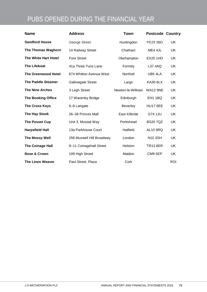## PUBS OPENED DURING THE FINANCIAL YEAR

| <b>Name</b>                 | <b>Address</b>            | <b>Town</b>       | <b>Postcode Country</b> |            |
|-----------------------------|---------------------------|-------------------|-------------------------|------------|
| <b>Sandford House</b>       | George Street             | Huntingdon        | <b>PE29 3BD</b>         | UK         |
| <b>The Thomas Waghorn</b>   | 14 Railway Street         | Chatham           | ME4 4JL                 | UK         |
| <b>The White Hart Hotel</b> | <b>Fore Street</b>        | Okehampton        | <b>EX20 1HD</b>         | <b>UK</b>  |
| <b>The Lifeboat</b>         | 41a Three Tuns Lane       | Formby            | L37 4AQ                 | UK         |
| <b>The Greenwood Hotel</b>  | 674 Whitton Avenue West   | Northolt          | UB5 4LA                 | <b>UK</b>  |
| <b>The Paddle Steamer</b>   | <b>Gallowgate Street</b>  | Largs             | <b>KA30 8LX</b>         | <b>UK</b>  |
| <b>The Nine Arches</b>      | 3 Legh Street             | Newton-le-Willows | <b>WA12 9NE</b>         | <b>UK</b>  |
| <b>The Booking Office</b>   | 17 Waverley Bridge        | Edinburgh         | EH1 1BQ                 | <b>UK</b>  |
| <b>The Cross Keys</b>       | 6-8 Lairgate              | <b>Beverley</b>   | <b>HU17 8EE</b>         | <b>UK</b>  |
| <b>The Hay Stook</b>        | 26-36 Princes Mall        | East Kilbride     | G74 1JU                 | <b>UK</b>  |
| <b>The Posset Cup</b>       | Unit 3, Mustad Way        | Portishead        | <b>BS207QZ</b>          | <b>UK</b>  |
| <b>Harpsfield Hall</b>      | 13a Parkhouse Court       | Hatfield          | <b>AL10 9RQ</b>         | <b>UK</b>  |
| <b>The Mossy Well</b>       | 258 Muswell Hill Broadway | London            | N10 3SH                 | <b>UK</b>  |
| <b>The Coinage Hall</b>     | 9-11 Coinagehall Street   | Helston           | <b>TR13 8ER</b>         | <b>UK</b>  |
| Rose & Crown                | 109 High Street           | Maldon            | CM9 5EP                 | UK         |
| <b>The Linen Weaver</b>     | Paul Street, Plaza        | Cork              |                         | <b>ROI</b> |